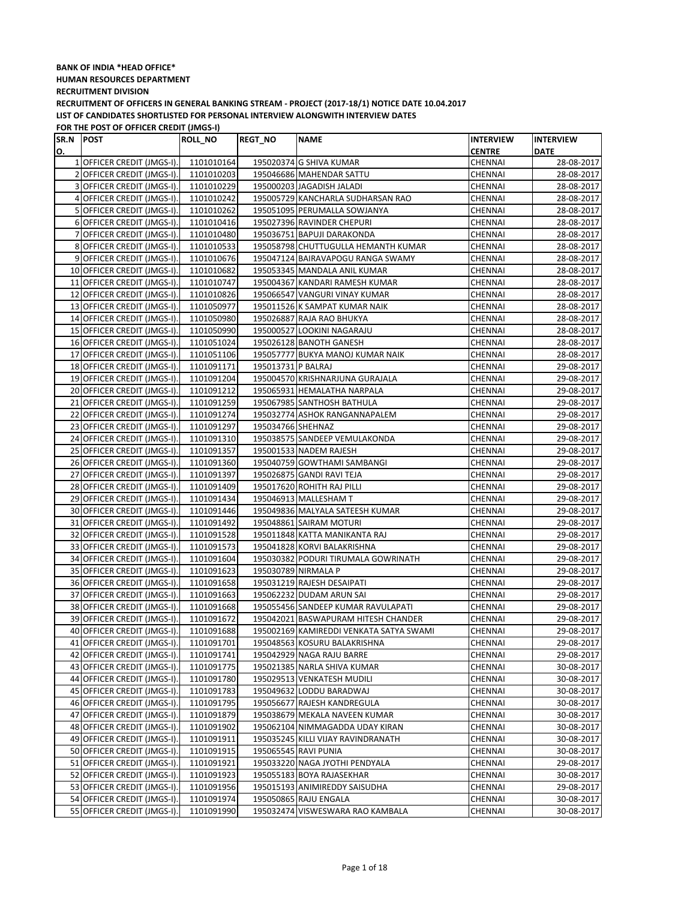| SR.N POST |                             | <b>ROLL_NO</b> | <b>REGT NO</b>     | <b>NAME</b>                             | <b>INTERVIEW</b> | <b>INTERVIEW</b> |
|-----------|-----------------------------|----------------|--------------------|-----------------------------------------|------------------|------------------|
| О.        |                             |                |                    |                                         | <b>CENTRE</b>    | <b>DATE</b>      |
|           | 1 OFFICER CREDIT (JMGS-I).  | 1101010164     |                    | 195020374 G SHIVA KUMAR                 | CHENNAI          | 28-08-2017       |
|           | 2 OFFICER CREDIT (JMGS-I).  | 1101010203     |                    | 195046686 MAHENDAR SATTU                | CHENNAI          | 28-08-2017       |
|           | 3 OFFICER CREDIT (JMGS-I).  | 1101010229     |                    | 195000203 JAGADISH JALADI               | CHENNAI          | 28-08-2017       |
|           | 4 OFFICER CREDIT (JMGS-I).  | 1101010242     |                    | 195005729 KANCHARLA SUDHARSAN RAO       | CHENNAI          | 28-08-2017       |
|           | 5 OFFICER CREDIT (JMGS-I).  | 1101010262     |                    | 195051095 PERUMALLA SOWJANYA            | CHENNAI          | 28-08-2017       |
|           | 6 OFFICER CREDIT (JMGS-I).  | 1101010416     |                    | 195027396 RAVINDER CHEPURI              | CHENNAI          | 28-08-2017       |
|           | 7 OFFICER CREDIT (JMGS-I).  | 1101010480     |                    | 195036751 BAPUJI DARAKONDA              | CHENNAI          | 28-08-2017       |
|           | 8 OFFICER CREDIT (JMGS-I).  | 1101010533     |                    | 195058798 CHUTTUGULLA HEMANTH KUMAR     | CHENNAI          | 28-08-2017       |
|           | 9 OFFICER CREDIT (JMGS-I).  | 1101010676     |                    | 195047124 BAIRAVAPOGU RANGA SWAMY       | CHENNAI          | 28-08-2017       |
|           | 10 OFFICER CREDIT (JMGS-I). | 1101010682     |                    | 195053345 MANDALA ANIL KUMAR            | CHENNAI          | 28-08-2017       |
|           | 11 OFFICER CREDIT (JMGS-I). | 1101010747     |                    | 195004367 KANDARI RAMESH KUMAR          | CHENNAI          | 28-08-2017       |
|           | 12 OFFICER CREDIT (JMGS-I). | 1101010826     |                    | 195066547 VANGURI VINAY KUMAR           | CHENNAI          | 28-08-2017       |
|           | 13 OFFICER CREDIT (JMGS-I). | 1101050977     |                    | 195011526 K SAMPAT KUMAR NAIK           | CHENNAI          | 28-08-2017       |
|           | 14 OFFICER CREDIT (JMGS-I). | 1101050980     |                    | 195026887 RAJA RAO BHUKYA               | CHENNAI          | 28-08-2017       |
|           | 15 OFFICER CREDIT (JMGS-I). | 1101050990     |                    | 195000527 LOOKINI NAGARAJU              | CHENNAI          | 28-08-2017       |
|           | 16 OFFICER CREDIT (JMGS-I). | 1101051024     |                    | 195026128 BANOTH GANESH                 | CHENNAI          | 28-08-2017       |
|           | 17 OFFICER CREDIT (JMGS-I). | 1101051106     |                    | 195057777 BUKYA MANOJ KUMAR NAIK        | CHENNAI          | 28-08-2017       |
|           | 18 OFFICER CREDIT (JMGS-I). | 1101091171     | 195013731 P BALRAJ |                                         | CHENNAI          | 29-08-2017       |
|           | 19 OFFICER CREDIT (JMGS-I). | 1101091204     |                    | 195004570 KRISHNARJUNA GURAJALA         | CHENNAI          | 29-08-2017       |
|           | 20 OFFICER CREDIT (JMGS-I). | 1101091212     |                    | 195065931 HEMALATHA NARPALA             | CHENNAI          | 29-08-2017       |
|           | 21 OFFICER CREDIT (JMGS-I). | 1101091259     |                    | 195067985 SANTHOSH BATHULA              | CHENNAI          | 29-08-2017       |
|           | 22 OFFICER CREDIT (JMGS-I). | 1101091274     |                    | 195032774 ASHOK RANGANNAPALEM           | CHENNAI          | 29-08-2017       |
|           | 23 OFFICER CREDIT (JMGS-I). | 1101091297     | 195034766 SHEHNAZ  |                                         | CHENNAI          | 29-08-2017       |
|           | 24 OFFICER CREDIT (JMGS-I). | 1101091310     |                    | 195038575 SANDEEP VEMULAKONDA           | CHENNAI          | 29-08-2017       |
|           | 25 OFFICER CREDIT (JMGS-I). | 1101091357     |                    | 195001533 NADEM RAJESH                  | CHENNAI          | 29-08-2017       |
|           | 26 OFFICER CREDIT (JMGS-I). | 1101091360     |                    | 195040759 GOWTHAMI SAMBANGI             | <b>CHENNAI</b>   | 29-08-2017       |
|           | 27 OFFICER CREDIT (JMGS-I). | 1101091397     |                    | 195026875 GANDI RAVI TEJA               | CHENNAI          | 29-08-2017       |
|           | 28 OFFICER CREDIT (JMGS-I). | 1101091409     |                    | 195017620 ROHITH RAJ PILLI              | CHENNAI          | 29-08-2017       |
|           | 29 OFFICER CREDIT (JMGS-I). | 1101091434     |                    | 195046913 MALLESHAM T                   | CHENNAI          | 29-08-2017       |
|           | 30 OFFICER CREDIT (JMGS-I). | 1101091446     |                    | 195049836 MALYALA SATEESH KUMAR         | CHENNAI          | 29-08-2017       |
|           | 31 OFFICER CREDIT (JMGS-I). | 1101091492     |                    | 195048861 SAIRAM MOTURI                 | CHENNAI          | 29-08-2017       |
|           | 32 OFFICER CREDIT (JMGS-I). | 1101091528     |                    | 195011848 KATTA MANIKANTA RAJ           | CHENNAI          | 29-08-2017       |
|           | 33 OFFICER CREDIT (JMGS-I). | 1101091573     |                    | 195041828 KORVI BALAKRISHNA             | CHENNAI          | 29-08-2017       |
|           | 34 OFFICER CREDIT (JMGS-I). | 1101091604     |                    | 195030382 PODURI TIRUMALA GOWRINATH     | CHENNAI          | 29-08-2017       |
|           | 35 OFFICER CREDIT (JMGS-I). | 1101091623     |                    | 195030789 NIRMALA P                     | CHENNAI          | 29-08-2017       |
|           | 36 OFFICER CREDIT (JMGS-I). | 1101091658     |                    | 195031219 RAJESH DESAIPATI              | CHENNAI          | 29-08-2017       |
|           | 37 OFFICER CREDIT (JMGS-I). | 1101091663     |                    | 195062232 DUDAM ARUN SAI                | CHENNAI          | 29-08-2017       |
|           | 38 OFFICER CREDIT (JMGS-I). | 1101091668     |                    | 195055456 SANDEEP KUMAR RAVULAPATI      | CHENNAI          | 29-08-2017       |
|           | 39 OFFICER CREDIT (JMGS-I). | 1101091672     |                    | 195042021 BASWAPURAM HITESH CHANDER     | CHENNAI          | 29-08-2017       |
|           | 40 OFFICER CREDIT (JMGS-I). | 1101091688     |                    | 195002169 KAMIREDDI VENKATA SATYA SWAMI | CHENNAI          | 29-08-2017       |
|           | 41 OFFICER CREDIT (JMGS-I). | 1101091701     |                    | 195048563 KOSURU BALAKRISHNA            | CHENNAI          | 29-08-2017       |
|           | 42 OFFICER CREDIT (JMGS-I). | 1101091741     |                    | 195042929 NAGA RAJU BARRE               | CHENNAI          | 29-08-2017       |
|           | 43 OFFICER CREDIT (JMGS-I). | 1101091775     |                    | 195021385 NARLA SHIVA KUMAR             | CHENNAI          | 30-08-2017       |
|           | 44 OFFICER CREDIT (JMGS-I). | 1101091780     |                    | 195029513 VENKATESH MUDILI              | CHENNAI          | 30-08-2017       |
|           | 45 OFFICER CREDIT (JMGS-I). | 1101091783     |                    | 195049632 LODDU BARADWAJ                | CHENNAI          | 30-08-2017       |
|           | 46 OFFICER CREDIT (JMGS-I). | 1101091795     |                    | 195056677 RAJESH KANDREGULA             | CHENNAI          | 30-08-2017       |
|           | 47 OFFICER CREDIT (JMGS-I). | 1101091879     |                    | 195038679 MEKALA NAVEEN KUMAR           | CHENNAI          | 30-08-2017       |
|           | 48 OFFICER CREDIT (JMGS-I). | 1101091902     |                    | 195062104 NIMMAGADDA UDAY KIRAN         | CHENNAI          | 30-08-2017       |
|           | 49 OFFICER CREDIT (JMGS-I). | 1101091911     |                    | 195035245 KILLI VIJAY RAVINDRANATH      | CHENNAI          | 30-08-2017       |
|           | 50 OFFICER CREDIT (JMGS-I). | 1101091915     |                    | 195065545 RAVI PUNIA                    | CHENNAI          | 30-08-2017       |
|           | 51 OFFICER CREDIT (JMGS-I). | 1101091921     |                    | 195033220 NAGA JYOTHI PENDYALA          | CHENNAI          | 29-08-2017       |
|           | 52 OFFICER CREDIT (JMGS-I). | 1101091923     |                    | 195055183 BOYA RAJASEKHAR               | CHENNAI          | 30-08-2017       |
|           | 53 OFFICER CREDIT (JMGS-I). | 1101091956     |                    | 195015193 ANIMIREDDY SAISUDHA           | CHENNAI          | 29-08-2017       |
|           | 54 OFFICER CREDIT (JMGS-I). | 1101091974     |                    | 195050865 RAJU ENGALA                   | CHENNAI          | 30-08-2017       |
|           | 55 OFFICER CREDIT (JMGS-I). | 1101091990     |                    | 195032474 VISWESWARA RAO KAMBALA        | CHENNAI          | 30-08-2017       |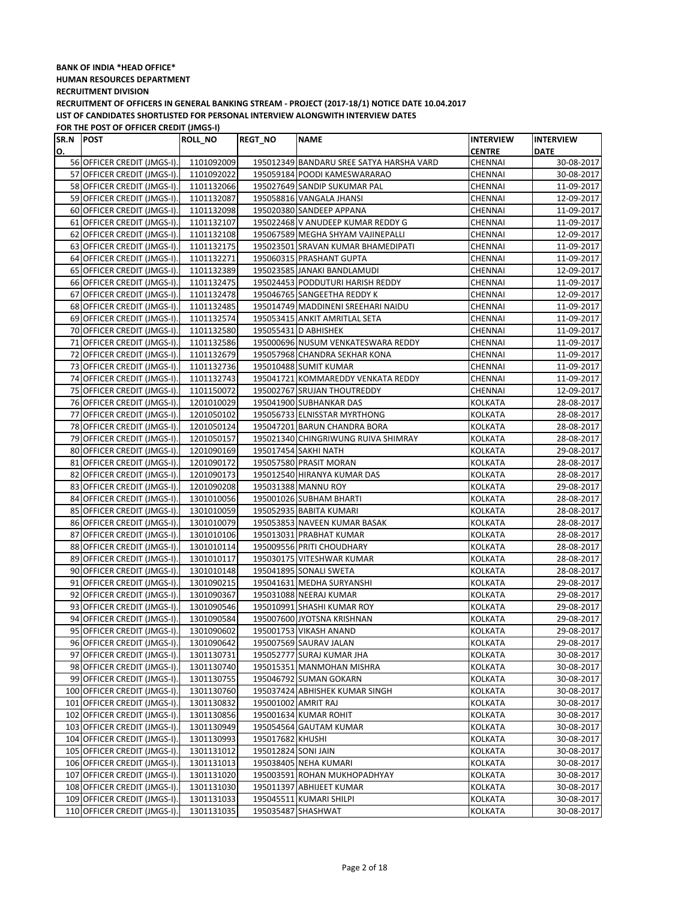| SR.N POST |                              | <b>ROLL_NO</b> | <b>REGT NO</b>      | <b>NAME</b>                              | <b>INTERVIEW</b> | <b>INTERVIEW</b> |
|-----------|------------------------------|----------------|---------------------|------------------------------------------|------------------|------------------|
| О.        |                              |                |                     |                                          | <b>CENTRE</b>    | <b>DATE</b>      |
|           | 56 OFFICER CREDIT (JMGS-I).  | 1101092009     |                     | 195012349 BANDARU SREE SATYA HARSHA VARD | CHENNAI          | 30-08-2017       |
|           | 57 OFFICER CREDIT (JMGS-I).  | 1101092022     |                     | 195059184 POODI KAMESWARARAO             | CHENNAI          | 30-08-2017       |
|           | 58 OFFICER CREDIT (JMGS-I).  | 1101132066     |                     | 195027649 SANDIP SUKUMAR PAL             | CHENNAI          | 11-09-2017       |
|           | 59 OFFICER CREDIT (JMGS-I).  | 1101132087     |                     | 195058816 VANGALA JHANSI                 | CHENNAI          | 12-09-2017       |
|           | 60 OFFICER CREDIT (JMGS-I).  | 1101132098     |                     | 195020380 SANDEEP APPANA                 | CHENNAI          | 11-09-2017       |
|           | 61 OFFICER CREDIT (JMGS-I).  | 1101132107     |                     | 195022468 V ANUDEEP KUMAR REDDY G        | CHENNAI          | 11-09-2017       |
|           | 62 OFFICER CREDIT (JMGS-I).  | 1101132108     |                     | 195067589 MEGHA SHYAM VAJINEPALLI        | CHENNAI          | 12-09-2017       |
|           | 63 OFFICER CREDIT (JMGS-I).  | 1101132175     |                     | 195023501 SRAVAN KUMAR BHAMEDIPATI       | CHENNAI          | 11-09-2017       |
|           | 64 OFFICER CREDIT (JMGS-I).  | 1101132271     |                     | 195060315 PRASHANT GUPTA                 | CHENNAI          | 11-09-2017       |
|           | 65 OFFICER CREDIT (JMGS-I).  | 1101132389     |                     | 195023585 JANAKI BANDLAMUDI              | CHENNAI          | 12-09-2017       |
|           | 66 OFFICER CREDIT (JMGS-I).  | 1101132475     |                     | 195024453 PODDUTURI HARISH REDDY         | CHENNAI          | 11-09-2017       |
|           | 67 OFFICER CREDIT (JMGS-I).  | 1101132478     |                     | 195046765 SANGEETHA REDDY K              | CHENNAI          | 12-09-2017       |
|           | 68 OFFICER CREDIT (JMGS-I).  | 1101132485     |                     | 195014749 MADDINENI SREEHARI NAIDU       | CHENNAI          | 11-09-2017       |
|           | 69 OFFICER CREDIT (JMGS-I).  | 1101132574     |                     | 195053415 ANKIT AMRITLAL SETA            | CHENNAI          | 11-09-2017       |
|           | 70 OFFICER CREDIT (JMGS-I).  | 1101132580     |                     | 195055431 D ABHISHEK                     | CHENNAI          | 11-09-2017       |
|           | 71 OFFICER CREDIT (JMGS-I).  | 1101132586     |                     | 195000696 NUSUM VENKATESWARA REDDY       | CHENNAI          | 11-09-2017       |
|           | 72 OFFICER CREDIT (JMGS-I).  | 1101132679     |                     | 195057968 CHANDRA SEKHAR KONA            | CHENNAI          | 11-09-2017       |
|           | 73 OFFICER CREDIT (JMGS-I).  | 1101132736     |                     | 195010488 SUMIT KUMAR                    | CHENNAI          | 11-09-2017       |
|           | 74 OFFICER CREDIT (JMGS-I).  | 1101132743     |                     | 195041721 KOMMAREDDY VENKATA REDDY       | CHENNAI          | 11-09-2017       |
|           | 75 OFFICER CREDIT (JMGS-I).  | 1101150072     |                     | 195002767 SRUJAN THOUTREDDY              | CHENNAI          | 12-09-2017       |
|           | 76 OFFICER CREDIT (JMGS-I).  | 1201010029     |                     | 195041900 SUBHANKAR DAS                  | <b>KOLKATA</b>   | 28-08-2017       |
|           | 77 OFFICER CREDIT (JMGS-I).  | 1201050102     |                     | 195056733 ELNISSTAR MYRTHONG             | KOLKATA          | 28-08-2017       |
|           | 78 OFFICER CREDIT (JMGS-I).  | 1201050124     |                     | 195047201 BARUN CHANDRA BORA             | KOLKATA          | 28-08-2017       |
|           | 79 OFFICER CREDIT (JMGS-I).  | 1201050157     |                     | 195021340 CHINGRIWUNG RUIVA SHIMRAY      | KOLKATA          | 28-08-2017       |
|           | 80 OFFICER CREDIT (JMGS-I).  | 1201090169     |                     | 195017454 SAKHI NATH                     | KOLKATA          | 29-08-2017       |
|           | 81 OFFICER CREDIT (JMGS-I).  | 1201090172     |                     | 195057580 PRASIT MORAN                   | KOLKATA          | 28-08-2017       |
|           | 82 OFFICER CREDIT (JMGS-I).  | 1201090173     |                     | 195012540 HIRANYA KUMAR DAS              | KOLKATA          | 28-08-2017       |
|           | 83 OFFICER CREDIT (JMGS-I).  | 1201090208     |                     | 195031388 MANNU ROY                      | KOLKATA          | 29-08-2017       |
|           | 84 OFFICER CREDIT (JMGS-I).  | 1301010056     |                     | 195001026 SUBHAM BHARTI                  | KOLKATA          | 28-08-2017       |
|           | 85 OFFICER CREDIT (JMGS-I).  | 1301010059     |                     | 195052935 BABITA KUMARI                  | KOLKATA          | 28-08-2017       |
|           | 86 OFFICER CREDIT (JMGS-I).  | 1301010079     |                     | 195053853 NAVEEN KUMAR BASAK             | KOLKATA          | 28-08-2017       |
|           | 87 OFFICER CREDIT (JMGS-I).  | 1301010106     |                     | 195013031 PRABHAT KUMAR                  | KOLKATA          | 28-08-2017       |
|           | 88 OFFICER CREDIT (JMGS-I).  | 1301010114     |                     | 195009556 PRITI CHOUDHARY                | KOLKATA          | 28-08-2017       |
|           | 89 OFFICER CREDIT (JMGS-I).  | 1301010117     |                     | 195030175 VITESHWAR KUMAR                | KOLKATA          | 28-08-2017       |
|           | 90 OFFICER CREDIT (JMGS-I).  | 1301010148     |                     | 195041895 SONALI SWETA                   | KOLKATA          | 28-08-2017       |
|           | 91 OFFICER CREDIT (JMGS-I).  | 1301090215     |                     | 195041631 MEDHA SURYANSHI                | KOLKATA          | 29-08-2017       |
|           | 92 OFFICER CREDIT (JMGS-I).  | 1301090367     |                     | 195031088 NEERAJ KUMAR                   | KOLKATA          | 29-08-2017       |
|           | 93 OFFICER CREDIT (JMGS-I).  | 1301090546     |                     | 195010991 SHASHI KUMAR ROY               | <b>KOLKATA</b>   | 29-08-2017       |
|           | 94 OFFICER CREDIT (JMGS-I).  | 1301090584     |                     | 195007600 JYOTSNA KRISHNAN               | <b>KOLKATA</b>   | 29-08-2017       |
|           | 95 OFFICER CREDIT (JMGS-I).  | 1301090602     |                     | 195001753 VIKASH ANAND                   | KOLKATA          | 29-08-2017       |
|           | 96 OFFICER CREDIT (JMGS-I).  | 1301090642     |                     | 195007569 SAURAV JALAN                   | KOLKATA          | 29-08-2017       |
|           | 97 OFFICER CREDIT (JMGS-I).  | 1301130731     |                     | 195052777 SURAJ KUMAR JHA                | KOLKATA          | 30-08-2017       |
|           | 98 OFFICER CREDIT (JMGS-I).  | 1301130740     |                     | 195015351 MANMOHAN MISHRA                | KOLKATA          | 30-08-2017       |
|           | 99 OFFICER CREDIT (JMGS-I).  | 1301130755     |                     | 195046792 SUMAN GOKARN                   | KOLKATA          | 30-08-2017       |
|           | 100 OFFICER CREDIT (JMGS-I). | 1301130760     |                     | 195037424 ABHISHEK KUMAR SINGH           | KOLKATA          | 30-08-2017       |
|           | 101 OFFICER CREDIT (JMGS-I). | 1301130832     | 195001002 AMRIT RAJ |                                          | KOLKATA          | 30-08-2017       |
|           | 102 OFFICER CREDIT (JMGS-I). | 1301130856     |                     | 195001634 KUMAR ROHIT                    | KOLKATA          | 30-08-2017       |
|           | 103 OFFICER CREDIT (JMGS-I). | 1301130949     |                     | 195054564 GAUTAM KUMAR                   | KOLKATA          | 30-08-2017       |
|           | 104 OFFICER CREDIT (JMGS-I). | 1301130993     | 195017682 KHUSHI    |                                          | KOLKATA          | 30-08-2017       |
|           | 105 OFFICER CREDIT (JMGS-I). | 1301131012     | 195012824 SONI JAIN |                                          | KOLKATA          | 30-08-2017       |
|           | 106 OFFICER CREDIT (JMGS-I). | 1301131013     |                     | 195038405 NEHA KUMARI                    | KOLKATA          | 30-08-2017       |
|           | 107 OFFICER CREDIT (JMGS-I). | 1301131020     |                     | 195003591 ROHAN MUKHOPADHYAY             | KOLKATA          | 30-08-2017       |
|           | 108 OFFICER CREDIT (JMGS-I). | 1301131030     |                     | 195011397 ABHIJEET KUMAR                 | KOLKATA          | 30-08-2017       |
|           | 109 OFFICER CREDIT (JMGS-I). | 1301131033     |                     | 195045511 KUMARI SHILPI                  | KOLKATA          | 30-08-2017       |
|           | 110 OFFICER CREDIT (JMGS-I). | 1301131035     |                     | 195035487 SHASHWAT                       | <b>KOLKATA</b>   | 30-08-2017       |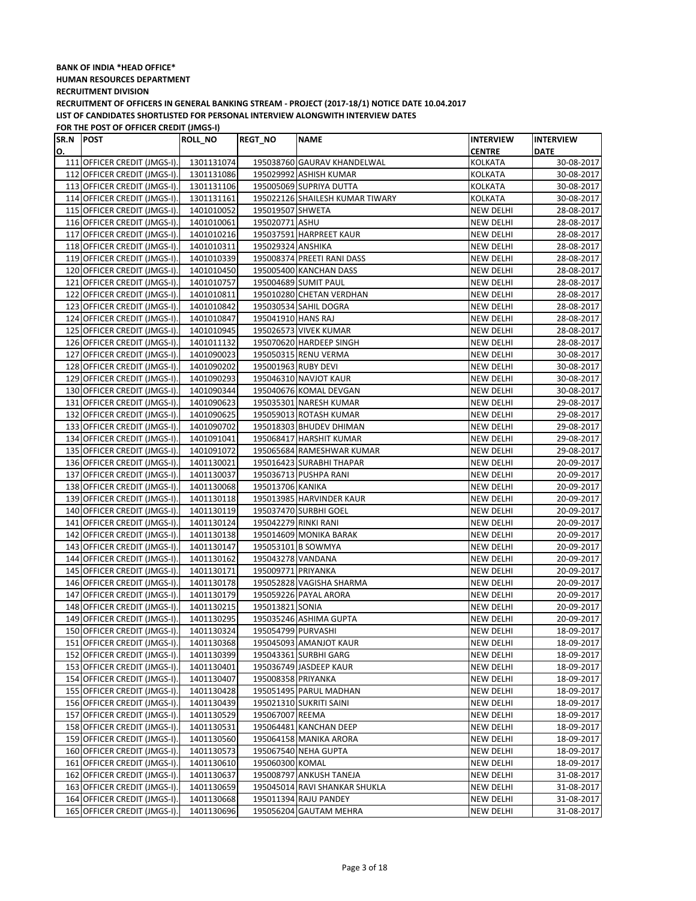# **BANK OF INDIA \*HEAD OFFICE\* HUMAN RESOURCES DEPARTMENT RECRUITMENT DIVISION**

**RECRUITMENT OF OFFICERS IN GENERAL BANKING STREAM - PROJECT (2017-18/1) NOTICE DATE 10.04.2017 LIST OF CANDIDATES SHORTLISTED FOR PERSONAL INTERVIEW ALONGWITH INTERVIEW DATES**

| SR.N POST |                              | <b>ROLL_NO</b> | <b>REGT_NO</b>       | <b>NAME</b>                     | <b>INTERVIEW</b> | <b>INTERVIEW</b> |
|-----------|------------------------------|----------------|----------------------|---------------------------------|------------------|------------------|
| О.        |                              |                |                      |                                 | <b>CENTRE</b>    | <b>DATE</b>      |
|           | 111 OFFICER CREDIT (JMGS-I). | 1301131074     |                      | 195038760 GAURAV KHANDELWAL     | KOLKATA          | 30-08-2017       |
|           | 112 OFFICER CREDIT (JMGS-I). | 1301131086     |                      | 195029992 ASHISH KUMAR          | KOLKATA          | 30-08-2017       |
|           | 113 OFFICER CREDIT (JMGS-I). | 1301131106     |                      | 195005069 SUPRIYA DUTTA         | KOLKATA          | 30-08-2017       |
|           | 114 OFFICER CREDIT (JMGS-I). | 1301131161     |                      | 195022126 SHAILESH KUMAR TIWARY | KOLKATA          | 30-08-2017       |
|           | 115 OFFICER CREDIT (JMGS-I). | 1401010052     | 195019507 SHWETA     |                                 | <b>NEW DELHI</b> | 28-08-2017       |
|           | 116 OFFICER CREDIT (JMGS-I). | 1401010061     | 195020771 ASHU       |                                 | <b>NEW DELHI</b> | 28-08-2017       |
|           | 117 OFFICER CREDIT (JMGS-I). | 1401010216     |                      | 195037591 HARPREET KAUR         | <b>NEW DELHI</b> | 28-08-2017       |
|           | 118 OFFICER CREDIT (JMGS-I). | 1401010311     | 195029324 ANSHIKA    |                                 | <b>NEW DELHI</b> | 28-08-2017       |
|           | 119 OFFICER CREDIT (JMGS-I). | 1401010339     |                      | 195008374 PREETI RANI DASS      | NEW DELHI        | 28-08-2017       |
|           | 120 OFFICER CREDIT (JMGS-I). | 1401010450     |                      | 195005400 KANCHAN DASS          | <b>NEW DELHI</b> | 28-08-2017       |
|           | 121 OFFICER CREDIT (JMGS-I). | 1401010757     |                      | 195004689 SUMIT PAUL            | NEW DELHI        | 28-08-2017       |
|           | 122 OFFICER CREDIT (JMGS-I). | 1401010811     |                      | 195010280 CHETAN VERDHAN        | NEW DELHI        | 28-08-2017       |
|           | 123 OFFICER CREDIT (JMGS-I). | 1401010842     |                      | 195030534 SAHIL DOGRA           | NEW DELHI        | 28-08-2017       |
|           | 124 OFFICER CREDIT (JMGS-I). | 1401010847     | 195041910 HANS RAJ   |                                 | <b>NEW DELHI</b> | 28-08-2017       |
|           | 125 OFFICER CREDIT (JMGS-I). | 1401010945     |                      | 195026573 VIVEK KUMAR           | <b>NEW DELHI</b> | 28-08-2017       |
|           | 126 OFFICER CREDIT (JMGS-I). | 1401011132     |                      | 195070620 HARDEEP SINGH         | <b>NEW DELHI</b> | 28-08-2017       |
|           | 127 OFFICER CREDIT (JMGS-I). | 1401090023     |                      | 195050315 RENU VERMA            | <b>NEW DELHI</b> | 30-08-2017       |
|           | 128 OFFICER CREDIT (JMGS-I). | 1401090202     | 195001963 RUBY DEVI  |                                 | <b>NEW DELHI</b> | 30-08-2017       |
|           | 129 OFFICER CREDIT (JMGS-I). | 1401090293     |                      | 195046310 NAVJOT KAUR           | <b>NEW DELHI</b> | 30-08-2017       |
|           | 130 OFFICER CREDIT (JMGS-I). | 1401090344     |                      | 195040676 KOMAL DEVGAN          | <b>NEW DELHI</b> | 30-08-2017       |
|           | 131 OFFICER CREDIT (JMGS-I). | 1401090623     |                      | 195035301 NARESH KUMAR          | NEW DELHI        | 29-08-2017       |
|           | 132 OFFICER CREDIT (JMGS-I). | 1401090625     |                      | 195059013 ROTASH KUMAR          | <b>NEW DELHI</b> | 29-08-2017       |
|           | 133 OFFICER CREDIT (JMGS-I). | 1401090702     |                      | 195018303 BHUDEV DHIMAN         | <b>NEW DELHI</b> | 29-08-2017       |
|           | 134 OFFICER CREDIT (JMGS-I). | 1401091041     |                      | 195068417 HARSHIT KUMAR         | NEW DELHI        | 29-08-2017       |
|           | 135 OFFICER CREDIT (JMGS-I). | 1401091072     |                      | 195065684 RAMESHWAR KUMAR       | NEW DELHI        | 29-08-2017       |
|           | 136 OFFICER CREDIT (JMGS-I). | 1401130021     |                      | 195016423 SURABHI THAPAR        | NEW DELHI        | 20-09-2017       |
|           | 137 OFFICER CREDIT (JMGS-I). | 1401130037     |                      | 195036713 PUSHPA RANI           | NEW DELHI        | 20-09-2017       |
|           | 138 OFFICER CREDIT (JMGS-I). | 1401130068     | 195013706 KANIKA     |                                 | <b>NEW DELHI</b> | 20-09-2017       |
|           | 139 OFFICER CREDIT (JMGS-I). | 1401130118     |                      | 195013985 HARVINDER KAUR        | <b>NEW DELHI</b> | 20-09-2017       |
|           | 140 OFFICER CREDIT (JMGS-I). | 1401130119     |                      | 195037470 SURBHI GOEL           | NEW DELHI        | 20-09-2017       |
|           | 141 OFFICER CREDIT (JMGS-I). | 1401130124     | 195042279 RINKI RANI |                                 | <b>NEW DELHI</b> | 20-09-2017       |
|           | 142 OFFICER CREDIT (JMGS-I). | 1401130138     |                      | 195014609 MONIKA BARAK          | <b>NEW DELHI</b> | 20-09-2017       |
|           | 143 OFFICER CREDIT (JMGS-I). | 1401130147     |                      | 195053101 B SOWMYA              | NEW DELHI        | 20-09-2017       |
|           | 144 OFFICER CREDIT (JMGS-I). | 1401130162     | 195043278 VANDANA    |                                 | NEW DELHI        | 20-09-2017       |
|           | 145 OFFICER CREDIT (JMGS-I). | 1401130171     | 195009771 PRIYANKA   |                                 | NEW DELHI        | 20-09-2017       |
|           | 146 OFFICER CREDIT (JMGS-I). | 1401130178     |                      | 195052828 VAGISHA SHARMA        | NEW DELHI        | 20-09-2017       |
|           | 147 OFFICER CREDIT (JMGS-I). | 1401130179     |                      | 195059226 PAYAL ARORA           | NEW DELHI        | 20-09-2017       |
|           | 148 OFFICER CREDIT (JMGS-I). | 1401130215     | 195013821 SONIA      |                                 | NEW DELHI        | 20-09-2017       |
|           | 149 OFFICER CREDIT (JMGS-I). | 1401130295     |                      | 195035246 ASHIMA GUPTA          | <b>NEW DELHI</b> | 20-09-2017       |
|           | 150 OFFICER CREDIT (JMGS-I). | 1401130324     | 195054799 PURVASHI   |                                 | <b>NEW DELHI</b> | 18-09-2017       |
|           | 151 OFFICER CREDIT (JMGS-I). | 1401130368     |                      | 195045093 AMANJOT KAUR          | <b>NEW DELHI</b> | 18-09-2017       |
|           | 152 OFFICER CREDIT (JMGS-I). | 1401130399     |                      | 195043361 SURBHI GARG           | NEW DELHI        | 18-09-2017       |
|           | 153 OFFICER CREDIT (JMGS-I). | 1401130401     |                      | 195036749 JASDEEP KAUR          | <b>NEW DELHI</b> | 18-09-2017       |
|           | 154 OFFICER CREDIT (JMGS-I). | 1401130407     | 195008358 PRIYANKA   |                                 | <b>NEW DELHI</b> | 18-09-2017       |
|           | 155 OFFICER CREDIT (JMGS-I). | 1401130428     |                      | 195051495 PARUL MADHAN          | NEW DELHI        | 18-09-2017       |
|           | 156 OFFICER CREDIT (JMGS-I). | 1401130439     |                      | 195021310 SUKRITI SAINI         | NEW DELHI        | 18-09-2017       |
|           | 157 OFFICER CREDIT (JMGS-I). | 1401130529     | 195067007 REEMA      |                                 | NEW DELHI        | 18-09-2017       |
|           | 158 OFFICER CREDIT (JMGS-I). | 1401130531     |                      | 195064481 KANCHAN DEEP          | <b>NEW DELHI</b> | 18-09-2017       |
|           | 159 OFFICER CREDIT (JMGS-I). | 1401130560     |                      | 195064158 MANIKA ARORA          | NEW DELHI        | 18-09-2017       |
|           | 160 OFFICER CREDIT (JMGS-I). | 1401130573     |                      | 195067540 NEHA GUPTA            | NEW DELHI        | 18-09-2017       |
|           | 161 OFFICER CREDIT (JMGS-I). | 1401130610     | 195060300 KOMAL      |                                 | <b>NEW DELHI</b> | 18-09-2017       |
|           | 162 OFFICER CREDIT (JMGS-I). | 1401130637     |                      | 195008797 ANKUSH TANEJA         | NEW DELHI        | 31-08-2017       |
|           | 163 OFFICER CREDIT (JMGS-I). | 1401130659     |                      | 195045014 RAVI SHANKAR SHUKLA   | NEW DELHI        | 31-08-2017       |
|           | 164 OFFICER CREDIT (JMGS-I). | 1401130668     |                      | 195011394 RAJU PANDEY           | NEW DELHI        | 31-08-2017       |
|           | 165 OFFICER CREDIT (JMGS-I). | 1401130696     |                      | 195056204 GAUTAM MEHRA          | NEW DELHI        | 31-08-2017       |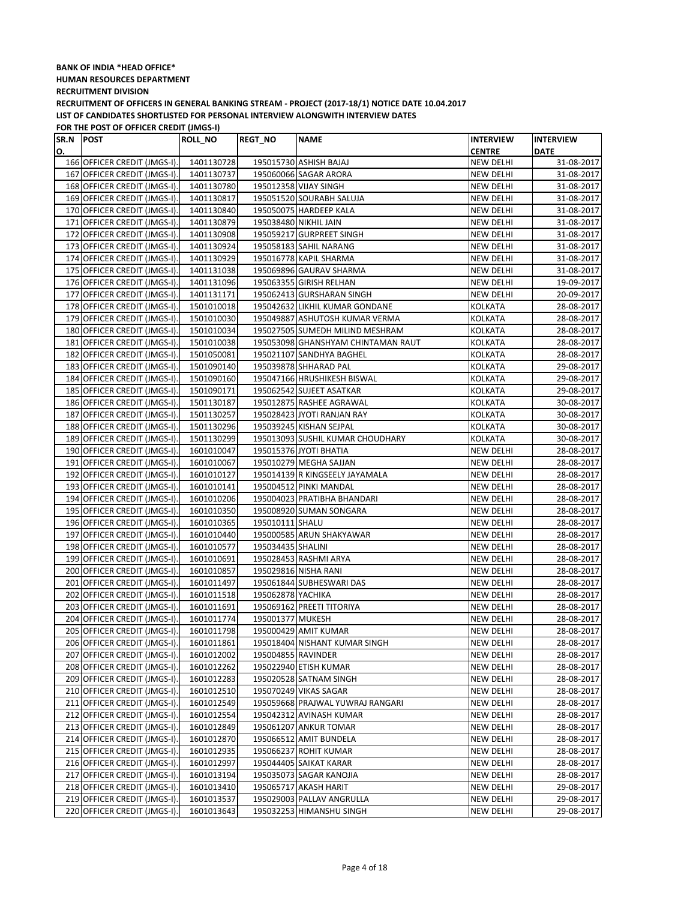| SR.N POST |                                                              | ROLL_NO                  | <b>REGT_NO</b>     | <b>NAME</b>                                           | <b>INTERVIEW</b>       | <b>INTERVIEW</b>         |
|-----------|--------------------------------------------------------------|--------------------------|--------------------|-------------------------------------------------------|------------------------|--------------------------|
| О.        |                                                              |                          |                    |                                                       | <b>CENTRE</b>          | <b>DATE</b>              |
|           | 166 OFFICER CREDIT (JMGS-I).                                 | 1401130728               |                    | 195015730 ASHISH BAJAJ                                | <b>NEW DELHI</b>       | 31-08-2017               |
|           | 167 OFFICER CREDIT (JMGS-I).                                 | 1401130737               |                    | 195060066 SAGAR ARORA                                 | NEW DELHI              | 31-08-2017               |
|           | 168 OFFICER CREDIT (JMGS-I).                                 | 1401130780               |                    | 195012358 VIJAY SINGH                                 | NEW DELHI              | 31-08-2017               |
|           | 169 OFFICER CREDIT (JMGS-I).                                 | 1401130817               |                    | 195051520 SOURABH SALUJA                              | <b>NEW DELHI</b>       | 31-08-2017               |
|           | 170 OFFICER CREDIT (JMGS-I).                                 | 1401130840               |                    | 195050075 HARDEEP KALA                                | <b>NEW DELHI</b>       | 31-08-2017               |
|           | 171 OFFICER CREDIT (JMGS-I).                                 | 1401130879               |                    | 195038480 NIKHIL JAIN                                 | NEW DELHI              | 31-08-2017               |
|           | 172 OFFICER CREDIT (JMGS-I).                                 | 1401130908               |                    | 195059217 GURPREET SINGH                              | NEW DELHI              | 31-08-2017               |
|           | 173 OFFICER CREDIT (JMGS-I).                                 | 1401130924               |                    | 195058183 SAHIL NARANG                                | NEW DELHI              | 31-08-2017               |
|           | 174 OFFICER CREDIT (JMGS-I).                                 | 1401130929               |                    | 195016778 KAPIL SHARMA                                | NEW DELHI              | 31-08-2017               |
|           | 175 OFFICER CREDIT (JMGS-I).                                 | 1401131038               |                    | 195069896 GAURAV SHARMA                               | NEW DELHI              | 31-08-2017               |
|           | 176 OFFICER CREDIT (JMGS-I).                                 | 1401131096               |                    | 195063355 GIRISH RELHAN                               | NEW DELHI              | 19-09-2017               |
|           | 177 OFFICER CREDIT (JMGS-I).                                 | 1401131171               |                    | 195062413 GURSHARAN SINGH                             | <b>NEW DELHI</b>       | 20-09-2017               |
|           | 178 OFFICER CREDIT (JMGS-I).                                 | 1501010018               |                    | 195042632 LIKHIL KUMAR GONDANE                        | KOLKATA                | 28-08-2017               |
|           | 179 OFFICER CREDIT (JMGS-I).                                 | 1501010030               |                    | 195049887 ASHUTOSH KUMAR VERMA                        | KOLKATA                | 28-08-2017               |
|           | 180 OFFICER CREDIT (JMGS-I).                                 | 1501010034               |                    | 195027505 SUMEDH MILIND MESHRAM                       | KOLKATA                | 28-08-2017               |
|           | 181 OFFICER CREDIT (JMGS-I).                                 | 1501010038               |                    | 195053098 GHANSHYAM CHINTAMAN RAUT                    | KOLKATA                | 28-08-2017               |
|           | 182 OFFICER CREDIT (JMGS-I).                                 | 1501050081               |                    | 195021107 SANDHYA BAGHEL                              | KOLKATA                | 28-08-2017               |
|           | 183 OFFICER CREDIT (JMGS-I).                                 | 1501090140               |                    | 195039878 SHHARAD PAL                                 | KOLKATA                | 29-08-2017               |
|           | 184 OFFICER CREDIT (JMGS-I).                                 | 1501090160               |                    | 195047166 HRUSHIKESH BISWAL                           | <b>KOLKATA</b>         | 29-08-2017               |
|           | 185 OFFICER CREDIT (JMGS-I).                                 | 1501090171               |                    | 195062542 SUJEET ASATKAR                              | KOLKATA                | 29-08-2017               |
|           | 186 OFFICER CREDIT (JMGS-I).                                 | 1501130187               |                    | 195012875 RASHEE AGRAWAL                              | <b>KOLKATA</b>         | 30-08-2017               |
|           | 187 OFFICER CREDIT (JMGS-I).                                 | 1501130257               |                    | 195028423 JYOTI RANJAN RAY                            | <b>KOLKATA</b>         | 30-08-2017               |
|           | 188 OFFICER CREDIT (JMGS-I).                                 | 1501130296               |                    | 195039245 KISHAN SEJPAL                               | KOLKATA                | 30-08-2017               |
|           | 189 OFFICER CREDIT (JMGS-I).                                 | 1501130299               |                    | 195013093 SUSHIL KUMAR CHOUDHARY                      | KOLKATA                | 30-08-2017               |
|           | 190 OFFICER CREDIT (JMGS-I).                                 | 1601010047               |                    | 195015376 JYOTI BHATIA                                | <b>NEW DELHI</b>       | 28-08-2017               |
|           | 191 OFFICER CREDIT (JMGS-I).                                 | 1601010067               |                    | 195010279 MEGHA SAJJAN                                | <b>NEW DELHI</b>       | 28-08-2017               |
|           | 192 OFFICER CREDIT (JMGS-I).                                 | 1601010127               |                    | 195014139 R KINGSEELY JAYAMALA                        | NEW DELHI              | 28-08-2017               |
|           | 193 OFFICER CREDIT (JMGS-I).                                 | 1601010141               |                    | 195004512 PINKI MANDAL                                | <b>NEW DELHI</b>       | 28-08-2017               |
|           | 194 OFFICER CREDIT (JMGS-I).                                 | 1601010206               |                    | 195004023 PRATIBHA BHANDARI                           | <b>NEW DELHI</b>       | 28-08-2017               |
|           | 195 OFFICER CREDIT (JMGS-I).                                 | 1601010350               |                    | 195008920 SUMAN SONGARA                               | <b>NEW DELHI</b>       | 28-08-2017               |
|           | 196 OFFICER CREDIT (JMGS-I).                                 | 1601010365               | 195010111 SHALU    |                                                       | NEW DELHI              | 28-08-2017               |
|           | 197 OFFICER CREDIT (JMGS-I).                                 | 1601010440               |                    | 195000585 ARUN SHAKYAWAR                              | NEW DELHI              | 28-08-2017               |
|           | 198 OFFICER CREDIT (JMGS-I).                                 | 1601010577               | 195034435 SHALINI  |                                                       | NEW DELHI              | 28-08-2017               |
|           | 199 OFFICER CREDIT (JMGS-I).                                 | 1601010691               |                    | 195028453 RASHMI ARYA                                 | NEW DELHI              | 28-08-2017               |
|           | 200 OFFICER CREDIT (JMGS-I).                                 | 1601010857               |                    | 195029816 NISHA RANI                                  | NEW DELHI              | 28-08-2017               |
|           | 201 OFFICER CREDIT (JMGS-I).                                 | 1601011497               |                    | 195061844 SUBHESWARI DAS                              | NEW DELHI              | 28-08-2017               |
|           | 202 OFFICER CREDIT (JMGS-I).                                 | 1601011518               | 195062878 YACHIKA  |                                                       | <b>NEW DELHI</b>       | 28-08-2017               |
|           | 203 OFFICER CREDIT (JMGS-I).                                 | 1601011691               |                    | 195069162 PREETI TITORIYA                             | NEW DELHI              | 28-08-2017               |
|           | 204 OFFICER CREDIT (JMGS-I).                                 | 1601011774               | 195001377 MUKESH   |                                                       | NEW DELHI              | 28-08-2017               |
|           | 205 OFFICER CREDIT (JMGS-I).                                 | 1601011798               |                    | 195000429 AMIT KUMAR                                  | <b>NEW DELHI</b>       | 28-08-2017               |
|           | 206 OFFICER CREDIT (JMGS-I).                                 | 1601011861               |                    | 195018404 NISHANT KUMAR SINGH                         | NEW DELHI              | 28-08-2017               |
|           | 207 OFFICER CREDIT (JMGS-I).                                 | 1601012002               | 195004855 RAVINDER |                                                       | NEW DELHI              | 28-08-2017               |
|           | 208 OFFICER CREDIT (JMGS-I).                                 | 1601012262               |                    | 195022940 ETISH KUMAR                                 | NEW DELHI              | 28-08-2017               |
|           | 209 OFFICER CREDIT (JMGS-I).                                 | 1601012283               |                    | 195020528 SATNAM SINGH                                | NEW DELHI              | 28-08-2017               |
|           | 210 OFFICER CREDIT (JMGS-I).                                 | 1601012510               |                    | 195070249 VIKAS SAGAR                                 | NEW DELHI              | 28-08-2017               |
|           | 211 OFFICER CREDIT (JMGS-I).                                 | 1601012549               |                    | 195059668 PRAJWAL YUWRAJ RANGARI                      | NEW DELHI              | 28-08-2017               |
|           | 212 OFFICER CREDIT (JMGS-I).                                 | 1601012554               |                    | 195042312 AVINASH KUMAR                               | NEW DELHI              | 28-08-2017               |
|           | 213 OFFICER CREDIT (JMGS-I).                                 | 1601012849               |                    | 195061207 ANKUR TOMAR                                 | NEW DELHI              | 28-08-2017               |
|           | 214 OFFICER CREDIT (JMGS-I).                                 | 1601012870               |                    | 195066512 AMIT BUNDELA                                | NEW DELHI              | 28-08-2017               |
|           | 215 OFFICER CREDIT (JMGS-I).                                 | 1601012935               |                    | 195066237 ROHIT KUMAR                                 | NEW DELHI              | 28-08-2017               |
|           | 216 OFFICER CREDIT (JMGS-I).                                 | 1601012997               |                    | 195044405 SAIKAT KARAR                                | NEW DELHI              | 28-08-2017               |
|           | 217 OFFICER CREDIT (JMGS-I).                                 | 1601013194               |                    | 195035073 SAGAR KANOJIA                               | NEW DELHI              | 28-08-2017               |
|           | 218 OFFICER CREDIT (JMGS-I).                                 | 1601013410               |                    | 195065717 AKASH HARIT                                 | NEW DELHI              | 29-08-2017               |
|           | 219 OFFICER CREDIT (JMGS-I).<br>220 OFFICER CREDIT (JMGS-I). | 1601013537<br>1601013643 |                    | 195029003 PALLAV ANGRULLA<br>195032253 HIMANSHU SINGH | NEW DELHI<br>NEW DELHI | 29-08-2017<br>29-08-2017 |
|           |                                                              |                          |                    |                                                       |                        |                          |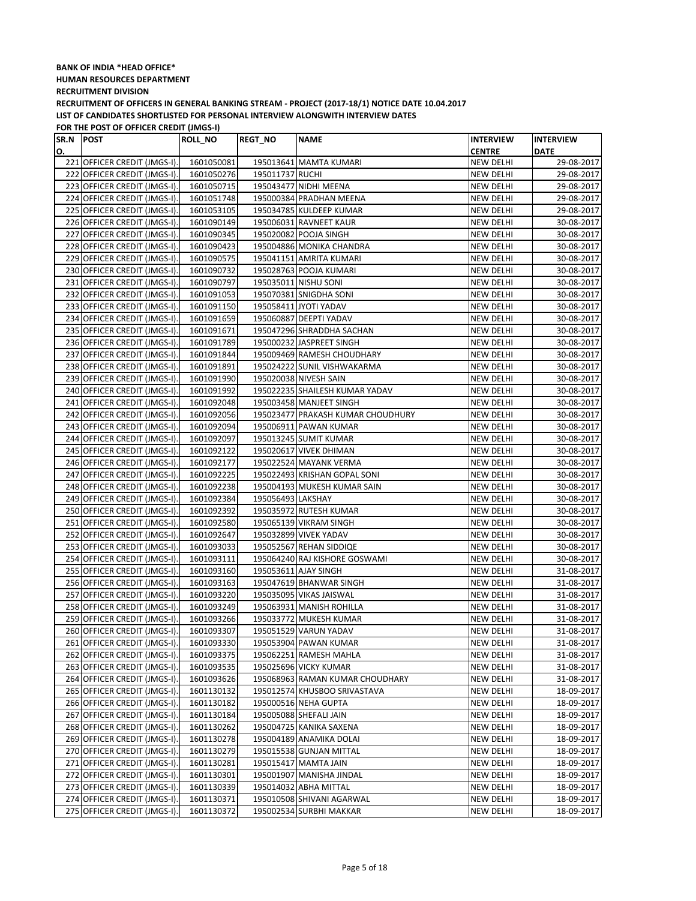| SR.N POST |                              | ROLL_NO    | <b>REGT_NO</b>    | <b>NAME</b>                       | <b>INTERVIEW</b> | <b>INTERVIEW</b> |
|-----------|------------------------------|------------|-------------------|-----------------------------------|------------------|------------------|
| О.        |                              |            |                   |                                   | <b>CENTRE</b>    | <b>DATE</b>      |
|           | 221 OFFICER CREDIT (JMGS-I). | 1601050081 |                   | 195013641 MAMTA KUMARI            | <b>NEW DELHI</b> | 29-08-2017       |
|           | 222 OFFICER CREDIT (JMGS-I). | 1601050276 | 195011737 RUCHI   |                                   | <b>NEW DELHI</b> | 29-08-2017       |
|           | 223 OFFICER CREDIT (JMGS-I). | 1601050715 |                   | 195043477 NIDHI MEENA             | <b>NEW DELHI</b> | 29-08-2017       |
|           | 224 OFFICER CREDIT (JMGS-I). | 1601051748 |                   | 195000384 PRADHAN MEENA           | <b>NEW DELHI</b> | 29-08-2017       |
|           | 225 OFFICER CREDIT (JMGS-I). | 1601053105 |                   | 195034785 KULDEEP KUMAR           | NEW DELHI        | 29-08-2017       |
|           | 226 OFFICER CREDIT (JMGS-I). | 1601090149 |                   | 195006031 RAVNEET KAUR            | NEW DELHI        | 30-08-2017       |
|           | 227 OFFICER CREDIT (JMGS-I). | 1601090345 |                   | 195020082 POOJA SINGH             | NEW DELHI        | 30-08-2017       |
|           | 228 OFFICER CREDIT (JMGS-I). | 1601090423 |                   | 195004886 MONIKA CHANDRA          | NEW DELHI        | 30-08-2017       |
|           | 229 OFFICER CREDIT (JMGS-I). | 1601090575 |                   | 195041151 AMRITA KUMARI           | NEW DELHI        | 30-08-2017       |
|           | 230 OFFICER CREDIT (JMGS-I). | 1601090732 |                   | 195028763 POOJA KUMARI            | NEW DELHI        | 30-08-2017       |
|           | 231 OFFICER CREDIT (JMGS-I). | 1601090797 |                   | 195035011 NISHU SONI              | NEW DELHI        | 30-08-2017       |
|           | 232 OFFICER CREDIT (JMGS-I). | 1601091053 |                   | 195070381 SNIGDHA SONI            | <b>NEW DELHI</b> | 30-08-2017       |
|           | 233 OFFICER CREDIT (JMGS-I). | 1601091150 |                   | 195058411 JYOTI YADAV             | <b>NEW DELHI</b> | 30-08-2017       |
|           | 234 OFFICER CREDIT (JMGS-I). | 1601091659 |                   | 195060887 DEEPTI YADAV            | <b>NEW DELHI</b> | 30-08-2017       |
|           | 235 OFFICER CREDIT (JMGS-I). | 1601091671 |                   | 195047296 SHRADDHA SACHAN         | NEW DELHI        | 30-08-2017       |
|           | 236 OFFICER CREDIT (JMGS-I). | 1601091789 |                   | 195000232 JASPREET SINGH          | NEW DELHI        | 30-08-2017       |
|           | 237 OFFICER CREDIT (JMGS-I). | 1601091844 |                   | 195009469 RAMESH CHOUDHARY        | NEW DELHI        | 30-08-2017       |
|           | 238 OFFICER CREDIT (JMGS-I). | 1601091891 |                   | 195024222 SUNIL VISHWAKARMA       | NEW DELHI        | 30-08-2017       |
|           | 239 OFFICER CREDIT (JMGS-I). | 1601091990 |                   | 195020038 NIVESH SAIN             | NEW DELHI        | 30-08-2017       |
|           | 240 OFFICER CREDIT (JMGS-I). | 1601091992 |                   | 195022235 SHAILESH KUMAR YADAV    | <b>NEW DELHI</b> | 30-08-2017       |
|           | 241 OFFICER CREDIT (JMGS-I). | 1601092048 |                   | 195003458 MANJEET SINGH           | <b>NEW DELHI</b> | 30-08-2017       |
|           | 242 OFFICER CREDIT (JMGS-I). | 1601092056 |                   | 195023477 PRAKASH KUMAR CHOUDHURY | <b>NEW DELHI</b> | 30-08-2017       |
|           | 243 OFFICER CREDIT (JMGS-I). | 1601092094 |                   | 195006911 PAWAN KUMAR             | NEW DELHI        | 30-08-2017       |
|           | 244 OFFICER CREDIT (JMGS-I). | 1601092097 |                   | 195013245 SUMIT KUMAR             | <b>NEW DELHI</b> | 30-08-2017       |
|           | 245 OFFICER CREDIT (JMGS-I). | 1601092122 |                   | 195020617 VIVEK DHIMAN            | <b>NEW DELHI</b> | 30-08-2017       |
|           | 246 OFFICER CREDIT (JMGS-I). | 1601092177 |                   | 195022524 MAYANK VERMA            | <b>NEW DELHI</b> | 30-08-2017       |
|           | 247 OFFICER CREDIT (JMGS-I). | 1601092225 |                   | 195022493 KRISHAN GOPAL SONI      | NEW DELHI        | 30-08-2017       |
|           | 248 OFFICER CREDIT (JMGS-I). | 1601092238 |                   | 195004193 MUKESH KUMAR SAIN       | <b>NEW DELHI</b> | 30-08-2017       |
|           | 249 OFFICER CREDIT (JMGS-I). | 1601092384 | 195056493 LAKSHAY |                                   | NEW DELHI        | 30-08-2017       |
|           | 250 OFFICER CREDIT (JMGS-I). | 1601092392 |                   | 195035972 RUTESH KUMAR            | NEW DELHI        | 30-08-2017       |
|           | 251 OFFICER CREDIT (JMGS-I). | 1601092580 |                   | 195065139 VIKRAM SINGH            | NEW DELHI        | 30-08-2017       |
|           | 252 OFFICER CREDIT (JMGS-I). | 1601092647 |                   | 195032899 VIVEK YADAV             | NEW DELHI        | 30-08-2017       |
|           | 253 OFFICER CREDIT (JMGS-I). | 1601093033 |                   | 195052567 REHAN SIDDIQE           | NEW DELHI        | 30-08-2017       |
|           | 254 OFFICER CREDIT (JMGS-I). | 1601093111 |                   | 195064240 RAJ KISHORE GOSWAMI     | <b>NEW DELHI</b> | 30-08-2017       |
|           | 255 OFFICER CREDIT (JMGS-I). | 1601093160 |                   | 195053611 AJAY SINGH              | NEW DELHI        | 31-08-2017       |
|           | 256 OFFICER CREDIT (JMGS-I). | 1601093163 |                   | 195047619 BHANWAR SINGH           | NEW DELHI        | 31-08-2017       |
|           | 257 OFFICER CREDIT (JMGS-I). | 1601093220 |                   | 195035095 VIKAS JAISWAL           | <b>NEW DELHI</b> | 31-08-2017       |
|           | 258 OFFICER CREDIT (JMGS-I). | 1601093249 |                   | 195063931 MANISH ROHILLA          | NEW DELHI        | 31-08-2017       |
|           | 259 OFFICER CREDIT (JMGS-I). | 1601093266 |                   | 195033772 MUKESH KUMAR            | NEW DELHI        | 31-08-2017       |
|           | 260 OFFICER CREDIT (JMGS-I). | 1601093307 |                   | 195051529 VARUN YADAV             | NEW DELHI        | 31-08-2017       |
|           | 261 OFFICER CREDIT (JMGS-I). | 1601093330 |                   | 195053904 PAWAN KUMAR             | NEW DELHI        | 31-08-2017       |
|           | 262 OFFICER CREDIT (JMGS-I). | 1601093375 |                   | 195062251 RAMESH MAHLA            | NEW DELHI        | 31-08-2017       |
|           | 263 OFFICER CREDIT (JMGS-I). | 1601093535 |                   | 195025696 VICKY KUMAR             | NEW DELHI        | 31-08-2017       |
|           | 264 OFFICER CREDIT (JMGS-I). | 1601093626 |                   | 195068963 RAMAN KUMAR CHOUDHARY   | NEW DELHI        | 31-08-2017       |
|           | 265 OFFICER CREDIT (JMGS-I). | 1601130132 |                   | 195012574 KHUSBOO SRIVASTAVA      | NEW DELHI        | 18-09-2017       |
|           | 266 OFFICER CREDIT (JMGS-I). | 1601130182 |                   | 195000516 NEHA GUPTA              | <b>NEW DELHI</b> | 18-09-2017       |
|           | 267 OFFICER CREDIT (JMGS-I). | 1601130184 |                   | 195005088 SHEFALI JAIN            | <b>NEW DELHI</b> | 18-09-2017       |
|           | 268 OFFICER CREDIT (JMGS-I). | 1601130262 |                   | 195004725 KANIKA SAXENA           | NEW DELHI        | 18-09-2017       |
|           | 269 OFFICER CREDIT (JMGS-I). | 1601130278 |                   | 195004189 ANAMIKA DOLAI           | <b>NEW DELHI</b> | 18-09-2017       |
|           | 270 OFFICER CREDIT (JMGS-I). | 1601130279 |                   | 195015538 GUNJAN MITTAL           | NEW DELHI        | 18-09-2017       |
|           | 271 OFFICER CREDIT (JMGS-I). | 1601130281 |                   | 195015417 MAMTA JAIN              | NEW DELHI        | 18-09-2017       |
|           | 272 OFFICER CREDIT (JMGS-I). | 1601130301 |                   | 195001907 MANISHA JINDAL          | NEW DELHI        | 18-09-2017       |
|           | 273 OFFICER CREDIT (JMGS-I). | 1601130339 |                   | 195014032 ABHA MITTAL             | <b>NEW DELHI</b> | 18-09-2017       |
|           | 274 OFFICER CREDIT (JMGS-I). | 1601130371 |                   | 195010508 SHIVANI AGARWAL         | NEW DELHI        | 18-09-2017       |
|           | 275 OFFICER CREDIT (JMGS-I). | 1601130372 |                   | 195002534 SURBHI MAKKAR           | <b>NEW DELHI</b> | 18-09-2017       |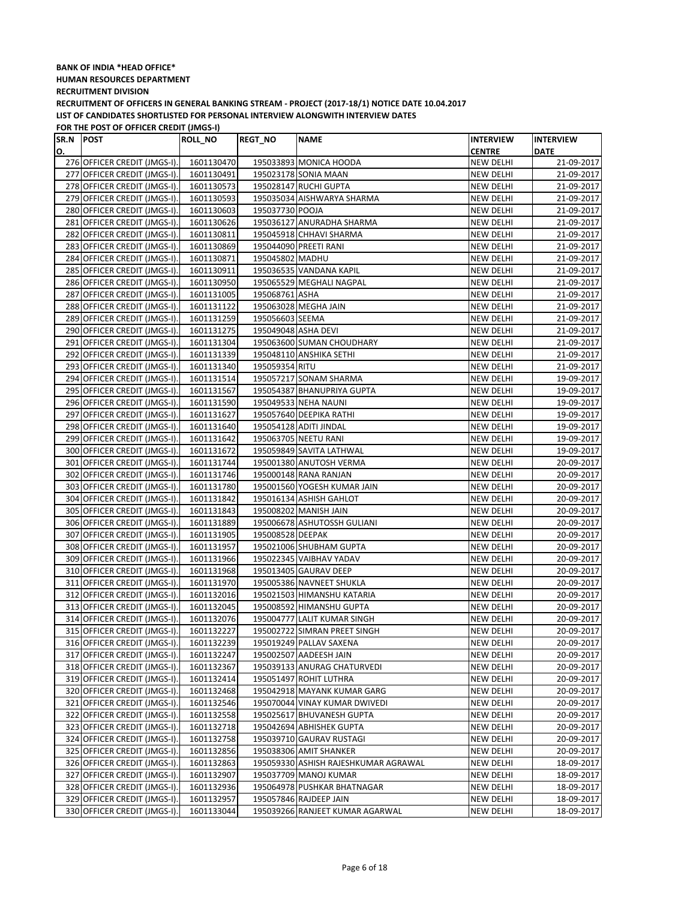#### **BANK OF INDIA \*HEAD OFFICE\* HUMAN RESOURCES DEPARTMENT RECRUITMENT DIVISION RECRUITMENT OF OFFICERS IN GENERAL BANKING STREAM - PROJECT (2017-18/1) NOTICE DATE 10.04.2017**

**LIST OF CANDIDATES SHORTLISTED FOR PERSONAL INTERVIEW ALONGWITH INTERVIEW DATES**

| <b>CENTRE</b><br>О.<br>276 OFFICER CREDIT (JMGS-I).<br>1601130470<br>195033893 MONICA HOODA<br>NEW DELHI<br>195023178 SONIA MAAN<br>277 OFFICER CREDIT (JMGS-I).<br>1601130491<br>NEW DELHI<br>278 OFFICER CREDIT (JMGS-I).<br>195028147 RUCHI GUPTA<br>1601130573<br><b>NEW DELHI</b><br>279 OFFICER CREDIT (JMGS-I).<br>1601130593<br>195035034 AISHWARYA SHARMA<br><b>NEW DELHI</b><br>280 OFFICER CREDIT (JMGS-I).<br>195037730 POOJA<br><b>NEW DELHI</b><br>1601130603 | <b>DATE</b>              |
|-----------------------------------------------------------------------------------------------------------------------------------------------------------------------------------------------------------------------------------------------------------------------------------------------------------------------------------------------------------------------------------------------------------------------------------------------------------------------------|--------------------------|
|                                                                                                                                                                                                                                                                                                                                                                                                                                                                             |                          |
|                                                                                                                                                                                                                                                                                                                                                                                                                                                                             | 21-09-2017               |
|                                                                                                                                                                                                                                                                                                                                                                                                                                                                             | 21-09-2017               |
|                                                                                                                                                                                                                                                                                                                                                                                                                                                                             | 21-09-2017               |
|                                                                                                                                                                                                                                                                                                                                                                                                                                                                             | 21-09-2017               |
|                                                                                                                                                                                                                                                                                                                                                                                                                                                                             | 21-09-2017               |
| 281 OFFICER CREDIT (JMGS-I).<br>195036127 ANURADHA SHARMA<br>1601130626<br><b>NEW DELHI</b>                                                                                                                                                                                                                                                                                                                                                                                 | 21-09-2017               |
| 282 OFFICER CREDIT (JMGS-I).<br>1601130811<br>195045918 CHHAVI SHARMA<br><b>NEW DELHI</b>                                                                                                                                                                                                                                                                                                                                                                                   | 21-09-2017               |
| 283 OFFICER CREDIT (JMGS-I).<br>1601130869<br>195044090 PREETI RANI<br><b>NEW DELHI</b>                                                                                                                                                                                                                                                                                                                                                                                     | 21-09-2017               |
| 284 OFFICER CREDIT (JMGS-I).<br>1601130871<br>195045802 MADHU<br>NEW DELHI                                                                                                                                                                                                                                                                                                                                                                                                  | 21-09-2017               |
| 285 OFFICER CREDIT (JMGS-I).<br>1601130911<br>195036535 VANDANA KAPIL<br>NEW DELHI                                                                                                                                                                                                                                                                                                                                                                                          | 21-09-2017               |
| 286 OFFICER CREDIT (JMGS-I).<br>195065529 MEGHALI NAGPAL<br>1601130950<br><b>NEW DELHI</b>                                                                                                                                                                                                                                                                                                                                                                                  | 21-09-2017               |
| 287 OFFICER CREDIT (JMGS-I).<br>1601131005<br>195068761 ASHA<br>NEW DELHI                                                                                                                                                                                                                                                                                                                                                                                                   | 21-09-2017               |
| 288 OFFICER CREDIT (JMGS-I).<br>1601131122<br>195063028 MEGHA JAIN<br>NEW DELHI                                                                                                                                                                                                                                                                                                                                                                                             | 21-09-2017               |
| 289 OFFICER CREDIT (JMGS-I).<br>195056603 SEEMA<br>1601131259<br>NEW DELHI                                                                                                                                                                                                                                                                                                                                                                                                  | 21-09-2017               |
| 290 OFFICER CREDIT (JMGS-I).<br>1601131275<br>195049048 ASHA DEVI<br><b>NEW DELHI</b>                                                                                                                                                                                                                                                                                                                                                                                       | 21-09-2017               |
| 291 OFFICER CREDIT (JMGS-I).<br>1601131304<br>195063600 SUMAN CHOUDHARY<br><b>NEW DELHI</b>                                                                                                                                                                                                                                                                                                                                                                                 | 21-09-2017               |
| 292 OFFICER CREDIT (JMGS-I).<br>195048110 ANSHIKA SETHI<br>NEW DELHI<br>1601131339                                                                                                                                                                                                                                                                                                                                                                                          | 21-09-2017               |
| 293 OFFICER CREDIT (JMGS-I).<br>195059354 RITU<br>1601131340<br><b>NEW DELHI</b>                                                                                                                                                                                                                                                                                                                                                                                            | 21-09-2017               |
| 294 OFFICER CREDIT (JMGS-I).<br>1601131514<br>195057217 SONAM SHARMA<br><b>NEW DELHI</b>                                                                                                                                                                                                                                                                                                                                                                                    | 19-09-2017               |
| 295 OFFICER CREDIT (JMGS-I).<br>1601131567<br>195054387 BHANUPRIYA GUPTA<br><b>NEW DELHI</b>                                                                                                                                                                                                                                                                                                                                                                                | 19-09-2017               |
| 296 OFFICER CREDIT (JMGS-I).<br>1601131590<br>195049533 NEHA NAUNI<br><b>NEW DELHI</b>                                                                                                                                                                                                                                                                                                                                                                                      | 19-09-2017               |
| 297 OFFICER CREDIT (JMGS-I).<br>1601131627<br>195057640 DEEPIKA RATHI<br><b>NEW DELHI</b>                                                                                                                                                                                                                                                                                                                                                                                   | 19-09-2017               |
| 298 OFFICER CREDIT (JMGS-I).<br>195054128 ADITI JINDAL<br><b>NEW DELHI</b><br>1601131640                                                                                                                                                                                                                                                                                                                                                                                    | 19-09-2017               |
| 299 OFFICER CREDIT (JMGS-I).<br>1601131642<br>195063705 NEETU RANI<br><b>NEW DELHI</b>                                                                                                                                                                                                                                                                                                                                                                                      | 19-09-2017               |
| 300 OFFICER CREDIT (JMGS-I).<br>1601131672<br>195059849 SAVITA LATHWAL<br>NEW DELHI                                                                                                                                                                                                                                                                                                                                                                                         | 19-09-2017               |
| 301 OFFICER CREDIT (JMGS-I).<br>1601131744<br>195001380 ANUTOSH VERMA<br>NEW DELHI                                                                                                                                                                                                                                                                                                                                                                                          | 20-09-2017               |
| 302 OFFICER CREDIT (JMGS-I).<br>1601131746<br>195000148 RANA RANJAN<br>NEW DELHI                                                                                                                                                                                                                                                                                                                                                                                            | 20-09-2017               |
| 303 OFFICER CREDIT (JMGS-I).<br>195001560 YOGESH KUMAR JAIN<br>NEW DELHI<br>1601131780                                                                                                                                                                                                                                                                                                                                                                                      | 20-09-2017               |
| 304 OFFICER CREDIT (JMGS-I).<br>1601131842<br>195016134 ASHISH GAHLOT<br><b>NEW DELHI</b>                                                                                                                                                                                                                                                                                                                                                                                   | 20-09-2017               |
| 305 OFFICER CREDIT (JMGS-I).<br>1601131843<br>195008202 MANISH JAIN<br>NEW DELHI                                                                                                                                                                                                                                                                                                                                                                                            | 20-09-2017               |
| 306 OFFICER CREDIT (JMGS-I).<br>1601131889<br>195006678 ASHUTOSSH GULIANI<br>NEW DELHI                                                                                                                                                                                                                                                                                                                                                                                      | 20-09-2017               |
| 307 OFFICER CREDIT (JMGS-I).<br>1601131905<br>195008528 DEEPAK<br><b>NEW DELHI</b>                                                                                                                                                                                                                                                                                                                                                                                          | 20-09-2017               |
| 308 OFFICER CREDIT (JMGS-I).<br>1601131957<br>195021006 SHUBHAM GUPTA<br><b>NEW DELHI</b>                                                                                                                                                                                                                                                                                                                                                                                   | 20-09-2017               |
| 309 OFFICER CREDIT (JMGS-I).<br>1601131966<br>195022345 VAIBHAV YADAV<br>NEW DELHI                                                                                                                                                                                                                                                                                                                                                                                          | 20-09-2017               |
| 310 OFFICER CREDIT (JMGS-I).<br>195013405 GAURAV DEEP<br>1601131968<br>NEW DELHI                                                                                                                                                                                                                                                                                                                                                                                            | 20-09-2017               |
| 311 OFFICER CREDIT (JMGS-I).<br>1601131970<br>195005386 NAVNEET SHUKLA<br>NEW DELHI                                                                                                                                                                                                                                                                                                                                                                                         | 20-09-2017               |
| 312 OFFICER CREDIT (JMGS-I).<br>1601132016<br>195021503 HIMANSHU KATARIA<br><b>NEW DELHI</b>                                                                                                                                                                                                                                                                                                                                                                                | 20-09-2017               |
| 313 OFFICER CREDIT (JMGS-I).<br>1601132045<br>195008592 HIMANSHU GUPTA<br><b>NEW DELHI</b>                                                                                                                                                                                                                                                                                                                                                                                  | 20-09-2017               |
| 314 OFFICER CREDIT (JMGS-I).<br>1601132076<br>195004777 LALIT KUMAR SINGH<br>NEW DELHI                                                                                                                                                                                                                                                                                                                                                                                      | 20-09-2017               |
| 315 OFFICER CREDIT (JMGS-I).<br>195002722 SIMRAN PREET SINGH<br>1601132227<br><b>NEW DELHI</b>                                                                                                                                                                                                                                                                                                                                                                              | 20-09-2017               |
| 316 OFFICER CREDIT (JMGS-I).<br>1601132239<br>195019249 PALLAV SAXENA<br>NEW DELHI                                                                                                                                                                                                                                                                                                                                                                                          | 20-09-2017               |
| 317 OFFICER CREDIT (JMGS-I).<br>195002507 AADEESH JAIN<br>1601132247<br>NEW DELHI                                                                                                                                                                                                                                                                                                                                                                                           | 20-09-2017               |
| 318 OFFICER CREDIT (JMGS-I).<br>1601132367<br>195039133 ANURAG CHATURVEDI<br>NEW DELHI                                                                                                                                                                                                                                                                                                                                                                                      | 20-09-2017               |
| 319 OFFICER CREDIT (JMGS-I).<br>195051497 ROHIT LUTHRA<br>1601132414<br>NEW DELHI                                                                                                                                                                                                                                                                                                                                                                                           | 20-09-2017               |
| 320 OFFICER CREDIT (JMGS-I).<br>1601132468<br>195042918 MAYANK KUMAR GARG<br>NEW DELHI                                                                                                                                                                                                                                                                                                                                                                                      | 20-09-2017               |
| 321 OFFICER CREDIT (JMGS-I).<br>1601132546<br>195070044 VINAY KUMAR DWIVEDI<br>NEW DELHI                                                                                                                                                                                                                                                                                                                                                                                    | 20-09-2017               |
| 322 OFFICER CREDIT (JMGS-I).<br>1601132558<br>195025617 BHUVANESH GUPTA<br>NEW DELHI                                                                                                                                                                                                                                                                                                                                                                                        | 20-09-2017               |
| 323 OFFICER CREDIT (JMGS-I).<br>1601132718<br>195042694 ABHISHEK GUPTA<br>NEW DELHI<br>1601132758                                                                                                                                                                                                                                                                                                                                                                           | 20-09-2017               |
| 324 OFFICER CREDIT (JMGS-I).<br>195039710 GAURAV RUSTAGI<br>NEW DELHI<br>325 OFFICER CREDIT (JMGS-I).                                                                                                                                                                                                                                                                                                                                                                       | 20-09-2017               |
| 1601132856<br>195038306 AMIT SHANKER<br>NEW DELHI<br>326 OFFICER CREDIT (JMGS-I).<br>1601132863<br>195059330 ASHISH RAJESHKUMAR AGRAWAL<br>NEW DELHI                                                                                                                                                                                                                                                                                                                        | 20-09-2017<br>18-09-2017 |
| 327 OFFICER CREDIT (JMGS-I).<br>1601132907<br>195037709 MANOJ KUMAR<br>NEW DELHI                                                                                                                                                                                                                                                                                                                                                                                            | 18-09-2017               |
| 328 OFFICER CREDIT (JMGS-I).<br>1601132936<br>195064978 PUSHKAR BHATNAGAR<br>NEW DELHI                                                                                                                                                                                                                                                                                                                                                                                      | 18-09-2017               |
| 329 OFFICER CREDIT (JMGS-I).<br>1601132957<br>195057846 RAJDEEP JAIN<br>NEW DELHI                                                                                                                                                                                                                                                                                                                                                                                           | 18-09-2017               |
| 330 OFFICER CREDIT (JMGS-I).<br>1601133044<br>195039266 RANJEET KUMAR AGARWAL<br>NEW DELHI                                                                                                                                                                                                                                                                                                                                                                                  | 18-09-2017               |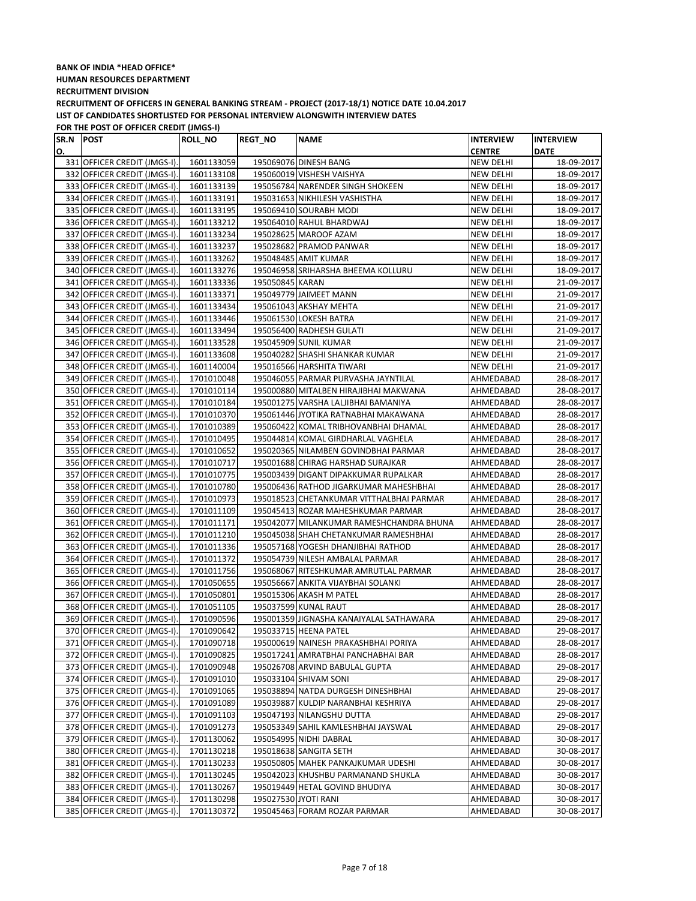| SR.N POST |                              | <b>ROLL NO</b> | <b>REGT_NO</b>  | <b>NAME</b>                              | <b>INTERVIEW</b> | <b>INTERVIEW</b> |
|-----------|------------------------------|----------------|-----------------|------------------------------------------|------------------|------------------|
| О.        |                              |                |                 |                                          | <b>CENTRE</b>    | <b>DATE</b>      |
|           | 331 OFFICER CREDIT (JMGS-I). | 1601133059     |                 | 195069076 DINESH BANG                    | NEW DELHI        | 18-09-2017       |
|           | 332 OFFICER CREDIT (JMGS-I). | 1601133108     |                 | 195060019 VISHESH VAISHYA                | NEW DELHI        | 18-09-2017       |
|           | 333 OFFICER CREDIT (JMGS-I). | 1601133139     |                 | 195056784 NARENDER SINGH SHOKEEN         | NEW DELHI        | 18-09-2017       |
|           | 334 OFFICER CREDIT (JMGS-I). | 1601133191     |                 | 195031653 NIKHILESH VASHISTHA            | <b>NEW DELHI</b> | 18-09-2017       |
|           | 335 OFFICER CREDIT (JMGS-I). | 1601133195     |                 | 195069410 SOURABH MODI                   | NEW DELHI        | 18-09-2017       |
|           | 336 OFFICER CREDIT (JMGS-I). | 1601133212     |                 | 195064010 RAHUL BHARDWAJ                 | NEW DELHI        | 18-09-2017       |
|           | 337 OFFICER CREDIT (JMGS-I). | 1601133234     |                 | 195028625 MAROOF AZAM                    | NEW DELHI        | 18-09-2017       |
|           | 338 OFFICER CREDIT (JMGS-I). | 1601133237     |                 | 195028682 PRAMOD PANWAR                  | <b>NEW DELHI</b> | 18-09-2017       |
|           | 339 OFFICER CREDIT (JMGS-I). | 1601133262     |                 | 195048485 AMIT KUMAR                     | NEW DELHI        | 18-09-2017       |
|           | 340 OFFICER CREDIT (JMGS-I). | 1601133276     |                 | 195046958 SRIHARSHA BHEEMA KOLLURU       | <b>NEW DELHI</b> | 18-09-2017       |
|           | 341 OFFICER CREDIT (JMGS-I). | 1601133336     | 195050845 KARAN |                                          | NEW DELHI        | 21-09-2017       |
|           | 342 OFFICER CREDIT (JMGS-I). | 1601133371     |                 | 195049779 JAIMEET MANN                   | NEW DELHI        | 21-09-2017       |
|           | 343 OFFICER CREDIT (JMGS-I). | 1601133434     |                 | 195061043 AKSHAY MEHTA                   | NEW DELHI        | 21-09-2017       |
|           | 344 OFFICER CREDIT (JMGS-I). | 1601133446     |                 | 195061530 LOKESH BATRA                   | <b>NEW DELHI</b> | 21-09-2017       |
|           | 345 OFFICER CREDIT (JMGS-I). | 1601133494     |                 | 195056400 RADHESH GULATI                 | <b>NEW DELHI</b> | 21-09-2017       |
|           | 346 OFFICER CREDIT (JMGS-I). | 1601133528     |                 | 195045909 SUNIL KUMAR                    | <b>NEW DELHI</b> | 21-09-2017       |
|           | 347 OFFICER CREDIT (JMGS-I). | 1601133608     |                 | 195040282 SHASHI SHANKAR KUMAR           | <b>NEW DELHI</b> | 21-09-2017       |
|           | 348 OFFICER CREDIT (JMGS-I). | 1601140004     |                 | 195016566 HARSHITA TIWARI                | NEW DELHI        | 21-09-2017       |
|           | 349 OFFICER CREDIT (JMGS-I). | 1701010048     |                 | 195046055 PARMAR PURVASHA JAYNTILAL      | AHMEDABAD        | 28-08-2017       |
|           | 350 OFFICER CREDIT (JMGS-I). | 1701010114     |                 | 195000880 MITALBEN HIRAJIBHAI MAKWANA    | AHMEDABAD        | 28-08-2017       |
|           | 351 OFFICER CREDIT (JMGS-I). | 1701010184     |                 | 195001275 VARSHA LALJIBHAI BAMANIYA      | AHMEDABAD        | 28-08-2017       |
|           | 352 OFFICER CREDIT (JMGS-I). | 1701010370     |                 | 195061446 JYOTIKA RATNABHAI MAKAWANA     | AHMEDABAD        | 28-08-2017       |
|           | 353 OFFICER CREDIT (JMGS-I). | 1701010389     |                 | 195060422 KOMAL TRIBHOVANBHAI DHAMAL     | AHMEDABAD        | 28-08-2017       |
|           | 354 OFFICER CREDIT (JMGS-I). | 1701010495     |                 | 195044814 KOMAL GIRDHARLAL VAGHELA       | AHMEDABAD        | 28-08-2017       |
|           | 355 OFFICER CREDIT (JMGS-I). | 1701010652     |                 | 195020365 NILAMBEN GOVINDBHAI PARMAR     | AHMEDABAD        | 28-08-2017       |
|           | 356 OFFICER CREDIT (JMGS-I). | 1701010717     |                 | 195001688 CHIRAG HARSHAD SURAJKAR        | AHMEDABAD        | 28-08-2017       |
|           | 357 OFFICER CREDIT (JMGS-I). | 1701010775     |                 | 195003439 DIGANT DIPAKKUMAR RUPALKAR     | AHMEDABAD        | 28-08-2017       |
|           | 358 OFFICER CREDIT (JMGS-I). | 1701010780     |                 | 195006436 RATHOD JIGARKUMAR MAHESHBHAI   | AHMEDABAD        | 28-08-2017       |
|           | 359 OFFICER CREDIT (JMGS-I). | 1701010973     |                 | 195018523 CHETANKUMAR VITTHALBHAI PARMAR | AHMEDABAD        | 28-08-2017       |
|           | 360 OFFICER CREDIT (JMGS-I). | 1701011109     |                 | 195045413 ROZAR MAHESHKUMAR PARMAR       | AHMEDABAD        | 28-08-2017       |
|           | 361 OFFICER CREDIT (JMGS-I). | 1701011171     |                 | 195042077 MILANKUMAR RAMESHCHANDRA BHUNA | AHMEDABAD        | 28-08-2017       |
|           | 362 OFFICER CREDIT (JMGS-I). | 1701011210     |                 | 195045038 SHAH CHETANKUMAR RAMESHBHAI    | AHMEDABAD        | 28-08-2017       |
|           | 363 OFFICER CREDIT (JMGS-I). | 1701011336     |                 | 195057168 YOGESH DHANJIBHAI RATHOD       | AHMEDABAD        | 28-08-2017       |
|           | 364 OFFICER CREDIT (JMGS-I). | 1701011372     |                 | 195054739 NILESH AMBALAL PARMAR          | AHMEDABAD        | 28-08-2017       |
|           | 365 OFFICER CREDIT (JMGS-I). | 1701011756     |                 | 195068067 RITESHKUMAR AMRUTLAL PARMAR    | AHMEDABAD        | 28-08-2017       |
|           | 366 OFFICER CREDIT (JMGS-I). | 1701050655     |                 | 195056667 ANKITA VIJAYBHAI SOLANKI       | AHMEDABAD        | 28-08-2017       |
|           | 367 OFFICER CREDIT (JMGS-I). | 1701050801     |                 | 195015306 AKASH M PATEL                  | AHMEDABAD        | 28-08-2017       |
|           | 368 OFFICER CREDIT (JMGS-I). | 1701051105     |                 | 195037599 KUNAL RAUT                     | AHMEDABAD        | 28-08-2017       |
|           | 369 OFFICER CREDIT (JMGS-I). | 1701090596     |                 | 195001359 JIGNASHA KANAIYALAL SATHAWARA  | AHMEDABAD        | 29-08-2017       |
|           | 370 OFFICER CREDIT (JMGS-I). | 1701090642     |                 | 195033715 HEENA PATEL                    | AHMEDABAD        | 29-08-2017       |
|           | 371 OFFICER CREDIT (JMGS-I). | 1701090718     |                 | 195000619 NAINESH PRAKASHBHAI PORIYA     | AHMEDABAD        | 28-08-2017       |
|           | 372 OFFICER CREDIT (JMGS-I). | 1701090825     |                 | 195017241 AMRATBHAI PANCHABHAI BAR       | AHMEDABAD        | 28-08-2017       |
|           | 373 OFFICER CREDIT (JMGS-I). | 1701090948     |                 | 195026708 ARVIND BABULAL GUPTA           | AHMEDABAD        | 29-08-2017       |
|           | 374 OFFICER CREDIT (JMGS-I). | 1701091010     |                 | 195033104 SHIVAM SONI                    | AHMEDABAD        | 29-08-2017       |
|           | 375 OFFICER CREDIT (JMGS-I). | 1701091065     |                 | 195038894 NATDA DURGESH DINESHBHAI       | AHMEDABAD        | 29-08-2017       |
|           | 376 OFFICER CREDIT (JMGS-I). | 1701091089     |                 | 195039887 KULDIP NARANBHAI KESHRIYA      | AHMEDABAD        | 29-08-2017       |
|           | 377 OFFICER CREDIT (JMGS-I). | 1701091103     |                 | 195047193 NILANGSHU DUTTA                | AHMEDABAD        | 29-08-2017       |
|           | 378 OFFICER CREDIT (JMGS-I). | 1701091273     |                 | 195053349 SAHIL KAMLESHBHAI JAYSWAL      | AHMEDABAD        | 29-08-2017       |
|           | 379 OFFICER CREDIT (JMGS-I). | 1701130062     |                 | 195054995 NIDHI DABRAL                   | AHMEDABAD        | 30-08-2017       |
|           | 380 OFFICER CREDIT (JMGS-I). | 1701130218     |                 | 195018638 SANGITA SETH                   | AHMEDABAD        | 30-08-2017       |
|           | 381 OFFICER CREDIT (JMGS-I). | 1701130233     |                 | 195050805 MAHEK PANKAJKUMAR UDESHI       | AHMEDABAD        | 30-08-2017       |
|           | 382 OFFICER CREDIT (JMGS-I). | 1701130245     |                 | 195042023 KHUSHBU PARMANAND SHUKLA       | AHMEDABAD        | 30-08-2017       |
|           | 383 OFFICER CREDIT (JMGS-I). | 1701130267     |                 | 195019449 HETAL GOVIND BHUDIYA           | AHMEDABAD        | 30-08-2017       |
|           | 384 OFFICER CREDIT (JMGS-I). | 1701130298     |                 | 195027530 JYOTI RANI                     | AHMEDABAD        | 30-08-2017       |
|           | 385 OFFICER CREDIT (JMGS-I). | 1701130372     |                 | 195045463 FORAM ROZAR PARMAR             | AHMEDABAD        | 30-08-2017       |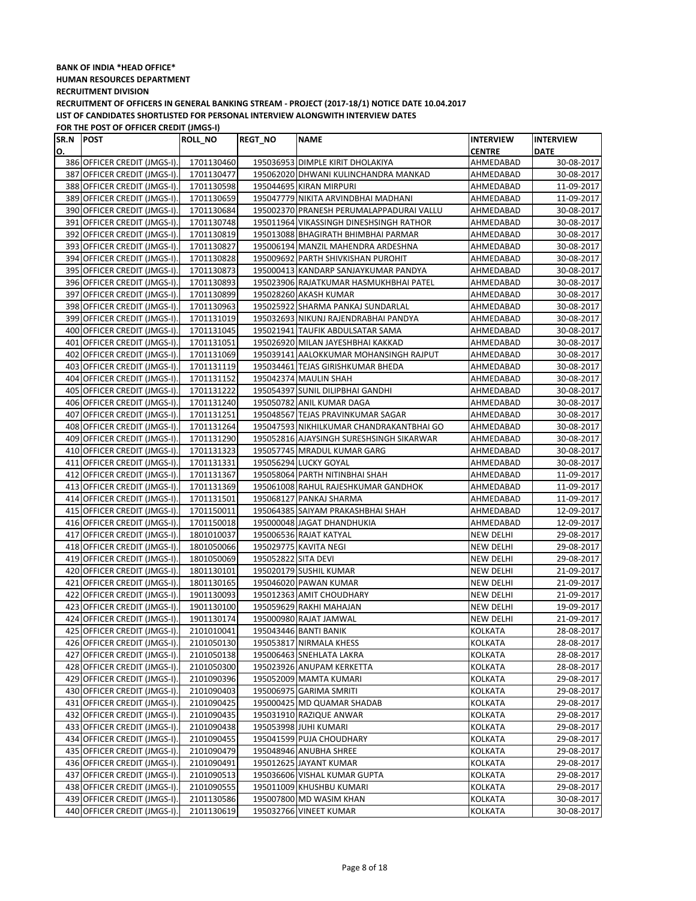| SR.N POST |                              | ROLL_NO    | <b>REGT_NO</b>      | <b>NAME</b>                              | <b>INTERVIEW</b> | <b>INTERVIEW</b> |
|-----------|------------------------------|------------|---------------------|------------------------------------------|------------------|------------------|
| О.        |                              |            |                     |                                          | <b>CENTRE</b>    | <b>DATE</b>      |
|           | 386 OFFICER CREDIT (JMGS-I). | 1701130460 |                     | 195036953 DIMPLE KIRIT DHOLAKIYA         | AHMEDABAD        | 30-08-2017       |
|           | 387 OFFICER CREDIT (JMGS-I). | 1701130477 |                     | 195062020 DHWANI KULINCHANDRA MANKAD     | AHMEDABAD        | 30-08-2017       |
|           | 388 OFFICER CREDIT (JMGS-I). | 1701130598 |                     | 195044695 KIRAN MIRPURI                  | AHMEDABAD        | 11-09-2017       |
|           | 389 OFFICER CREDIT (JMGS-I). | 1701130659 |                     | 195047779 NIKITA ARVINDBHAI MADHANI      | AHMEDABAD        | 11-09-2017       |
|           | 390 OFFICER CREDIT (JMGS-I). | 1701130684 |                     | 195002370 PRANESH PERUMALAPPADURAI VALLU | AHMEDABAD        | 30-08-2017       |
|           | 391 OFFICER CREDIT (JMGS-I). | 1701130748 |                     | 195011964 VIKASSINGH DINESHSINGH RATHOR  | AHMEDABAD        | 30-08-2017       |
|           | 392 OFFICER CREDIT (JMGS-I). | 1701130819 |                     | 195013088 BHAGIRATH BHIMBHAI PARMAR      | AHMEDABAD        | 30-08-2017       |
|           | 393 OFFICER CREDIT (JMGS-I). | 1701130827 |                     | 195006194 MANZIL MAHENDRA ARDESHNA       | AHMEDABAD        | 30-08-2017       |
|           | 394 OFFICER CREDIT (JMGS-I). | 1701130828 |                     | 195009692 PARTH SHIVKISHAN PUROHIT       | AHMEDABAD        | 30-08-2017       |
|           | 395 OFFICER CREDIT (JMGS-I). | 1701130873 |                     | 195000413 KANDARP SANJAYKUMAR PANDYA     | AHMEDABAD        | 30-08-2017       |
|           | 396 OFFICER CREDIT (JMGS-I). | 1701130893 |                     | 195023906 RAJATKUMAR HASMUKHBHAI PATEL   | AHMEDABAD        | 30-08-2017       |
|           | 397 OFFICER CREDIT (JMGS-I). | 1701130899 |                     | 195028260 AKASH KUMAR                    | AHMEDABAD        | 30-08-2017       |
|           | 398 OFFICER CREDIT (JMGS-I). | 1701130963 |                     | 195025922 SHARMA PANKAJ SUNDARLAL        | AHMEDABAD        | 30-08-2017       |
|           | 399 OFFICER CREDIT (JMGS-I). | 1701131019 |                     | 195032693 NIKUNJ RAJENDRABHAI PANDYA     | AHMEDABAD        | 30-08-2017       |
|           | 400 OFFICER CREDIT (JMGS-I). | 1701131045 |                     | 195021941 TAUFIK ABDULSATAR SAMA         | AHMEDABAD        | 30-08-2017       |
|           | 401 OFFICER CREDIT (JMGS-I). | 1701131051 |                     | 195026920 MILAN JAYESHBHAI KAKKAD        | AHMEDABAD        | 30-08-2017       |
|           | 402 OFFICER CREDIT (JMGS-I). | 1701131069 |                     | 195039141 AALOKKUMAR MOHANSINGH RAJPUT   | AHMEDABAD        | 30-08-2017       |
|           | 403 OFFICER CREDIT (JMGS-I). | 1701131119 |                     | 195034461 TEJAS GIRISHKUMAR BHEDA        | AHMEDABAD        | 30-08-2017       |
|           | 404 OFFICER CREDIT (JMGS-I). | 1701131152 |                     | 195042374 MAULIN SHAH                    | AHMEDABAD        | 30-08-2017       |
|           | 405 OFFICER CREDIT (JMGS-I). | 1701131222 |                     | 195054397 SUNIL DILIPBHAI GANDHI         | AHMEDABAD        | 30-08-2017       |
|           | 406 OFFICER CREDIT (JMGS-I). | 1701131240 |                     | 195050782 ANIL KUMAR DAGA                | AHMEDABAD        | 30-08-2017       |
|           | 407 OFFICER CREDIT (JMGS-I). | 1701131251 |                     | 195048567 TEJAS PRAVINKUMAR SAGAR        | AHMEDABAD        | 30-08-2017       |
|           | 408 OFFICER CREDIT (JMGS-I). | 1701131264 |                     | 195047593 NIKHILKUMAR CHANDRAKANTBHAI GO | AHMEDABAD        | 30-08-2017       |
|           | 409 OFFICER CREDIT (JMGS-I). | 1701131290 |                     | 195052816 AJAYSINGH SURESHSINGH SIKARWAR | AHMEDABAD        | 30-08-2017       |
|           | 410 OFFICER CREDIT (JMGS-I). | 1701131323 |                     | 195057745 MRADUL KUMAR GARG              | AHMEDABAD        | 30-08-2017       |
|           | 411 OFFICER CREDIT (JMGS-I). | 1701131331 |                     | 195056294 LUCKY GOYAL                    | AHMEDABAD        | 30-08-2017       |
|           | 412 OFFICER CREDIT (JMGS-I). | 1701131367 |                     | 195058064 PARTH NITINBHAI SHAH           | AHMEDABAD        | 11-09-2017       |
|           | 413 OFFICER CREDIT (JMGS-I). | 1701131369 |                     | 195061008 RAHUL RAJESHKUMAR GANDHOK      | AHMEDABAD        | 11-09-2017       |
|           | 414 OFFICER CREDIT (JMGS-I). | 1701131501 |                     | 195068127 PANKAJ SHARMA                  | AHMEDABAD        | 11-09-2017       |
|           | 415 OFFICER CREDIT (JMGS-I). | 1701150011 |                     | 195064385 SAIYAM PRAKASHBHAI SHAH        | AHMEDABAD        | 12-09-2017       |
|           | 416 OFFICER CREDIT (JMGS-I). | 1701150018 |                     | 195000048 JAGAT DHANDHUKIA               | AHMEDABAD        | 12-09-2017       |
|           | 417 OFFICER CREDIT (JMGS-I). | 1801010037 |                     | 195006536 RAJAT KATYAL                   | <b>NEW DELHI</b> | 29-08-2017       |
|           | 418 OFFICER CREDIT (JMGS-I). | 1801050066 |                     | 195029775 KAVITA NEGI                    | <b>NEW DELHI</b> | 29-08-2017       |
|           | 419 OFFICER CREDIT (JMGS-I). | 1801050069 | 195052822 SITA DEVI |                                          | NEW DELHI        | 29-08-2017       |
|           | 420 OFFICER CREDIT (JMGS-I). | 1801130101 |                     | 195020179 SUSHIL KUMAR                   | <b>NEW DELHI</b> | 21-09-2017       |
|           | 421 OFFICER CREDIT (JMGS-I). | 1801130165 |                     | 195046020 PAWAN KUMAR                    | NEW DELHI        | 21-09-2017       |
|           | 422 OFFICER CREDIT (JMGS-I). | 1901130093 |                     | 195012363 AMIT CHOUDHARY                 | <b>NEW DELHI</b> | 21-09-2017       |
|           | 423 OFFICER CREDIT (JMGS-I). | 1901130100 |                     | 195059629 RAKHI MAHAJAN                  | <b>NEW DELHI</b> | 19-09-2017       |
|           | 424 OFFICER CREDIT (JMGS-I). | 1901130174 |                     | 195000980 RAJAT JAMWAL                   | NEW DELHI        | 21-09-2017       |
|           | 425 OFFICER CREDIT (JMGS-I). | 2101010041 |                     | 195043446 BANTI BANIK                    | <b>KOLKATA</b>   | 28-08-2017       |
|           | 426 OFFICER CREDIT (JMGS-I). | 2101050130 |                     | 195053817 NIRMALA KHESS                  | KOLKATA          | 28-08-2017       |
|           | 427 OFFICER CREDIT (JMGS-I). | 2101050138 |                     | 195006463 SNEHLATA LAKRA                 | KOLKATA          | 28-08-2017       |
|           | 428 OFFICER CREDIT (JMGS-I). | 2101050300 |                     | 195023926 ANUPAM KERKETTA                | KOLKATA          | 28-08-2017       |
|           | 429 OFFICER CREDIT (JMGS-I). | 2101090396 |                     | 195052009 MAMTA KUMARI                   | KOLKATA          | 29-08-2017       |
|           | 430 OFFICER CREDIT (JMGS-I). | 2101090403 |                     | 195006975 GARIMA SMRITI                  | <b>KOLKATA</b>   | 29-08-2017       |
|           | 431 OFFICER CREDIT (JMGS-I). | 2101090425 |                     | 195000425 MD QUAMAR SHADAB               | <b>KOLKATA</b>   | 29-08-2017       |
|           | 432 OFFICER CREDIT (JMGS-I). | 2101090435 |                     | 195031910 RAZIQUE ANWAR                  | KOLKATA          | 29-08-2017       |
|           | 433 OFFICER CREDIT (JMGS-I). | 2101090438 |                     | 195053998 JUHI KUMARI                    | KOLKATA          | 29-08-2017       |
|           | 434 OFFICER CREDIT (JMGS-I). | 2101090455 |                     | 195041599 PUJA CHOUDHARY                 | KOLKATA          | 29-08-2017       |
|           | 435 OFFICER CREDIT (JMGS-I). | 2101090479 |                     | 195048946 ANUBHA SHREE                   | KOLKATA          | 29-08-2017       |
|           | 436 OFFICER CREDIT (JMGS-I). | 2101090491 |                     | 195012625 JAYANT KUMAR                   | KOLKATA          | 29-08-2017       |
|           | 437 OFFICER CREDIT (JMGS-I). | 2101090513 |                     | 195036606 VISHAL KUMAR GUPTA             | <b>KOLKATA</b>   | 29-08-2017       |
|           | 438 OFFICER CREDIT (JMGS-I). | 2101090555 |                     | 195011009 KHUSHBU KUMARI                 | <b>KOLKATA</b>   | 29-08-2017       |
|           | 439 OFFICER CREDIT (JMGS-I). | 2101130586 |                     | 195007800 MD WASIM KHAN                  | KOLKATA          | 30-08-2017       |
|           | 440 OFFICER CREDIT (JMGS-I). | 2101130619 |                     | 195032766 VINEET KUMAR                   | KOLKATA          | 30-08-2017       |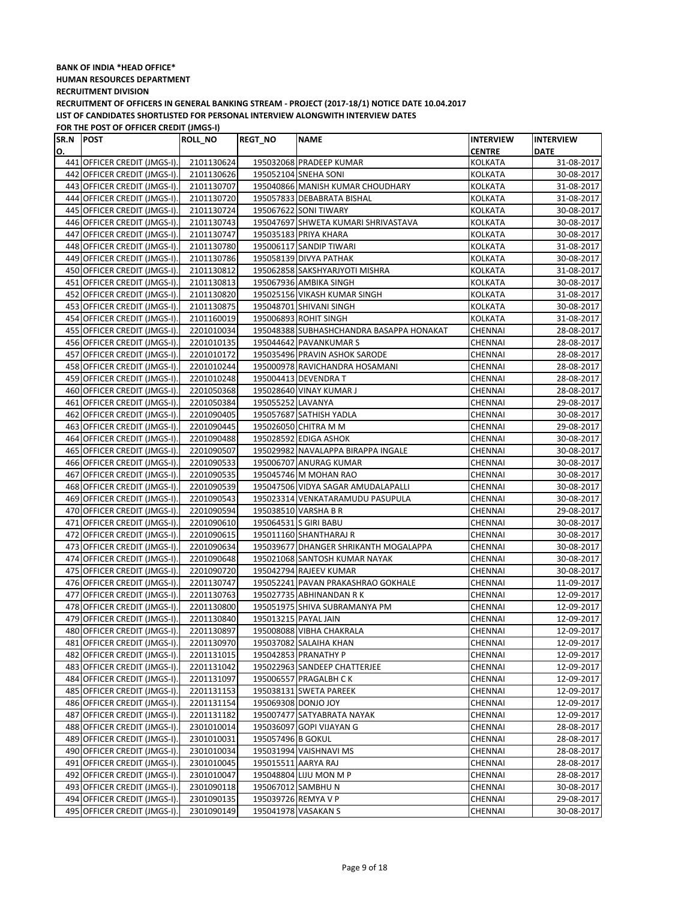## **BANK OF INDIA \*HEAD OFFICE\* HUMAN RESOURCES DEPARTMENT RECRUITMENT DIVISION**

**RECRUITMENT OF OFFICERS IN GENERAL BANKING STREAM - PROJECT (2017-18/1) NOTICE DATE 10.04.2017 LIST OF CANDIDATES SHORTLISTED FOR PERSONAL INTERVIEW ALONGWITH INTERVIEW DATES**

| SR.N POST |                              | <b>ROLL_NO</b> | <b>REGT_NO</b>      | <b>NAME</b>                              | <b>INTERVIEW</b> | <b>INTERVIEW</b> |
|-----------|------------------------------|----------------|---------------------|------------------------------------------|------------------|------------------|
| О.        |                              |                |                     |                                          | <b>CENTRE</b>    | <b>DATE</b>      |
|           | 441 OFFICER CREDIT (JMGS-I). | 2101130624     |                     | 195032068 PRADEEP KUMAR                  | KOLKATA          | 31-08-2017       |
|           | 442 OFFICER CREDIT (JMGS-I). | 2101130626     |                     | 195052104 SNEHA SONI                     | <b>KOLKATA</b>   | 30-08-2017       |
|           | 443 OFFICER CREDIT (JMGS-I). | 2101130707     |                     | 195040866 MANISH KUMAR CHOUDHARY         | KOLKATA          | 31-08-2017       |
|           | 444 OFFICER CREDIT (JMGS-I). | 2101130720     |                     | 195057833 DEBABRATA BISHAL               | KOLKATA          | 31-08-2017       |
|           | 445 OFFICER CREDIT (JMGS-I). | 2101130724     |                     | 195067622 SONI TIWARY                    | KOLKATA          | 30-08-2017       |
|           | 446 OFFICER CREDIT (JMGS-I). | 2101130743     |                     | 195047697 SHWETA KUMARI SHRIVASTAVA      | KOLKATA          | 30-08-2017       |
|           | 447 OFFICER CREDIT (JMGS-I). | 2101130747     |                     | 195035183 PRIYA KHARA                    | KOLKATA          | 30-08-2017       |
|           | 448 OFFICER CREDIT (JMGS-I). | 2101130780     |                     | 195006117 SANDIP TIWARI                  | KOLKATA          | 31-08-2017       |
|           | 449 OFFICER CREDIT (JMGS-I). | 2101130786     |                     | 195058139 DIVYA PATHAK                   | KOLKATA          | 30-08-2017       |
|           | 450 OFFICER CREDIT (JMGS-I). | 2101130812     |                     | 195062858 SAKSHYARJYOTI MISHRA           | KOLKATA          | 31-08-2017       |
|           | 451 OFFICER CREDIT (JMGS-I). | 2101130813     |                     | 195067936 AMBIKA SINGH                   | KOLKATA          | 30-08-2017       |
|           | 452 OFFICER CREDIT (JMGS-I). | 2101130820     |                     | 195025156 VIKASH KUMAR SINGH             | KOLKATA          | 31-08-2017       |
|           | 453 OFFICER CREDIT (JMGS-I). | 2101130875     |                     | 195048701 SHIVANI SINGH                  | <b>KOLKATA</b>   | 30-08-2017       |
|           | 454 OFFICER CREDIT (JMGS-I). | 2101160019     |                     | 195006893 ROHIT SINGH                    | KOLKATA          | 31-08-2017       |
|           | 455 OFFICER CREDIT (JMGS-I). | 2201010034     |                     | 195048388 SUBHASHCHANDRA BASAPPA HONAKAT | CHENNAI          | 28-08-2017       |
|           | 456 OFFICER CREDIT (JMGS-I). | 2201010135     |                     | 195044642 PAVANKUMAR S                   | CHENNAI          | 28-08-2017       |
| 457       | OFFICER CREDIT (JMGS-I).     | 2201010172     |                     | 195035496 PRAVIN ASHOK SARODE            | CHENNAI          | 28-08-2017       |
|           | 458 OFFICER CREDIT (JMGS-I). | 2201010244     |                     | 195000978 RAVICHANDRA HOSAMANI           | CHENNAI          | 28-08-2017       |
|           | 459 OFFICER CREDIT (JMGS-I). | 2201010248     |                     | 195004413 DEVENDRA T                     | CHENNAI          | 28-08-2017       |
|           | 460 OFFICER CREDIT (JMGS-I). | 2201050368     |                     | 195028640 VINAY KUMAR J                  | CHENNAI          | 28-08-2017       |
|           | 461 OFFICER CREDIT (JMGS-I). | 2201050384     | 195055252 LAVANYA   |                                          | CHENNAI          | 29-08-2017       |
|           | 462 OFFICER CREDIT (JMGS-I). | 2201090405     |                     | 195057687 SATHISH YADLA                  | CHENNAI          | 30-08-2017       |
|           | 463 OFFICER CREDIT (JMGS-I). | 2201090445     |                     | 195026050 CHITRA M M                     | CHENNAI          | 29-08-2017       |
|           | 464 OFFICER CREDIT (JMGS-I). | 2201090488     |                     | 195028592 EDIGA ASHOK                    | CHENNAI          | 30-08-2017       |
|           | 465 OFFICER CREDIT (JMGS-I). | 2201090507     |                     | 195029982 NAVALAPPA BIRAPPA INGALE       | CHENNAI          | 30-08-2017       |
|           | 466 OFFICER CREDIT (JMGS-I). | 2201090533     |                     | 195006707 ANURAG KUMAR                   | CHENNAI          | 30-08-2017       |
|           | 467 OFFICER CREDIT (JMGS-I). | 2201090535     |                     | 195045746 M MOHAN RAO                    | CHENNAI          | 30-08-2017       |
|           | 468 OFFICER CREDIT (JMGS-I). | 2201090539     |                     | 195047506 VIDYA SAGAR AMUDALAPALLI       | CHENNAI          | 30-08-2017       |
|           | 469 OFFICER CREDIT (JMGS-I). | 2201090543     |                     | 195023314 VENKATARAMUDU PASUPULA         | CHENNAI          | 30-08-2017       |
|           | 470 OFFICER CREDIT (JMGS-I). | 2201090594     |                     | 195038510 VARSHA B R                     | CHENNAI          | 29-08-2017       |
|           | 471 OFFICER CREDIT (JMGS-I). | 2201090610     |                     | 195064531 S GIRI BABU                    | CHENNAI          | 30-08-2017       |
|           | 472 OFFICER CREDIT (JMGS-I). | 2201090615     |                     | 195011160 SHANTHARAJ R                   | CHENNAI          | 30-08-2017       |
|           | 473 OFFICER CREDIT (JMGS-I). | 2201090634     |                     | 195039677 DHANGER SHRIKANTH MOGALAPPA    | CHENNAI          | 30-08-2017       |
|           | 474 OFFICER CREDIT (JMGS-I). | 2201090648     |                     | 195021068 SANTOSH KUMAR NAYAK            | CHENNAI          | 30-08-2017       |
|           | 475 OFFICER CREDIT (JMGS-I). | 2201090720     |                     | 195042794 RAJEEV KUMAR                   | CHENNAI          | 30-08-2017       |
|           | 476 OFFICER CREDIT (JMGS-I). | 2201130747     |                     | 195052241 PAVAN PRAKASHRAO GOKHALE       | CHENNAI          | 11-09-2017       |
|           | 477 OFFICER CREDIT (JMGS-I). | 2201130763     |                     | 195027735 ABHINANDAN R K                 | CHENNAI          | 12-09-2017       |
|           | 478 OFFICER CREDIT (JMGS-I). | 2201130800     |                     | 195051975 SHIVA SUBRAMANYA PM            | CHENNAI          | 12-09-2017       |
|           | 479 OFFICER CREDIT (JMGS-I). | 2201130840     |                     | 195013215 PAYAL JAIN                     | CHENNAI          | 12-09-2017       |
|           | 480 OFFICER CREDIT (JMGS-I). | 2201130897     |                     | 195008088 VIBHA CHAKRALA                 | CHENNAI          | 12-09-2017       |
|           | 481 OFFICER CREDIT (JMGS-I). | 2201130970     |                     | 195037082 SALAIHA KHAN                   | <b>CHENNAI</b>   | 12-09-2017       |
|           | 482 OFFICER CREDIT (JMGS-I). | 2201131015     |                     | 195042853 PRANATHY P                     | CHENNAI          | 12-09-2017       |
|           | 483 OFFICER CREDIT (JMGS-I). | 2201131042     |                     | 195022963 SANDEEP CHATTERJEE             | CHENNAI          | 12-09-2017       |
|           | 484 OFFICER CREDIT (JMGS-I). | 2201131097     |                     | 195006557 PRAGALBH CK                    | CHENNAI          | 12-09-2017       |
|           | 485 OFFICER CREDIT (JMGS-I). | 2201131153     |                     | 195038131 SWETA PAREEK                   | CHENNAI          | 12-09-2017       |
|           | 486 OFFICER CREDIT (JMGS-I). | 2201131154     |                     | 195069308 DONJO JOY                      | CHENNAI          | 12-09-2017       |
|           | 487 OFFICER CREDIT (JMGS-I). | 2201131182     |                     | 195007477 SATYABRATA NAYAK               | CHENNAI          | 12-09-2017       |
|           | 488 OFFICER CREDIT (JMGS-I). | 2301010014     |                     | 195036097 GOPI VIJAYAN G                 | CHENNAI          | 28-08-2017       |
|           | 489 OFFICER CREDIT (JMGS-I). | 2301010031     | 195057496 B GOKUL   |                                          | CHENNAI          | 28-08-2017       |
|           | 490 OFFICER CREDIT (JMGS-I). | 2301010034     |                     | 195031994 VAISHNAVI MS                   | CHENNAI          | 28-08-2017       |
|           | 491 OFFICER CREDIT (JMGS-I). | 2301010045     | 195015511 AARYA RAJ |                                          | CHENNAI          | 28-08-2017       |
|           | 492 OFFICER CREDIT (JMGS-I). | 2301010047     |                     | 195048804 LIJU MON M P                   | CHENNAI          | 28-08-2017       |
|           | 493 OFFICER CREDIT (JMGS-I). | 2301090118     |                     | 195067012 SAMBHU N                       | CHENNAI          | 30-08-2017       |
|           | 494 OFFICER CREDIT (JMGS-I). | 2301090135     |                     | 195039726 REMYA V P                      | CHENNAI          | 29-08-2017       |
|           | 495 OFFICER CREDIT (JMGS-I). | 2301090149     |                     | 195041978 VASAKAN S                      | CHENNAI          | 30-08-2017       |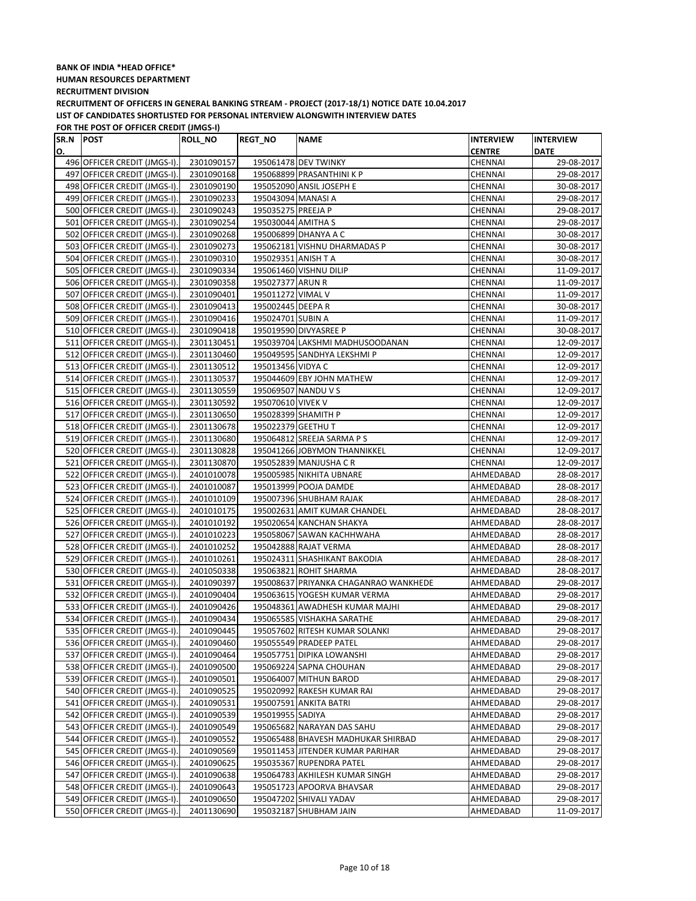| SR.N POST |                              | ROLL_NO    | <b>REGT_NO</b>      | <b>NAME</b>                           | <b>INTERVIEW</b> | <b>INTERVIEW</b> |
|-----------|------------------------------|------------|---------------------|---------------------------------------|------------------|------------------|
| О.        |                              |            |                     |                                       | <b>CENTRE</b>    | <b>DATE</b>      |
|           | 496 OFFICER CREDIT (JMGS-I). | 2301090157 |                     | 195061478 DEV TWINKY                  | CHENNAI          | 29-08-2017       |
|           | 497 OFFICER CREDIT (JMGS-I). | 2301090168 |                     | 195068899 PRASANTHINI K P             | CHENNAI          | 29-08-2017       |
|           | 498 OFFICER CREDIT (JMGS-I). | 2301090190 |                     | 195052090 ANSIL JOSEPH E              | CHENNAI          | 30-08-2017       |
|           | 499 OFFICER CREDIT (JMGS-I). | 2301090233 | 195043094 MANASI A  |                                       | CHENNAI          | 29-08-2017       |
|           | 500 OFFICER CREDIT (JMGS-I). | 2301090243 | 195035275 PREEJA P  |                                       | CHENNAI          | 29-08-2017       |
|           | 501 OFFICER CREDIT (JMGS-I). | 2301090254 | 195030044 AMITHA S  |                                       | CHENNAI          | 29-08-2017       |
|           | 502 OFFICER CREDIT (JMGS-I). | 2301090268 |                     | 195006899 DHANYA A C                  | CHENNAI          | 30-08-2017       |
|           | 503 OFFICER CREDIT (JMGS-I). | 2301090273 |                     | 195062181 VISHNU DHARMADAS P          | CHENNAI          | 30-08-2017       |
|           | 504 OFFICER CREDIT (JMGS-I). | 2301090310 | 195029351 ANISH T A |                                       | CHENNAI          | 30-08-2017       |
|           | 505 OFFICER CREDIT (JMGS-I). | 2301090334 |                     | 195061460 VISHNU DILIP                | <b>CHENNAI</b>   | 11-09-2017       |
|           | 506 OFFICER CREDIT (JMGS-I). | 2301090358 | 195027377 ARUN R    |                                       | CHENNAI          | 11-09-2017       |
|           | 507 OFFICER CREDIT (JMGS-I). | 2301090401 | 195011272 VIMAL V   |                                       | CHENNAI          | 11-09-2017       |
|           | 508 OFFICER CREDIT (JMGS-I). | 2301090413 | 195002445 DEEPA R   |                                       | CHENNAI          | 30-08-2017       |
|           | 509 OFFICER CREDIT (JMGS-I). | 2301090416 | 195024701 SUBIN A   |                                       | CHENNAI          | 11-09-2017       |
|           | 510 OFFICER CREDIT (JMGS-I). | 2301090418 |                     | 195019590 DIVYASREE P                 | CHENNAI          | 30-08-2017       |
|           | 511 OFFICER CREDIT (JMGS-I). | 2301130451 |                     | 195039704 LAKSHMI MADHUSOODANAN       | CHENNAI          | 12-09-2017       |
|           | 512 OFFICER CREDIT (JMGS-I). | 2301130460 |                     | 195049595 SANDHYA LEKSHMI P           | CHENNAI          | 12-09-2017       |
|           | 513 OFFICER CREDIT (JMGS-I). | 2301130512 | 195013456 VIDYA C   |                                       | CHENNAI          | 12-09-2017       |
|           | 514 OFFICER CREDIT (JMGS-I). | 2301130537 |                     | 195044609 EBY JOHN MATHEW             | CHENNAI          | 12-09-2017       |
|           | 515 OFFICER CREDIT (JMGS-I). | 2301130559 | 195069507 NANDU V S |                                       | CHENNAI          | 12-09-2017       |
|           | 516 OFFICER CREDIT (JMGS-I). | 2301130592 | 195070610 VIVEK V   |                                       | CHENNAI          | 12-09-2017       |
|           | 517 OFFICER CREDIT (JMGS-I). | 2301130650 |                     | 195028399 SHAMITH P                   | CHENNAI          | 12-09-2017       |
|           | 518 OFFICER CREDIT (JMGS-I). | 2301130678 | 195022379 GEETHU T  |                                       | CHENNAI          | 12-09-2017       |
|           | 519 OFFICER CREDIT (JMGS-I). | 2301130680 |                     | 195064812 SREEJA SARMA P S            | CHENNAI          | 12-09-2017       |
|           | 520 OFFICER CREDIT (JMGS-I). | 2301130828 |                     | 195041266 JOBYMON THANNIKKEL          | CHENNAI          | 12-09-2017       |
|           | 521 OFFICER CREDIT (JMGS-I). | 2301130870 |                     | 195052839 MANJUSHA CR                 | CHENNAI          | 12-09-2017       |
|           | 522 OFFICER CREDIT (JMGS-I). | 2401010078 |                     | 195005985 NIKHITA UBNARE              | AHMEDABAD        | 28-08-2017       |
|           | 523 OFFICER CREDIT (JMGS-I). | 2401010087 |                     | 195013999 POOJA DAMDE                 | AHMEDABAD        | 28-08-2017       |
|           | 524 OFFICER CREDIT (JMGS-I). | 2401010109 |                     | 195007396 SHUBHAM RAJAK               | AHMEDABAD        | 28-08-2017       |
|           | 525 OFFICER CREDIT (JMGS-I). | 2401010175 |                     | 195002631 AMIT KUMAR CHANDEL          | AHMEDABAD        | 28-08-2017       |
|           | 526 OFFICER CREDIT (JMGS-I). | 2401010192 |                     | 195020654 KANCHAN SHAKYA              | AHMEDABAD        | 28-08-2017       |
|           | 527 OFFICER CREDIT (JMGS-I). | 2401010223 |                     | 195058067 SAWAN KACHHWAHA             | AHMEDABAD        | 28-08-2017       |
|           | 528 OFFICER CREDIT (JMGS-I). | 2401010252 |                     | 195042888 RAJAT VERMA                 | AHMEDABAD        | 28-08-2017       |
|           | 529 OFFICER CREDIT (JMGS-I). | 2401010261 |                     | 195024311 SHASHIKANT BAKODIA          | AHMEDABAD        | 28-08-2017       |
|           | 530 OFFICER CREDIT (JMGS-I). | 2401050338 |                     | 195063821 ROHIT SHARMA                | AHMEDABAD        | 28-08-2017       |
|           | 531 OFFICER CREDIT (JMGS-I). | 2401090397 |                     | 195008637 PRIYANKA CHAGANRAO WANKHEDE | AHMEDABAD        | 29-08-2017       |
|           | 532 OFFICER CREDIT (JMGS-I). | 2401090404 |                     | 195063615 YOGESH KUMAR VERMA          | AHMEDABAD        | 29-08-2017       |
|           | 533 OFFICER CREDIT (JMGS-I). | 2401090426 |                     | 195048361 AWADHESH KUMAR MAJHI        | AHMEDABAD        | 29-08-2017       |
|           | 534 OFFICER CREDIT (JMGS-I). | 2401090434 |                     | 195065585 VISHAKHA SARATHE            | AHMEDABAD        | 29-08-2017       |
|           | 535 OFFICER CREDIT (JMGS-I). | 2401090445 |                     | 195057602 RITESH KUMAR SOLANKI        | AHMEDABAD        | 29-08-2017       |
|           | 536 OFFICER CREDIT (JMGS-I). | 2401090460 |                     | 195055549 PRADEEP PATEL               | AHMEDABAD        | 29-08-2017       |
|           | 537 OFFICER CREDIT (JMGS-I). | 2401090464 |                     | 195057751 DIPIKA LOWANSHI             | AHMEDABAD        | 29-08-2017       |
|           | 538 OFFICER CREDIT (JMGS-I). | 2401090500 |                     | 195069224 SAPNA CHOUHAN               | AHMEDABAD        | 29-08-2017       |
|           | 539 OFFICER CREDIT (JMGS-I). | 2401090501 |                     | 195064007 MITHUN BAROD                | AHMEDABAD        | 29-08-2017       |
|           | 540 OFFICER CREDIT (JMGS-I). | 2401090525 |                     | 195020992 RAKESH KUMAR RAI            | AHMEDABAD        | 29-08-2017       |
|           | 541 OFFICER CREDIT (JMGS-I). | 2401090531 |                     | 195007591 ANKITA BATRI                | AHMEDABAD        | 29-08-2017       |
|           | 542 OFFICER CREDIT (JMGS-I). | 2401090539 | 195019955 SADIYA    |                                       | AHMEDABAD        | 29-08-2017       |
|           | 543 OFFICER CREDIT (JMGS-I). | 2401090549 |                     | 195065682 NARAYAN DAS SAHU            | AHMEDABAD        | 29-08-2017       |
|           | 544 OFFICER CREDIT (JMGS-I). | 2401090552 |                     | 195065488 BHAVESH MADHUKAR SHIRBAD    | AHMEDABAD        | 29-08-2017       |
|           | 545 OFFICER CREDIT (JMGS-I). | 2401090569 |                     | 195011453 JITENDER KUMAR PARIHAR      | AHMEDABAD        | 29-08-2017       |
|           | 546 OFFICER CREDIT (JMGS-I). | 2401090625 |                     | 195035367 RUPENDRA PATEL              | AHMEDABAD        | 29-08-2017       |
|           | 547 OFFICER CREDIT (JMGS-I). | 2401090638 |                     | 195064783 AKHILESH KUMAR SINGH        | AHMEDABAD        | 29-08-2017       |
|           | 548 OFFICER CREDIT (JMGS-I). | 2401090643 |                     | 195051723 APOORVA BHAVSAR             | AHMEDABAD        | 29-08-2017       |
|           | 549 OFFICER CREDIT (JMGS-I). | 2401090650 |                     | 195047202 SHIVALI YADAV               | AHMEDABAD        | 29-08-2017       |
|           | 550 OFFICER CREDIT (JMGS-I). | 2401130690 |                     | 195032187 SHUBHAM JAIN                | AHMEDABAD        | 11-09-2017       |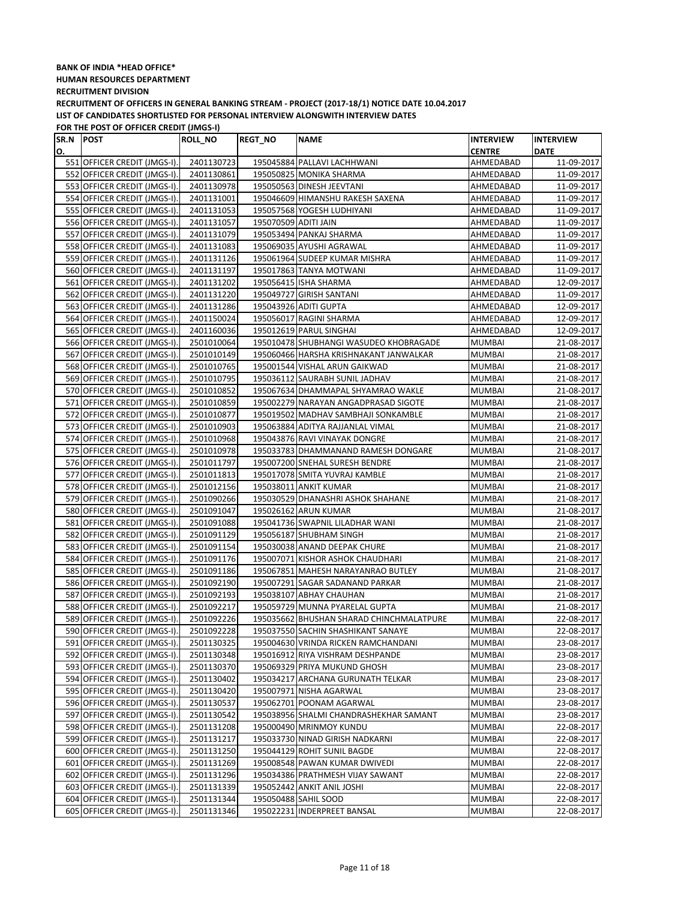| SR.N POST |                              | <b>ROLL_NO</b> | <b>REGT_NO</b>       | <b>NAME</b>                              | <b>INTERVIEW</b> | <b>INTERVIEW</b> |
|-----------|------------------------------|----------------|----------------------|------------------------------------------|------------------|------------------|
| О.        |                              |                |                      |                                          | <b>CENTRE</b>    | <b>DATE</b>      |
|           | 551 OFFICER CREDIT (JMGS-I). | 2401130723     |                      | 195045884 PALLAVI LACHHWANI              | AHMEDABAD        | 11-09-2017       |
|           | 552 OFFICER CREDIT (JMGS-I). | 2401130861     |                      | 195050825 MONIKA SHARMA                  | AHMEDABAD        | 11-09-2017       |
|           | 553 OFFICER CREDIT (JMGS-I). | 2401130978     |                      | 195050563 DINESH JEEVTANI                | AHMEDABAD        | 11-09-2017       |
|           | 554 OFFICER CREDIT (JMGS-I). | 2401131001     |                      | 195046609 HIMANSHU RAKESH SAXENA         | AHMEDABAD        | 11-09-2017       |
|           | 555 OFFICER CREDIT (JMGS-I). | 2401131053     |                      | 195057568 YOGESH LUDHIYANI               | AHMEDABAD        | 11-09-2017       |
|           | 556 OFFICER CREDIT (JMGS-I). | 2401131057     | 195070509 ADITI JAIN |                                          | AHMEDABAD        | 11-09-2017       |
|           | 557 OFFICER CREDIT (JMGS-I). | 2401131079     |                      | 195053494 PANKAJ SHARMA                  | AHMEDABAD        | 11-09-2017       |
|           | 558 OFFICER CREDIT (JMGS-I). | 2401131083     |                      | 195069035 AYUSHI AGRAWAL                 | AHMEDABAD        | 11-09-2017       |
|           | 559 OFFICER CREDIT (JMGS-I). | 2401131126     |                      | 195061964 SUDEEP KUMAR MISHRA            | AHMEDABAD        | 11-09-2017       |
|           | 560 OFFICER CREDIT (JMGS-I). | 2401131197     |                      | 195017863 TANYA MOTWANI                  | AHMEDABAD        | 11-09-2017       |
|           | 561 OFFICER CREDIT (JMGS-I). | 2401131202     |                      | 195056415 ISHA SHARMA                    | AHMEDABAD        | 12-09-2017       |
|           | 562 OFFICER CREDIT (JMGS-I). | 2401131220     |                      | 195049727 GIRISH SANTANI                 | AHMEDABAD        | 11-09-2017       |
|           | 563 OFFICER CREDIT (JMGS-I). | 2401131286     |                      | 195043926 ADITI GUPTA                    | AHMEDABAD        | 12-09-2017       |
|           | 564 OFFICER CREDIT (JMGS-I). | 2401150024     |                      | 195056017 RAGINI SHARMA                  | AHMEDABAD        | 12-09-2017       |
|           | 565 OFFICER CREDIT (JMGS-I). | 2401160036     |                      | 195012619 PARUL SINGHAI                  | AHMEDABAD        | 12-09-2017       |
|           | 566 OFFICER CREDIT (JMGS-I). | 2501010064     |                      | 195010478 SHUBHANGI WASUDEO KHOBRAGADE   | <b>MUMBAI</b>    | 21-08-2017       |
|           | 567 OFFICER CREDIT (JMGS-I). | 2501010149     |                      | 195060466 HARSHA KRISHNAKANT JANWALKAR   | <b>MUMBAI</b>    | 21-08-2017       |
|           | 568 OFFICER CREDIT (JMGS-I). | 2501010765     |                      | 195001544 VISHAL ARUN GAIKWAD            | MUMBAI           | 21-08-2017       |
|           | 569 OFFICER CREDIT (JMGS-I). | 2501010795     |                      | 195036112 SAURABH SUNIL JADHAV           | MUMBAI           | 21-08-2017       |
|           | 570 OFFICER CREDIT (JMGS-I). | 2501010852     |                      | 195067634 DHAMMAPAL SHYAMRAO WAKLE       | MUMBAI           | 21-08-2017       |
|           | 571 OFFICER CREDIT (JMGS-I). | 2501010859     |                      | 195002279 NARAYAN ANGADPRASAD SIGOTE     | MUMBAI           | 21-08-2017       |
|           | 572 OFFICER CREDIT (JMGS-I). | 2501010877     |                      | 195019502 MADHAV SAMBHAJI SONKAMBLE      | <b>MUMBAI</b>    | 21-08-2017       |
|           | 573 OFFICER CREDIT (JMGS-I). | 2501010903     |                      | 195063884 ADITYA RAJJANLAL VIMAL         | MUMBAI           | 21-08-2017       |
|           | 574 OFFICER CREDIT (JMGS-I). | 2501010968     |                      | 195043876 RAVI VINAYAK DONGRE            | <b>MUMBAI</b>    | 21-08-2017       |
|           | 575 OFFICER CREDIT (JMGS-I). | 2501010978     |                      | 195033783 DHAMMANAND RAMESH DONGARE      | <b>MUMBAI</b>    | 21-08-2017       |
|           | 576 OFFICER CREDIT (JMGS-I). | 2501011797     |                      | 195007200 SNEHAL SURESH BENDRE           | MUMBAI           | 21-08-2017       |
|           | 577 OFFICER CREDIT (JMGS-I). | 2501011813     |                      | 195017078 SMITA YUVRAJ KAMBLE            | MUMBAI           | 21-08-2017       |
|           | 578 OFFICER CREDIT (JMGS-I). | 2501012156     |                      | 195038011 ANKIT KUMAR                    | <b>MUMBAI</b>    | 21-08-2017       |
|           | 579 OFFICER CREDIT (JMGS-I). | 2501090266     |                      | 195030529 DHANASHRI ASHOK SHAHANE        | MUMBAI           | 21-08-2017       |
|           | 580 OFFICER CREDIT (JMGS-I). | 2501091047     |                      | 195026162 ARUN KUMAR                     | <b>MUMBAI</b>    | 21-08-2017       |
|           | 581 OFFICER CREDIT (JMGS-I). | 2501091088     |                      | 195041736 SWAPNIL LILADHAR WANI          | MUMBAI           | 21-08-2017       |
|           | 582 OFFICER CREDIT (JMGS-I). | 2501091129     |                      | 195056187 SHUBHAM SINGH                  | MUMBAI           | 21-08-2017       |
|           | 583 OFFICER CREDIT (JMGS-I). | 2501091154     |                      | 195030038 ANAND DEEPAK CHURE             | <b>MUMBAI</b>    | 21-08-2017       |
|           | 584 OFFICER CREDIT (JMGS-I). | 2501091176     |                      | 195007071 KISHOR ASHOK CHAUDHARI         | <b>MUMBAI</b>    | 21-08-2017       |
|           | 585 OFFICER CREDIT (JMGS-I). | 2501091186     |                      | 195067851 MAHESH NARAYANRAO BUTLEY       | MUMBAI           | 21-08-2017       |
|           | 586 OFFICER CREDIT (JMGS-I). | 2501092190     |                      | 195007291 SAGAR SADANAND PARKAR          | <b>MUMBAI</b>    | 21-08-2017       |
|           | 587 OFFICER CREDIT (JMGS-I). | 2501092193     |                      | 195038107 ABHAY CHAUHAN                  | MUMBAI           | 21-08-2017       |
|           | 588 OFFICER CREDIT (JMGS-I). | 2501092217     |                      | 195059729 MUNNA PYARELAL GUPTA           | <b>MUMBAI</b>    | 21-08-2017       |
|           | 589 OFFICER CREDIT (JMGS-I). | 2501092226     |                      | 195035662 BHUSHAN SHARAD CHINCHMALATPURE | MUMBAI           | 22-08-2017       |
|           | 590 OFFICER CREDIT (JMGS-I). | 2501092228     |                      | 195037550 SACHIN SHASHIKANT SANAYE       | <b>MUMBAI</b>    | 22-08-2017       |
|           | 591 OFFICER CREDIT (JMGS-I). | 2501130325     |                      | 195004630 VRINDA RICKEN RAMCHANDANI      | <b>MUMBAI</b>    | 23-08-2017       |
|           | 592 OFFICER CREDIT (JMGS-I). | 2501130348     |                      | 195016912 RIYA VISHRAM DESHPANDE         | MUMBAI           | 23-08-2017       |
|           | 593 OFFICER CREDIT (JMGS-I). | 2501130370     |                      | 195069329 PRIYA MUKUND GHOSH             | MUMBAI           | 23-08-2017       |
|           | 594 OFFICER CREDIT (JMGS-I). | 2501130402     |                      | 195034217 ARCHANA GURUNATH TELKAR        | MUMBAI           | 23-08-2017       |
|           | 595 OFFICER CREDIT (JMGS-I). | 2501130420     |                      | 195007971 NISHA AGARWAL                  | <b>MUMBAI</b>    | 23-08-2017       |
|           | 596 OFFICER CREDIT (JMGS-I). | 2501130537     |                      | 195062701 POONAM AGARWAL                 | MUMBAI           | 23-08-2017       |
|           | 597 OFFICER CREDIT (JMGS-I). | 2501130542     |                      | 195038956 SHALMI CHANDRASHEKHAR SAMANT   | MUMBAI           | 23-08-2017       |
|           | 598 OFFICER CREDIT (JMGS-I). | 2501131208     |                      | 195000490 MRINMOY KUNDU                  | MUMBAI           | 22-08-2017       |
|           | 599 OFFICER CREDIT (JMGS-I). | 2501131217     |                      | 195033730 NINAD GIRISH NADKARNI          | MUMBAI           | 22-08-2017       |
|           | 600 OFFICER CREDIT (JMGS-I). | 2501131250     |                      | 195044129 ROHIT SUNIL BAGDE              | MUMBAI           | 22-08-2017       |
|           | 601 OFFICER CREDIT (JMGS-I). | 2501131269     |                      | 195008548 PAWAN KUMAR DWIVEDI            | MUMBAI           | 22-08-2017       |
|           | 602 OFFICER CREDIT (JMGS-I). | 2501131296     |                      | 195034386 PRATHMESH VIJAY SAWANT         | MUMBAI           | 22-08-2017       |
|           | 603 OFFICER CREDIT (JMGS-I). | 2501131339     |                      | 195052442 ANKIT ANIL JOSHI               | MUMBAI           | 22-08-2017       |
|           | 604 OFFICER CREDIT (JMGS-I). | 2501131344     |                      | 195050488 SAHIL SOOD                     | MUMBAI           | 22-08-2017       |
|           | 605 OFFICER CREDIT (JMGS-I). | 2501131346     |                      | 195022231 INDERPREET BANSAL              | MUMBAI           | 22-08-2017       |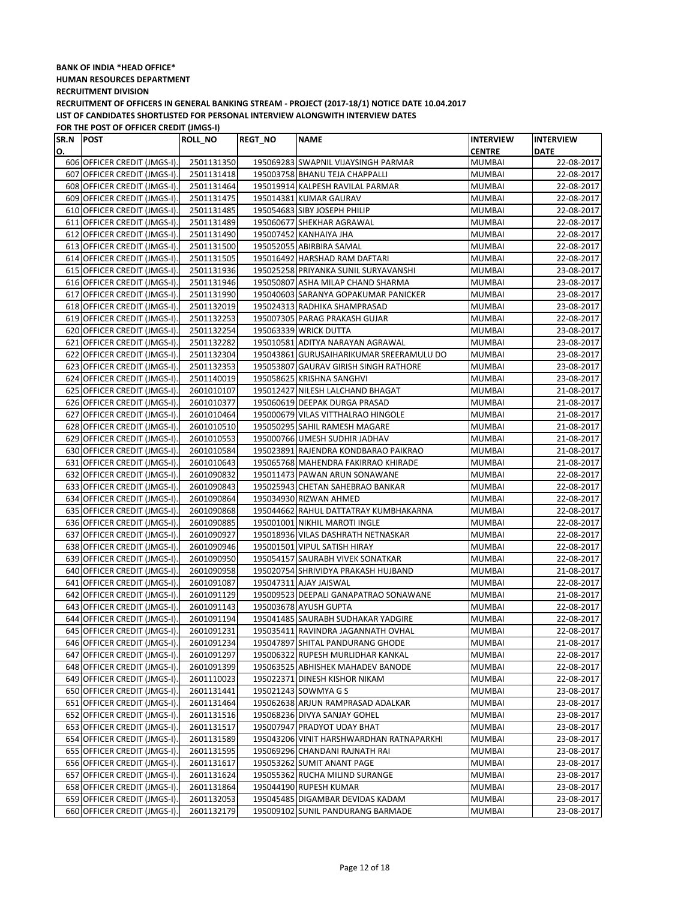| SR.N POST |                              | <b>ROLL_NO</b> | <b>REGT_NO</b> | <b>NAME</b>                              | <b>INTERVIEW</b> | <b>INTERVIEW</b> |
|-----------|------------------------------|----------------|----------------|------------------------------------------|------------------|------------------|
| О.        |                              |                |                |                                          | <b>CENTRE</b>    | <b>DATE</b>      |
|           | 606 OFFICER CREDIT (JMGS-I). | 2501131350     |                | 195069283 SWAPNIL VIJAYSINGH PARMAR      | <b>MUMBAI</b>    | 22-08-2017       |
|           | 607 OFFICER CREDIT (JMGS-I). | 2501131418     |                | 195003758 BHANU TEJA CHAPPALLI           | MUMBAI           | 22-08-2017       |
|           | 608 OFFICER CREDIT (JMGS-I). | 2501131464     |                | 195019914 KALPESH RAVILAL PARMAR         | <b>MUMBAI</b>    | 22-08-2017       |
|           | 609 OFFICER CREDIT (JMGS-I). | 2501131475     |                | 195014381 KUMAR GAURAV                   | MUMBAI           | 22-08-2017       |
|           | 610 OFFICER CREDIT (JMGS-I). | 2501131485     |                | 195054683 SIBY JOSEPH PHILIP             | MUMBAI           | 22-08-2017       |
|           | 611 OFFICER CREDIT (JMGS-I). | 2501131489     |                | 195060677 SHEKHAR AGRAWAL                | MUMBAI           | 22-08-2017       |
|           | 612 OFFICER CREDIT (JMGS-I). | 2501131490     |                | 195007452 KANHAIYA JHA                   | MUMBAI           | 22-08-2017       |
|           | 613 OFFICER CREDIT (JMGS-I). | 2501131500     |                | 195052055 ABIRBIRA SAMAL                 | <b>MUMBAI</b>    | 22-08-2017       |
|           | 614 OFFICER CREDIT (JMGS-I). | 2501131505     |                | 195016492 HARSHAD RAM DAFTARI            | <b>MUMBAI</b>    | 22-08-2017       |
|           | 615 OFFICER CREDIT (JMGS-I). | 2501131936     |                | 195025258 PRIYANKA SUNIL SURYAVANSHI     | MUMBAI           | 23-08-2017       |
|           | 616 OFFICER CREDIT (JMGS-I). | 2501131946     |                | 195050807 ASHA MILAP CHAND SHARMA        | <b>MUMBAI</b>    | 23-08-2017       |
|           | 617 OFFICER CREDIT (JMGS-I). | 2501131990     |                | 195040603 SARANYA GOPAKUMAR PANICKER     | MUMBAI           | 23-08-2017       |
|           | 618 OFFICER CREDIT (JMGS-I). | 2501132019     |                | 195024313 RADHIKA SHAMPRASAD             | <b>MUMBAI</b>    | 23-08-2017       |
|           | 619 OFFICER CREDIT (JMGS-I). | 2501132253     |                | 195007305 PARAG PRAKASH GUJAR            | MUMBAI           | 22-08-2017       |
|           | 620 OFFICER CREDIT (JMGS-I). | 2501132254     |                | 195063339 WRICK DUTTA                    | MUMBAI           | 23-08-2017       |
|           | 621 OFFICER CREDIT (JMGS-I). | 2501132282     |                | 195010581 ADITYA NARAYAN AGRAWAL         | <b>MUMBAI</b>    | 23-08-2017       |
|           | 622 OFFICER CREDIT (JMGS-I). | 2501132304     |                | 195043861 GURUSAIHARIKUMAR SREERAMULU DO | <b>MUMBAI</b>    | 23-08-2017       |
|           | 623 OFFICER CREDIT (JMGS-I). | 2501132353     |                | 195053807 GAURAV GIRISH SINGH RATHORE    | MUMBAI           | 23-08-2017       |
|           | 624 OFFICER CREDIT (JMGS-I). | 2501140019     |                | 195058625 KRISHNA SANGHVI                | MUMBAI           | 23-08-2017       |
|           | 625 OFFICER CREDIT (JMGS-I). | 2601010107     |                | 195012427 NILESH LALCHAND BHAGAT         | <b>MUMBAI</b>    | 21-08-2017       |
|           | 626 OFFICER CREDIT (JMGS-I). | 2601010377     |                | 195060619 DEEPAK DURGA PRASAD            | <b>MUMBAI</b>    | 21-08-2017       |
|           | 627 OFFICER CREDIT (JMGS-I). | 2601010464     |                | 195000679 VILAS VITTHALRAO HINGOLE       | <b>MUMBAI</b>    | 21-08-2017       |
|           | 628 OFFICER CREDIT (JMGS-I). | 2601010510     |                | 195050295 SAHIL RAMESH MAGARE            | <b>MUMBAI</b>    | 21-08-2017       |
|           | 629 OFFICER CREDIT (JMGS-I). | 2601010553     |                | 195000766 UMESH SUDHIR JADHAV            | <b>MUMBAI</b>    | 21-08-2017       |
|           | 630 OFFICER CREDIT (JMGS-I). | 2601010584     |                | 195023891 RAJENDRA KONDBARAO PAIKRAO     | <b>MUMBAI</b>    | 21-08-2017       |
|           | 631 OFFICER CREDIT (JMGS-I). | 2601010643     |                | 195065768 MAHENDRA FAKIRRAO KHIRADE      | MUMBAI           | 21-08-2017       |
|           | 632 OFFICER CREDIT (JMGS-I). | 2601090832     |                | 195011473 PAWAN ARUN SONAWANE            | MUMBAI           | 22-08-2017       |
|           | 633 OFFICER CREDIT (JMGS-I). | 2601090843     |                | 195025943 CHETAN SAHEBRAO BANKAR         | MUMBAI           | 22-08-2017       |
|           | 634 OFFICER CREDIT (JMGS-I). | 2601090864     |                | 195034930 RIZWAN AHMED                   | MUMBAI           | 22-08-2017       |
|           | 635 OFFICER CREDIT (JMGS-I). | 2601090868     |                | 195044662 RAHUL DATTATRAY KUMBHAKARNA    | MUMBAI           | 22-08-2017       |
|           | 636 OFFICER CREDIT (JMGS-I). | 2601090885     |                | 195001001 NIKHIL MAROTI INGLE            | MUMBAI           | 22-08-2017       |
|           | 637 OFFICER CREDIT (JMGS-I). | 2601090927     |                | 195018936 VILAS DASHRATH NETNASKAR       | <b>MUMBAI</b>    | 22-08-2017       |
|           | 638 OFFICER CREDIT (JMGS-I). | 2601090946     |                | 195001501 VIPUL SATISH HIRAY             | <b>MUMBAI</b>    | 22-08-2017       |
|           | 639 OFFICER CREDIT (JMGS-I). | 2601090950     |                | 195054157 SAURABH VIVEK SONATKAR         | <b>MUMBAI</b>    | 22-08-2017       |
|           | 640 OFFICER CREDIT (JMGS-I). | 2601090958     |                | 195020754 SHRIVIDYA PRAKASH HUJBAND      | MUMBAI           | 21-08-2017       |
|           | 641 OFFICER CREDIT (JMGS-I). | 2601091087     |                | 195047311 AJAY JAISWAL                   | <b>MUMBAI</b>    | 22-08-2017       |
|           | 642 OFFICER CREDIT (JMGS-I). | 2601091129     |                | 195009523 DEEPALI GANAPATRAO SONAWANE    | MUMBAI           | 21-08-2017       |
|           | 643 OFFICER CREDIT (JMGS-I). | 2601091143     |                | 195003678 AYUSH GUPTA                    | <b>MUMBAI</b>    | 22-08-2017       |
|           | 644 OFFICER CREDIT (JMGS-I). | 2601091194     |                | 195041485 SAURABH SUDHAKAR YADGIRE       | MUMBAI           | 22-08-2017       |
|           | 645 OFFICER CREDIT (JMGS-I). | 2601091231     |                | 195035411 RAVINDRA JAGANNATH OVHAL       | <b>MUMBAI</b>    | 22-08-2017       |
|           | 646 OFFICER CREDIT (JMGS-I). | 2601091234     |                | 195047897 SHITAL PANDURANG GHODE         | MUMBAI           | 21-08-2017       |
|           | 647 OFFICER CREDIT (JMGS-I). | 2601091297     |                | 195006322 RUPESH MURLIDHAR KANKAL        | <b>MUMBAI</b>    | 22-08-2017       |
|           | 648 OFFICER CREDIT (JMGS-I). | 2601091399     |                | 195063525 ABHISHEK MAHADEV BANODE        | MUMBAI           | 22-08-2017       |
|           | 649 OFFICER CREDIT (JMGS-I). | 2601110023     |                | 195022371 DINESH KISHOR NIKAM            | MUMBAI           | 22-08-2017       |
|           | 650 OFFICER CREDIT (JMGS-I). | 2601131441     |                | 195021243 SOWMYA G S                     | <b>MUMBAI</b>    | 23-08-2017       |
|           | 651 OFFICER CREDIT (JMGS-I). | 2601131464     |                | 195062638 ARJUN RAMPRASAD ADALKAR        | MUMBAI           | 23-08-2017       |
|           | 652 OFFICER CREDIT (JMGS-I). | 2601131516     |                | 195068236 DIVYA SANJAY GOHEL             | MUMBAI           | 23-08-2017       |
|           | 653 OFFICER CREDIT (JMGS-I). | 2601131517     |                | 195007947 PRADYOT UDAY BHAT              | MUMBAI           | 23-08-2017       |
|           | 654 OFFICER CREDIT (JMGS-I). | 2601131589     |                | 195043206 VINIT HARSHWARDHAN RATNAPARKHI | MUMBAI           | 23-08-2017       |
|           | 655 OFFICER CREDIT (JMGS-I). | 2601131595     |                | 195069296 CHANDANI RAJNATH RAI           | <b>MUMBAI</b>    | 23-08-2017       |
|           | 656 OFFICER CREDIT (JMGS-I). | 2601131617     |                | 195053262 SUMIT ANANT PAGE               | <b>MUMBAI</b>    | 23-08-2017       |
|           | 657 OFFICER CREDIT (JMGS-I). | 2601131624     |                | 195055362 RUCHA MILIND SURANGE           | MUMBAI           | 23-08-2017       |
|           | 658 OFFICER CREDIT (JMGS-I). | 2601131864     |                | 195044190 RUPESH KUMAR                   | <b>MUMBAI</b>    | 23-08-2017       |
|           | 659 OFFICER CREDIT (JMGS-I). | 2601132053     |                | 195045485 DIGAMBAR DEVIDAS KADAM         | MUMBAI           | 23-08-2017       |
|           | 660 OFFICER CREDIT (JMGS-I). | 2601132179     |                | 195009102 SUNIL PANDURANG BARMADE        | <b>MUMBAI</b>    | 23-08-2017       |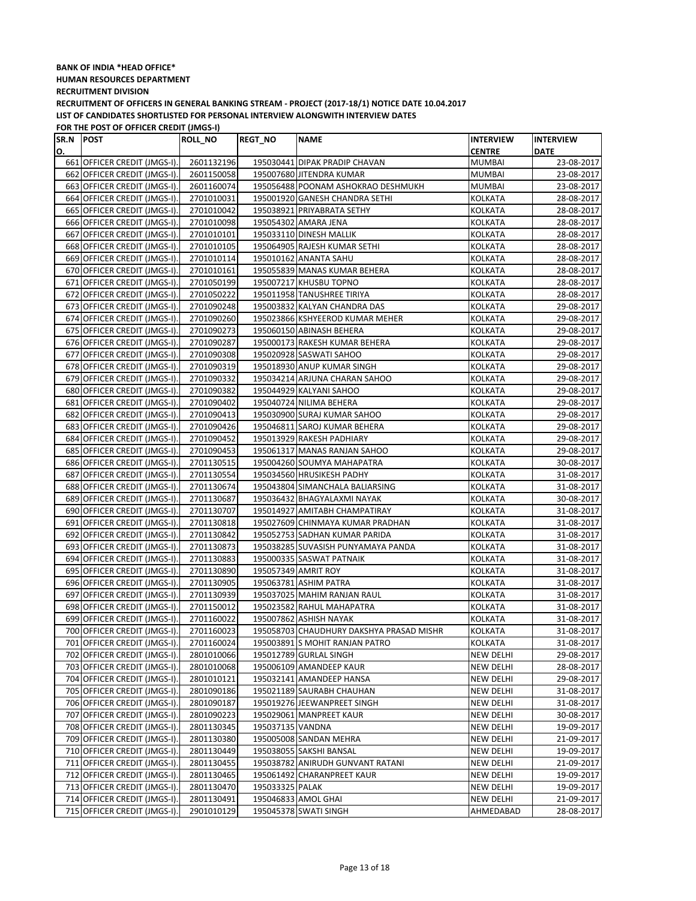| SR.N POST |                              | <b>ROLL_NO</b> | <b>REGT_NO</b>   | <b>NAME</b>                              | <b>INTERVIEW</b> | <b>INTERVIEW</b> |
|-----------|------------------------------|----------------|------------------|------------------------------------------|------------------|------------------|
| О.        |                              |                |                  |                                          | <b>CENTRE</b>    | <b>DATE</b>      |
|           | 661 OFFICER CREDIT (JMGS-I). | 2601132196     |                  | 195030441 DIPAK PRADIP CHAVAN            | <b>MUMBAI</b>    | 23-08-2017       |
|           | 662 OFFICER CREDIT (JMGS-I). | 2601150058     |                  | 195007680 JITENDRA KUMAR                 | <b>MUMBAI</b>    | 23-08-2017       |
|           | 663 OFFICER CREDIT (JMGS-I). | 2601160074     |                  | 195056488 POONAM ASHOKRAO DESHMUKH       | <b>MUMBAI</b>    | 23-08-2017       |
|           | 664 OFFICER CREDIT (JMGS-I). | 2701010031     |                  | 195001920 GANESH CHANDRA SETHI           | <b>KOLKATA</b>   | 28-08-2017       |
|           | 665 OFFICER CREDIT (JMGS-I). | 2701010042     |                  | 195038921 PRIYABRATA SETHY               | KOLKATA          | 28-08-2017       |
|           | 666 OFFICER CREDIT (JMGS-I). | 2701010098     |                  | 195054302 AMARA JENA                     | KOLKATA          | 28-08-2017       |
|           | 667 OFFICER CREDIT (JMGS-I). | 2701010101     |                  | 195033110 DINESH MALLIK                  | <b>KOLKATA</b>   | 28-08-2017       |
|           | 668 OFFICER CREDIT (JMGS-I). | 2701010105     |                  | 195064905 RAJESH KUMAR SETHI             | <b>KOLKATA</b>   | 28-08-2017       |
|           | 669 OFFICER CREDIT (JMGS-I). | 2701010114     |                  | 195010162 ANANTA SAHU                    | <b>KOLKATA</b>   | 28-08-2017       |
|           | 670 OFFICER CREDIT (JMGS-I). | 2701010161     |                  | 195055839 MANAS KUMAR BEHERA             | KOLKATA          | 28-08-2017       |
|           | 671 OFFICER CREDIT (JMGS-I). | 2701050199     |                  | 195007217 KHUSBU TOPNO                   | <b>KOLKATA</b>   | 28-08-2017       |
|           | 672 OFFICER CREDIT (JMGS-I). | 2701050222     |                  | 195011958 TANUSHREE TIRIYA               | <b>KOLKATA</b>   | 28-08-2017       |
|           | 673 OFFICER CREDIT (JMGS-I). | 2701090248     |                  | 195003832 KALYAN CHANDRA DAS             | KOLKATA          | 29-08-2017       |
|           | 674 OFFICER CREDIT (JMGS-I). | 2701090260     |                  | 195023866 KSHYEEROD KUMAR MEHER          | KOLKATA          | 29-08-2017       |
|           | 675 OFFICER CREDIT (JMGS-I). | 2701090273     |                  | 195060150 ABINASH BEHERA                 | <b>KOLKATA</b>   | 29-08-2017       |
|           | 676 OFFICER CREDIT (JMGS-I). | 2701090287     |                  | 195000173 RAKESH KUMAR BEHERA            | <b>KOLKATA</b>   | 29-08-2017       |
|           | 677 OFFICER CREDIT (JMGS-I). | 2701090308     |                  | 195020928 SASWATI SAHOO                  | <b>KOLKATA</b>   | 29-08-2017       |
|           | 678 OFFICER CREDIT (JMGS-I). | 2701090319     |                  | 195018930 ANUP KUMAR SINGH               | <b>KOLKATA</b>   | 29-08-2017       |
|           | 679 OFFICER CREDIT (JMGS-I). | 2701090332     |                  | 195034214 ARJUNA CHARAN SAHOO            | <b>KOLKATA</b>   | 29-08-2017       |
|           | 680 OFFICER CREDIT (JMGS-I). | 2701090382     |                  | 195044929 KALYANI SAHOO                  | <b>KOLKATA</b>   | 29-08-2017       |
|           | 681 OFFICER CREDIT (JMGS-I). | 2701090402     |                  | 195040724 NILIMA BEHERA                  | <b>KOLKATA</b>   | 29-08-2017       |
|           | 682 OFFICER CREDIT (JMGS-I). | 2701090413     |                  | 195030900 SURAJ KUMAR SAHOO              | <b>KOLKATA</b>   | 29-08-2017       |
|           | 683 OFFICER CREDIT (JMGS-I). | 2701090426     |                  | 195046811 SAROJ KUMAR BEHERA             | KOLKATA          | 29-08-2017       |
|           | 684 OFFICER CREDIT (JMGS-I). | 2701090452     |                  | 195013929 RAKESH PADHIARY                | <b>KOLKATA</b>   | 29-08-2017       |
|           | 685 OFFICER CREDIT (JMGS-I). | 2701090453     |                  | 195061317 MANAS RANJAN SAHOO             | <b>KOLKATA</b>   | 29-08-2017       |
|           | 686 OFFICER CREDIT (JMGS-I). | 2701130515     |                  | 195004260 SOUMYA MAHAPATRA               | <b>KOLKATA</b>   | 30-08-2017       |
|           | 687 OFFICER CREDIT (JMGS-I). | 2701130554     |                  | 195034560 HRUSIKESH PADHY                | KOLKATA          | 31-08-2017       |
|           | 688 OFFICER CREDIT (JMGS-I). | 2701130674     |                  | 195043804 SIMANCHALA BALIARSING          | <b>KOLKATA</b>   | 31-08-2017       |
|           | 689 OFFICER CREDIT (JMGS-I). | 2701130687     |                  | 195036432 BHAGYALAXMI NAYAK              | <b>KOLKATA</b>   | 30-08-2017       |
|           | 690 OFFICER CREDIT (JMGS-I). | 2701130707     |                  | 195014927 AMITABH CHAMPATIRAY            | <b>KOLKATA</b>   | 31-08-2017       |
|           | 691 OFFICER CREDIT (JMGS-I). | 2701130818     |                  | 195027609 CHINMAYA KUMAR PRADHAN         | KOLKATA          | 31-08-2017       |
|           | 692 OFFICER CREDIT (JMGS-I). | 2701130842     |                  | 195052753 SADHAN KUMAR PARIDA            | <b>KOLKATA</b>   | 31-08-2017       |
|           | 693 OFFICER CREDIT (JMGS-I). | 2701130873     |                  | 195038285 SUVASISH PUNYAMAYA PANDA       | <b>KOLKATA</b>   | 31-08-2017       |
|           | 694 OFFICER CREDIT (JMGS-I). | 2701130883     |                  | 195000335 SASWAT PATNAIK                 | <b>KOLKATA</b>   | 31-08-2017       |
|           | 695 OFFICER CREDIT (JMGS-I). | 2701130890     |                  | 195057349 AMRIT ROY                      | KOLKATA          | 31-08-2017       |
|           | 696 OFFICER CREDIT (JMGS-I). | 2701130905     |                  | 195063781 ASHIM PATRA                    | KOLKATA          | 31-08-2017       |
|           | 697 OFFICER CREDIT (JMGS-I). | 2701130939     |                  | 195037025 MAHIM RANJAN RAUL              | <b>KOLKATA</b>   | 31-08-2017       |
|           | 698 OFFICER CREDIT (JMGS-I). | 2701150012     |                  | 195023582 RAHUL MAHAPATRA                | <b>KOLKATA</b>   | 31-08-2017       |
|           | 699 OFFICER CREDIT (JMGS-I). | 2701160022     |                  | 195007862 ASHISH NAYAK                   | <b>KOLKATA</b>   | 31-08-2017       |
|           | 700 OFFICER CREDIT (JMGS-I). | 2701160023     |                  | 195058703 CHAUDHURY DAKSHYA PRASAD MISHR | <b>KOLKATA</b>   | 31-08-2017       |
|           | 701 OFFICER CREDIT (JMGS-I). | 2701160024     |                  | 195003891 S MOHIT RANJAN PATRO           | KOLKATA          | 31-08-2017       |
|           | 702 OFFICER CREDIT (JMGS-I). | 2801010066     |                  | 195012789 GURLAL SINGH                   | <b>NEW DELHI</b> | 29-08-2017       |
|           | 703 OFFICER CREDIT (JMGS-I). | 2801010068     |                  | 195006109 AMANDEEP KAUR                  | NEW DELHI        | 28-08-2017       |
|           | 704 OFFICER CREDIT (JMGS-I). | 2801010121     |                  | 195032141 AMANDEEP HANSA                 | NEW DELHI        | 29-08-2017       |
|           | 705 OFFICER CREDIT (JMGS-I). | 2801090186     |                  | 195021189 SAURABH CHAUHAN                | NEW DELHI        | 31-08-2017       |
|           | 706 OFFICER CREDIT (JMGS-I). | 2801090187     |                  | 195019276 JEEWANPREET SINGH              | <b>NEW DELHI</b> | 31-08-2017       |
|           | 707 OFFICER CREDIT (JMGS-I). | 2801090223     |                  | 195029061 MANPREET KAUR                  | NEW DELHI        | 30-08-2017       |
|           | 708 OFFICER CREDIT (JMGS-I). | 2801130345     | 195037135 VANDNA |                                          | NEW DELHI        | 19-09-2017       |
|           | 709 OFFICER CREDIT (JMGS-I). | 2801130380     |                  | 195005008 SANDAN MEHRA                   | NEW DELHI        | 21-09-2017       |
|           | 710 OFFICER CREDIT (JMGS-I). | 2801130449     |                  | 195038055 SAKSHI BANSAL                  | <b>NEW DELHI</b> | 19-09-2017       |
|           | 711 OFFICER CREDIT (JMGS-I). | 2801130455     |                  | 195038782 ANIRUDH GUNVANT RATANI         | <b>NEW DELHI</b> | 21-09-2017       |
|           | 712 OFFICER CREDIT (JMGS-I). | 2801130465     |                  | 195061492 CHARANPREET KAUR               | <b>NEW DELHI</b> | 19-09-2017       |
|           | 713 OFFICER CREDIT (JMGS-I). | 2801130470     | 195033325 PALAK  |                                          | <b>NEW DELHI</b> | 19-09-2017       |
|           | 714 OFFICER CREDIT (JMGS-I). | 2801130491     |                  | 195046833 AMOL GHAI                      | <b>NEW DELHI</b> | 21-09-2017       |
|           | 715 OFFICER CREDIT (JMGS-I). | 2901010129     |                  | 195045378 SWATI SINGH                    | AHMEDABAD        | 28-08-2017       |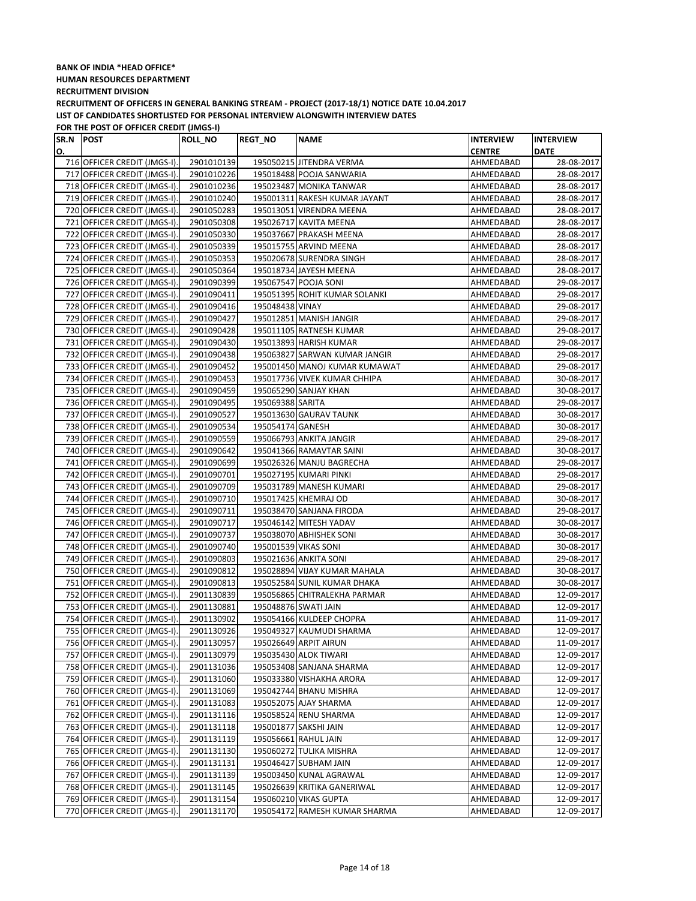### **BANK OF INDIA \*HEAD OFFICE\* HUMAN RESOURCES DEPARTMENT RECRUITMENT DIVISION RECRUITMENT OF OFFICERS IN GENERAL BANKING STREAM - PROJECT (2017-18/1) NOTICE DATE 10.04.2017**

**LIST OF CANDIDATES SHORTLISTED FOR PERSONAL INTERVIEW ALONGWITH INTERVIEW DATES**

| SR.N | <b>POST</b>                  | <b>ROLL_NO</b> | <b>REGT_NO</b>   | <b>NAME</b>                   | <b>INTERVIEW</b> | <b>INTERVIEW</b> |
|------|------------------------------|----------------|------------------|-------------------------------|------------------|------------------|
| О.   |                              |                |                  |                               | <b>CENTRE</b>    | <b>DATE</b>      |
|      | 716 OFFICER CREDIT (JMGS-I). | 2901010139     |                  | 195050215 JITENDRA VERMA      | AHMEDABAD        | 28-08-2017       |
|      | 717 OFFICER CREDIT (JMGS-I). | 2901010226     |                  | 195018488 POOJA SANWARIA      | AHMEDABAD        | 28-08-2017       |
|      | 718 OFFICER CREDIT (JMGS-I). | 2901010236     |                  | 195023487 MONIKA TANWAR       | AHMEDABAD        | 28-08-2017       |
|      | 719 OFFICER CREDIT (JMGS-I). | 2901010240     |                  | 195001311 RAKESH KUMAR JAYANT | AHMEDABAD        | 28-08-2017       |
|      | 720 OFFICER CREDIT (JMGS-I). | 2901050283     |                  | 195013051 VIRENDRA MEENA      | AHMEDABAD        | 28-08-2017       |
|      | 721 OFFICER CREDIT (JMGS-I). | 2901050308     |                  | 195026717 KAVITA MEENA        | AHMEDABAD        | 28-08-2017       |
| 722  | OFFICER CREDIT (JMGS-I).     | 2901050330     |                  | 195037667 PRAKASH MEENA       | AHMEDABAD        | 28-08-2017       |
|      | 723 OFFICER CREDIT (JMGS-I). | 2901050339     |                  | 195015755 ARVIND MEENA        | AHMEDABAD        | 28-08-2017       |
|      | 724 OFFICER CREDIT (JMGS-I). | 2901050353     |                  | 195020678 SURENDRA SINGH      | AHMEDABAD        | 28-08-2017       |
|      | 725 OFFICER CREDIT (JMGS-I). | 2901050364     |                  | 195018734 JAYESH MEENA        | AHMEDABAD        | 28-08-2017       |
|      | 726 OFFICER CREDIT (JMGS-I). | 2901090399     |                  | 195067547 POOJA SONI          | AHMEDABAD        | 29-08-2017       |
|      | 727 OFFICER CREDIT (JMGS-I). | 2901090411     |                  | 195051395 ROHIT KUMAR SOLANKI | AHMEDABAD        | 29-08-2017       |
|      | 728 OFFICER CREDIT (JMGS-I). | 2901090416     | 195048438 VINAY  |                               | AHMEDABAD        | 29-08-2017       |
|      | 729 OFFICER CREDIT (JMGS-I). | 2901090427     |                  | 195012851 MANISH JANGIR       | AHMEDABAD        | 29-08-2017       |
|      | 730 OFFICER CREDIT (JMGS-I). | 2901090428     |                  | 195011105 RATNESH KUMAR       | AHMEDABAD        | 29-08-2017       |
|      | 731 OFFICER CREDIT (JMGS-I). | 2901090430     |                  | 195013893 HARISH KUMAR        | AHMEDABAD        | 29-08-2017       |
|      | 732 OFFICER CREDIT (JMGS-I). | 2901090438     |                  | 195063827 SARWAN KUMAR JANGIR | AHMEDABAD        | 29-08-2017       |
|      | 733 OFFICER CREDIT (JMGS-I). | 2901090452     |                  | 195001450 MANOJ KUMAR KUMAWAT | AHMEDABAD        | 29-08-2017       |
|      | 734 OFFICER CREDIT (JMGS-I). | 2901090453     |                  | 195017736 VIVEK KUMAR CHHIPA  | AHMEDABAD        | 30-08-2017       |
|      | 735 OFFICER CREDIT (JMGS-I). | 2901090459     |                  | 195065290 SANJAY KHAN         | AHMEDABAD        | 30-08-2017       |
|      | 736 OFFICER CREDIT (JMGS-I). | 2901090495     | 195069388 SARITA |                               | AHMEDABAD        | 29-08-2017       |
|      | 737 OFFICER CREDIT (JMGS-I). | 2901090527     |                  | 195013630 GAURAV TAUNK        | AHMEDABAD        | 30-08-2017       |
|      | 738 OFFICER CREDIT (JMGS-I). | 2901090534     | 195054174 GANESH |                               | AHMEDABAD        | 30-08-2017       |
|      | 739 OFFICER CREDIT (JMGS-I). | 2901090559     |                  | 195066793 ANKITA JANGIR       | AHMEDABAD        | 29-08-2017       |
|      | 740 OFFICER CREDIT (JMGS-I). | 2901090642     |                  | 195041366 RAMAVTAR SAINI      | AHMEDABAD        | 30-08-2017       |
|      | 741 OFFICER CREDIT (JMGS-I). | 2901090699     |                  | 195026326 MANJU BAGRECHA      | AHMEDABAD        | 29-08-2017       |
|      | 742 OFFICER CREDIT (JMGS-I). | 2901090701     |                  | 195027195 KUMARI PINKI        | AHMEDABAD        | 29-08-2017       |
|      | 743 OFFICER CREDIT (JMGS-I). | 2901090709     |                  | 195031789 MANESH KUMARI       | AHMEDABAD        | 29-08-2017       |
|      | 744 OFFICER CREDIT (JMGS-I). | 2901090710     |                  | 195017425 KHEMRAJ OD          | AHMEDABAD        | 30-08-2017       |
|      | 745 OFFICER CREDIT (JMGS-I). | 2901090711     |                  | 195038470 SANJANA FIRODA      | AHMEDABAD        | 29-08-2017       |
|      | 746 OFFICER CREDIT (JMGS-I). | 2901090717     |                  | 195046142 MITESH YADAV        | AHMEDABAD        | 30-08-2017       |
| 747  | OFFICER CREDIT (JMGS-I).     | 2901090737     |                  | 195038070 ABHISHEK SONI       | AHMEDABAD        | 30-08-2017       |
|      | 748 OFFICER CREDIT (JMGS-I). | 2901090740     |                  | 195001539 VIKAS SONI          | AHMEDABAD        | 30-08-2017       |
|      | 749 OFFICER CREDIT (JMGS-I). | 2901090803     |                  | 195021636 ANKITA SONI         | AHMEDABAD        | 29-08-2017       |
|      | 750 OFFICER CREDIT (JMGS-I). | 2901090812     |                  | 195028894 VIJAY KUMAR MAHALA  | AHMEDABAD        | 30-08-2017       |
|      | 751 OFFICER CREDIT (JMGS-I). | 2901090813     |                  | 195052584 SUNIL KUMAR DHAKA   | AHMEDABAD        | 30-08-2017       |
|      | 752 OFFICER CREDIT (JMGS-I). | 2901130839     |                  | 195056865 CHITRALEKHA PARMAR  | AHMEDABAD        | 12-09-2017       |
|      | 753 OFFICER CREDIT (JMGS-I). | 2901130881     |                  | 195048876 SWATI JAIN          | AHMEDABAD        | 12-09-2017       |
|      | 754 OFFICER CREDIT (JMGS-I). | 2901130902     |                  | 195054166 KULDEEP CHOPRA      | AHMEDABAD        | 11-09-2017       |
|      | 755 OFFICER CREDIT (JMGS-I). | 2901130926     |                  | 195049327 KAUMUDI SHARMA      | AHMEDABAD        | 12-09-2017       |
|      | 756 OFFICER CREDIT (JMGS-I). | 2901130957     |                  | 195026649 ARPIT AIRUN         | AHMEDABAD        | 11-09-2017       |
|      | 757 OFFICER CREDIT (JMGS-I). | 2901130979     |                  | 195035430 ALOK TIWARI         | AHMEDABAD        | 12-09-2017       |
|      | 758 OFFICER CREDIT (JMGS-I). | 2901131036     |                  | 195053408 SANJANA SHARMA      | AHMEDABAD        | 12-09-2017       |
|      | 759 OFFICER CREDIT (JMGS-I). | 2901131060     |                  | 195033380 VISHAKHA ARORA      | AHMEDABAD        | 12-09-2017       |
|      | 760 OFFICER CREDIT (JMGS-I). | 2901131069     |                  | 195042744 BHANU MISHRA        | AHMEDABAD        | 12-09-2017       |
|      | 761 OFFICER CREDIT (JMGS-I). | 2901131083     |                  | 195052075 AJAY SHARMA         | AHMEDABAD        | 12-09-2017       |
|      | 762 OFFICER CREDIT (JMGS-I). | 2901131116     |                  | 195058524 RENU SHARMA         | AHMEDABAD        | 12-09-2017       |
|      | 763 OFFICER CREDIT (JMGS-I). | 2901131118     |                  | 195001877 SAKSHI JAIN         | AHMEDABAD        | 12-09-2017       |
|      | 764 OFFICER CREDIT (JMGS-I). | 2901131119     |                  | 195056661 RAHUL JAIN          | AHMEDABAD        | 12-09-2017       |
|      | 765 OFFICER CREDIT (JMGS-I). | 2901131130     |                  | 195060272 TULIKA MISHRA       | AHMEDABAD        | 12-09-2017       |
|      | 766 OFFICER CREDIT (JMGS-I). | 2901131131     |                  | 195046427 SUBHAM JAIN         | AHMEDABAD        | 12-09-2017       |
|      | 767 OFFICER CREDIT (JMGS-I). | 2901131139     |                  | 195003450 KUNAL AGRAWAL       | AHMEDABAD        | 12-09-2017       |
|      | 768 OFFICER CREDIT (JMGS-I). | 2901131145     |                  | 195026639 KRITIKA GANERIWAL   | AHMEDABAD        | 12-09-2017       |
|      | 769 OFFICER CREDIT (JMGS-I). | 2901131154     |                  | 195060210 VIKAS GUPTA         | AHMEDABAD        | 12-09-2017       |
|      | 770 OFFICER CREDIT (JMGS-I). | 2901131170     |                  | 195054172 RAMESH KUMAR SHARMA | AHMEDABAD        | 12-09-2017       |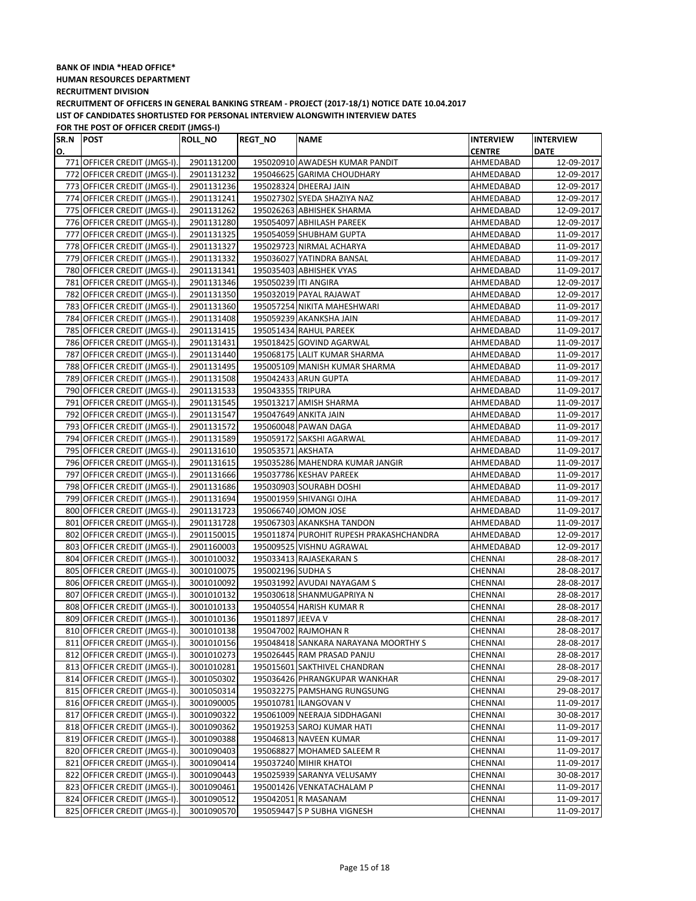| SR.N POST |                              | <b>ROLL_NO</b> | <b>REGT_NO</b>       | <b>NAME</b>                             | <b>INTERVIEW</b> | <b>INTERVIEW</b> |
|-----------|------------------------------|----------------|----------------------|-----------------------------------------|------------------|------------------|
| О.        |                              |                |                      |                                         | <b>CENTRE</b>    | <b>DATE</b>      |
|           | 771 OFFICER CREDIT (JMGS-I). | 2901131200     |                      | 195020910 AWADESH KUMAR PANDIT          | AHMEDABAD        | 12-09-2017       |
|           | 772 OFFICER CREDIT (JMGS-I). | 2901131232     |                      | 195046625 GARIMA CHOUDHARY              | AHMEDABAD        | 12-09-2017       |
|           | 773 OFFICER CREDIT (JMGS-I). | 2901131236     |                      | 195028324 DHEERAJ JAIN                  | AHMEDABAD        | 12-09-2017       |
|           | 774 OFFICER CREDIT (JMGS-I). | 2901131241     |                      | 195027302 SYEDA SHAZIYA NAZ             | AHMEDABAD        | 12-09-2017       |
|           | 775 OFFICER CREDIT (JMGS-I). | 2901131262     |                      | 195026263 ABHISHEK SHARMA               | AHMEDABAD        | 12-09-2017       |
|           | 776 OFFICER CREDIT (JMGS-I). | 2901131280     |                      | 195054097 ABHILASH PAREEK               | AHMEDABAD        | 12-09-2017       |
|           | 777 OFFICER CREDIT (JMGS-I). | 2901131325     |                      | 195054059 SHUBHAM GUPTA                 | AHMEDABAD        | 11-09-2017       |
|           | 778 OFFICER CREDIT (JMGS-I). | 2901131327     |                      | 195029723 NIRMAL ACHARYA                | AHMEDABAD        | 11-09-2017       |
|           | 779 OFFICER CREDIT (JMGS-I). | 2901131332     |                      | 195036027 YATINDRA BANSAL               | AHMEDABAD        | 11-09-2017       |
|           | 780 OFFICER CREDIT (JMGS-I). | 2901131341     |                      | 195035403 ABHISHEK VYAS                 | AHMEDABAD        | 11-09-2017       |
|           | 781 OFFICER CREDIT (JMGS-I). | 2901131346     | 195050239 ITI ANGIRA |                                         | AHMEDABAD        | 12-09-2017       |
|           | 782 OFFICER CREDIT (JMGS-I). | 2901131350     |                      | 195032019 PAYAL RAJAWAT                 | AHMEDABAD        | 12-09-2017       |
|           | 783 OFFICER CREDIT (JMGS-I). | 2901131360     |                      | 195057254 NIKITA MAHESHWARI             | AHMEDABAD        | 11-09-2017       |
|           | 784 OFFICER CREDIT (JMGS-I). | 2901131408     |                      | 195059239 AKANKSHA JAIN                 | AHMEDABAD        | 11-09-2017       |
|           | 785 OFFICER CREDIT (JMGS-I). | 2901131415     |                      | 195051434 RAHUL PAREEK                  | AHMEDABAD        | 11-09-2017       |
|           | 786 OFFICER CREDIT (JMGS-I). | 2901131431     |                      | 195018425 GOVIND AGARWAL                | AHMEDABAD        | 11-09-2017       |
|           | 787 OFFICER CREDIT (JMGS-I). | 2901131440     |                      | 195068175 LALIT KUMAR SHARMA            | AHMEDABAD        | 11-09-2017       |
|           | 788 OFFICER CREDIT (JMGS-I). | 2901131495     |                      | 195005109 MANISH KUMAR SHARMA           | AHMEDABAD        | 11-09-2017       |
|           | 789 OFFICER CREDIT (JMGS-I). | 2901131508     |                      | 195042433 ARUN GUPTA                    | AHMEDABAD        | 11-09-2017       |
|           | 790 OFFICER CREDIT (JMGS-I). | 2901131533     | 195043355 TRIPURA    |                                         | AHMEDABAD        | 11-09-2017       |
|           | 791 OFFICER CREDIT (JMGS-I). | 2901131545     |                      | 195013217 AMISH SHARMA                  | AHMEDABAD        | 11-09-2017       |
|           | 792 OFFICER CREDIT (JMGS-I). | 2901131547     |                      | 195047649 ANKITA JAIN                   | AHMEDABAD        | 11-09-2017       |
|           | 793 OFFICER CREDIT (JMGS-I). | 2901131572     |                      | 195060048 PAWAN DAGA                    | AHMEDABAD        | 11-09-2017       |
|           | 794 OFFICER CREDIT (JMGS-I). | 2901131589     |                      | 195059172 SAKSHI AGARWAL                | AHMEDABAD        | 11-09-2017       |
|           | 795 OFFICER CREDIT (JMGS-I). | 2901131610     | 195053571 AKSHATA    |                                         | AHMEDABAD        | 11-09-2017       |
|           | 796 OFFICER CREDIT (JMGS-I). | 2901131615     |                      | 195035286 MAHENDRA KUMAR JANGIR         | AHMEDABAD        | 11-09-2017       |
|           | 797 OFFICER CREDIT (JMGS-I). | 2901131666     |                      | 195037786 KESHAV PAREEK                 | AHMEDABAD        | 11-09-2017       |
|           | 798 OFFICER CREDIT (JMGS-I). | 2901131686     |                      | 195030903 SOURABH DOSHI                 | AHMEDABAD        | 11-09-2017       |
|           | 799 OFFICER CREDIT (JMGS-I). | 2901131694     |                      | 195001959 SHIVANGI OJHA                 | AHMEDABAD        | 11-09-2017       |
|           | 800 OFFICER CREDIT (JMGS-I). | 2901131723     |                      | 195066740 JOMON JOSE                    | AHMEDABAD        | 11-09-2017       |
|           | 801 OFFICER CREDIT (JMGS-I). | 2901131728     |                      | 195067303 AKANKSHA TANDON               | AHMEDABAD        | 11-09-2017       |
|           | 802 OFFICER CREDIT (JMGS-I). | 2901150015     |                      | 195011874 PUROHIT RUPESH PRAKASHCHANDRA | AHMEDABAD        | 12-09-2017       |
|           | 803 OFFICER CREDIT (JMGS-I). | 2901160003     |                      | 195009525 VISHNU AGRAWAL                | AHMEDABAD        | 12-09-2017       |
|           | 804 OFFICER CREDIT (JMGS-I). | 3001010032     |                      | 195033413 RAJASEKARAN S                 | CHENNAI          | 28-08-2017       |
|           | 805 OFFICER CREDIT (JMGS-I). | 3001010075     | 195002196 SUDHA S    |                                         | <b>CHENNAI</b>   | 28-08-2017       |
|           | 806 OFFICER CREDIT (JMGS-I). | 3001010092     |                      | 195031992 AVUDAI NAYAGAM S              | CHENNAI          | 28-08-2017       |
|           | 807 OFFICER CREDIT (JMGS-I). | 3001010132     |                      | 195030618 SHANMUGAPRIYA N               | <b>CHENNAI</b>   | 28-08-2017       |
|           | 808 OFFICER CREDIT (JMGS-I). | 3001010133     |                      | 195040554 HARISH KUMAR R                | CHENNAI          | 28-08-2017       |
|           | 809 OFFICER CREDIT (JMGS-I). | 3001010136     | 195011897 JEEVA V    |                                         | CHENNAI          | 28-08-2017       |
|           | 810 OFFICER CREDIT (JMGS-I). | 3001010138     |                      | 195047002 RAJMOHAN R                    | CHENNAI          | 28-08-2017       |
|           | 811 OFFICER CREDIT (JMGS-I). | 3001010156     |                      | 195048418 SANKARA NARAYANA MOORTHY S    | CHENNAI          | 28-08-2017       |
|           | 812 OFFICER CREDIT (JMGS-I). | 3001010273     |                      | 195026445 RAM PRASAD PANJU              | CHENNAI          | 28-08-2017       |
|           | 813 OFFICER CREDIT (JMGS-I). | 3001010281     |                      | 195015601 SAKTHIVEL CHANDRAN            | CHENNAI          | 28-08-2017       |
|           | 814 OFFICER CREDIT (JMGS-I). | 3001050302     |                      | 195036426 PHRANGKUPAR WANKHAR           | CHENNAI          | 29-08-2017       |
|           | 815 OFFICER CREDIT (JMGS-I). | 3001050314     |                      | 195032275 PAMSHANG RUNGSUNG             | CHENNAI          | 29-08-2017       |
|           | 816 OFFICER CREDIT (JMGS-I). | 3001090005     |                      | 195010781 ILANGOVAN V                   | CHENNAI          | 11-09-2017       |
|           | 817 OFFICER CREDIT (JMGS-I). | 3001090322     |                      | 195061009 NEERAJA SIDDHAGANI            | CHENNAI          | 30-08-2017       |
|           | 818 OFFICER CREDIT (JMGS-I). | 3001090362     |                      | 195019253 SAROJ KUMAR HATI              | CHENNAI          | 11-09-2017       |
|           | 819 OFFICER CREDIT (JMGS-I). | 3001090388     |                      | 195046813 NAVEEN KUMAR                  | CHENNAI          | 11-09-2017       |
|           | 820 OFFICER CREDIT (JMGS-I). | 3001090403     |                      | 195068827 MOHAMED SALEEM R              | CHENNAI          | 11-09-2017       |
| 821       | OFFICER CREDIT (JMGS-I).     | 3001090414     |                      | 195037240 MIHIR KHATOI                  | CHENNAI          | 11-09-2017       |
|           | 822 OFFICER CREDIT (JMGS-I). | 3001090443     |                      | 195025939 SARANYA VELUSAMY              | CHENNAI          | 30-08-2017       |
|           | 823 OFFICER CREDIT (JMGS-I). | 3001090461     |                      | 195001426 VENKATACHALAM P               | CHENNAI          | 11-09-2017       |
|           | 824 OFFICER CREDIT (JMGS-I). | 3001090512     |                      | 195042051 R MASANAM                     | CHENNAI          | 11-09-2017       |
|           | 825 OFFICER CREDIT (JMGS-I). | 3001090570     |                      | 195059447 S P SUBHA VIGNESH             | CHENNAI          | 11-09-2017       |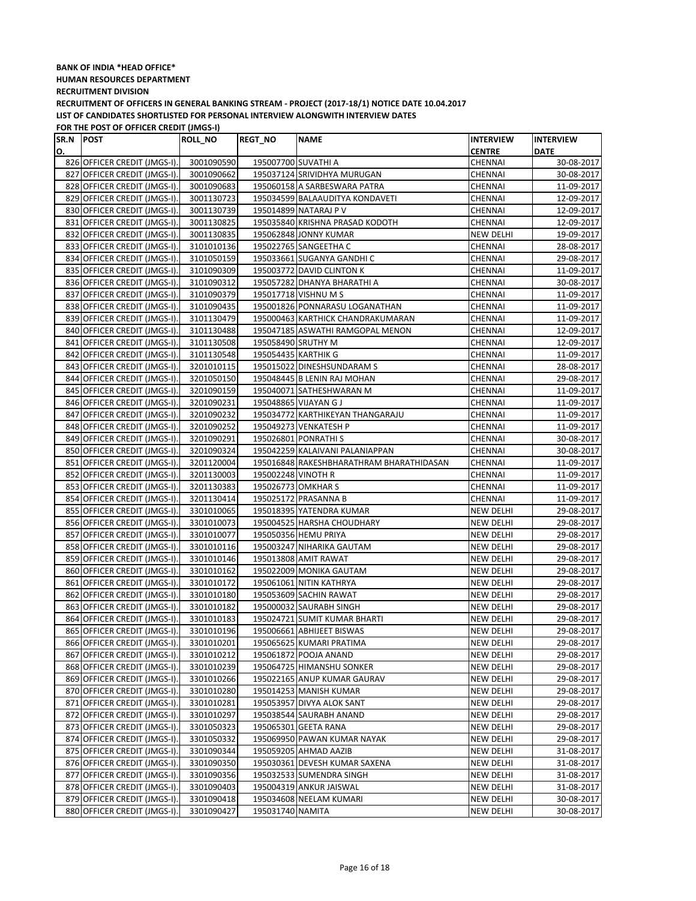| SR.N POST |                              | <b>ROLL_NO</b> | <b>REGT_NO</b>      | <b>NAME</b>                              | <b>INTERVIEW</b> | <b>INTERVIEW</b> |
|-----------|------------------------------|----------------|---------------------|------------------------------------------|------------------|------------------|
| О.        |                              |                |                     |                                          | <b>CENTRE</b>    | <b>DATE</b>      |
|           | 826 OFFICER CREDIT (JMGS-I). | 3001090590     | 195007700 SUVATHI A |                                          | CHENNAI          | 30-08-2017       |
|           | 827 OFFICER CREDIT (JMGS-I). | 3001090662     |                     | 195037124 SRIVIDHYA MURUGAN              | CHENNAI          | 30-08-2017       |
|           | 828 OFFICER CREDIT (JMGS-I). | 3001090683     |                     | 195060158 A SARBESWARA PATRA             | CHENNAI          | 11-09-2017       |
|           | 829 OFFICER CREDIT (JMGS-I). | 3001130723     |                     | 195034599 BALAAUDITYA KONDAVETI          | CHENNAI          | 12-09-2017       |
|           | 830 OFFICER CREDIT (JMGS-I). | 3001130739     |                     | 195014899 NATARAJ P V                    | CHENNAI          | 12-09-2017       |
|           | 831 OFFICER CREDIT (JMGS-I). | 3001130825     |                     | 195035840 KRISHNA PRASAD KODOTH          | CHENNAI          | 12-09-2017       |
|           | 832 OFFICER CREDIT (JMGS-I). | 3001130835     |                     | 195062848 JONNY KUMAR                    | NEW DELHI        | 19-09-2017       |
|           | 833 OFFICER CREDIT (JMGS-I). | 3101010136     |                     | 195022765 SANGEETHA C                    | CHENNAI          | 28-08-2017       |
|           | 834 OFFICER CREDIT (JMGS-I). | 3101050159     |                     | 195033661 SUGANYA GANDHI C               | CHENNAI          | 29-08-2017       |
|           | 835 OFFICER CREDIT (JMGS-I). | 3101090309     |                     | 195003772 DAVID CLINTON K                | CHENNAI          | 11-09-2017       |
|           | 836 OFFICER CREDIT (JMGS-I). | 3101090312     |                     | 195057282 DHANYA BHARATHI A              | CHENNAI          | 30-08-2017       |
|           | 837 OFFICER CREDIT (JMGS-I). | 3101090379     |                     | 195017718 VISHNU M S                     | CHENNAI          | 11-09-2017       |
|           | 838 OFFICER CREDIT (JMGS-I). | 3101090435     |                     | 195001826 PONNARASU LOGANATHAN           | CHENNAI          | 11-09-2017       |
|           | 839 OFFICER CREDIT (JMGS-I). | 3101130479     |                     | 195000463 KARTHICK CHANDRAKUMARAN        | CHENNAI          | 11-09-2017       |
|           | 840 OFFICER CREDIT (JMGS-I). | 3101130488     |                     | 195047185 ASWATHI RAMGOPAL MENON         | CHENNAI          | 12-09-2017       |
|           | 841 OFFICER CREDIT (JMGS-I). | 3101130508     | 195058490 SRUTHY M  |                                          | CHENNAI          | 12-09-2017       |
|           | 842 OFFICER CREDIT (JMGS-I). | 3101130548     | 195054435 KARTHIK G |                                          | CHENNAI          | 11-09-2017       |
|           | 843 OFFICER CREDIT (JMGS-I). | 3201010115     |                     | 195015022 DINESHSUNDARAM S               | CHENNAI          | 28-08-2017       |
|           | 844 OFFICER CREDIT (JMGS-I). | 3201050150     |                     | 195048445 B LENIN RAJ MOHAN              | CHENNAI          | 29-08-2017       |
|           | 845 OFFICER CREDIT (JMGS-I). | 3201090159     |                     | 195040071 SATHESHWARAN M                 | CHENNAI          | 11-09-2017       |
|           | 846 OFFICER CREDIT (JMGS-I). | 3201090231     |                     | 195048865 VIJAYAN G J                    | CHENNAI          | 11-09-2017       |
|           | 847 OFFICER CREDIT (JMGS-I). | 3201090232     |                     | 195034772 KARTHIKEYAN THANGARAJU         | CHENNAI          | 11-09-2017       |
|           | 848 OFFICER CREDIT (JMGS-I). | 3201090252     |                     | 195049273 VENKATESH P                    | CHENNAI          | 11-09-2017       |
|           | 849 OFFICER CREDIT (JMGS-I). | 3201090291     |                     | 195026801 PONRATHIS                      | CHENNAI          | 30-08-2017       |
|           | 850 OFFICER CREDIT (JMGS-I). | 3201090324     |                     | 195042259 KALAIVANI PALANIAPPAN          | CHENNAI          | 30-08-2017       |
|           | 851 OFFICER CREDIT (JMGS-I). | 3201120004     |                     | 195016848 RAKESHBHARATHRAM BHARATHIDASAN | CHENNAI          | 11-09-2017       |
|           | 852 OFFICER CREDIT (JMGS-I). | 3201130003     | 195002248 VINOTH R  |                                          | CHENNAI          | 11-09-2017       |
|           | 853 OFFICER CREDIT (JMGS-I). | 3201130383     | 195026773 OMKHAR S  |                                          | CHENNAI          | 11-09-2017       |
|           | 854 OFFICER CREDIT (JMGS-I). | 3201130414     |                     | 195025172 PRASANNA B                     | CHENNAI          | 11-09-2017       |
|           | 855 OFFICER CREDIT (JMGS-I). | 3301010065     |                     | 195018395 YATENDRA KUMAR                 | <b>NEW DELHI</b> | 29-08-2017       |
|           | 856 OFFICER CREDIT (JMGS-I). | 3301010073     |                     | 195004525 HARSHA CHOUDHARY               | NEW DELHI        | 29-08-2017       |
|           | 857 OFFICER CREDIT (JMGS-I). | 3301010077     |                     | 195050356 HEMU PRIYA                     | <b>NEW DELHI</b> | 29-08-2017       |
|           | 858 OFFICER CREDIT (JMGS-I). | 3301010116     |                     | 195003247 NIHARIKA GAUTAM                | NEW DELHI        | 29-08-2017       |
|           | 859 OFFICER CREDIT (JMGS-I). | 3301010146     |                     | 195013808 AMIT RAWAT                     | NEW DELHI        | 29-08-2017       |
|           | 860 OFFICER CREDIT (JMGS-I). | 3301010162     |                     | 195022009 MONIKA GAUTAM                  | NEW DELHI        | 29-08-2017       |
|           | 861 OFFICER CREDIT (JMGS-I). | 3301010172     |                     | 195061061 NITIN KATHRYA                  | <b>NEW DELHI</b> | 29-08-2017       |
|           | 862 OFFICER CREDIT (JMGS-I). | 3301010180     |                     | 195053609 SACHIN RAWAT                   | <b>NEW DELHI</b> | 29-08-2017       |
|           | 863 OFFICER CREDIT (JMGS-I). | 3301010182     |                     | 195000032 SAURABH SINGH                  | <b>NEW DELHI</b> | 29-08-2017       |
|           | 864 OFFICER CREDIT (JMGS-I). | 3301010183     |                     | 195024721 SUMIT KUMAR BHARTI             | <b>NEW DELHI</b> | 29-08-2017       |
|           | 865 OFFICER CREDIT (JMGS-I). | 3301010196     |                     | 195006661 ABHIJEET BISWAS                | <b>NEW DELHI</b> | 29-08-2017       |
|           | 866 OFFICER CREDIT (JMGS-I). | 3301010201     |                     | 195065625 KUMARI PRATIMA                 | NEW DELHI        | 29-08-2017       |
|           | 867 OFFICER CREDIT (JMGS-I). | 3301010212     |                     | 195061872 POOJA ANAND                    | NEW DELHI        | 29-08-2017       |
|           | 868 OFFICER CREDIT (JMGS-I). | 3301010239     |                     | 195064725 HIMANSHU SONKER                | NEW DELHI        | 29-08-2017       |
|           | 869 OFFICER CREDIT (JMGS-I). | 3301010266     |                     | 195022165 ANUP KUMAR GAURAV              | <b>NEW DELHI</b> | 29-08-2017       |
|           | 870 OFFICER CREDIT (JMGS-I). | 3301010280     |                     | 195014253 MANISH KUMAR                   | <b>NEW DELHI</b> | 29-08-2017       |
|           | 871 OFFICER CREDIT (JMGS-I). | 3301010281     |                     | 195053957 DIVYA ALOK SANT                | NEW DELHI        | 29-08-2017       |
|           | 872 OFFICER CREDIT (JMGS-I). | 3301010297     |                     | 195038544 SAURABH ANAND                  | NEW DELHI        | 29-08-2017       |
|           | 873 OFFICER CREDIT (JMGS-I). | 3301050323     |                     | 195065301 GEETA RANA                     | NEW DELHI        | 29-08-2017       |
|           | 874 OFFICER CREDIT (JMGS-I). | 3301050332     |                     | 195069950 PAWAN KUMAR NAYAK              | NEW DELHI        | 29-08-2017       |
|           | 875 OFFICER CREDIT (JMGS-I). | 3301090344     |                     | 195059205 AHMAD AAZIB                    | NEW DELHI        | 31-08-2017       |
|           | 876 OFFICER CREDIT (JMGS-I). | 3301090350     |                     | 195030361 DEVESH KUMAR SAXENA            | NEW DELHI        | 31-08-2017       |
|           | 877 OFFICER CREDIT (JMGS-I). | 3301090356     |                     | 195032533 SUMENDRA SINGH                 | NEW DELHI        | 31-08-2017       |
|           | 878 OFFICER CREDIT (JMGS-I). | 3301090403     |                     | 195004319 ANKUR JAISWAL                  | NEW DELHI        | 31-08-2017       |
|           | 879 OFFICER CREDIT (JMGS-I). | 3301090418     |                     | 195034608 NEELAM KUMARI                  | <b>NEW DELHI</b> | 30-08-2017       |
|           | 880 OFFICER CREDIT (JMGS-I). | 3301090427     | 195031740 NAMITA    |                                          | <b>NEW DELHI</b> | 30-08-2017       |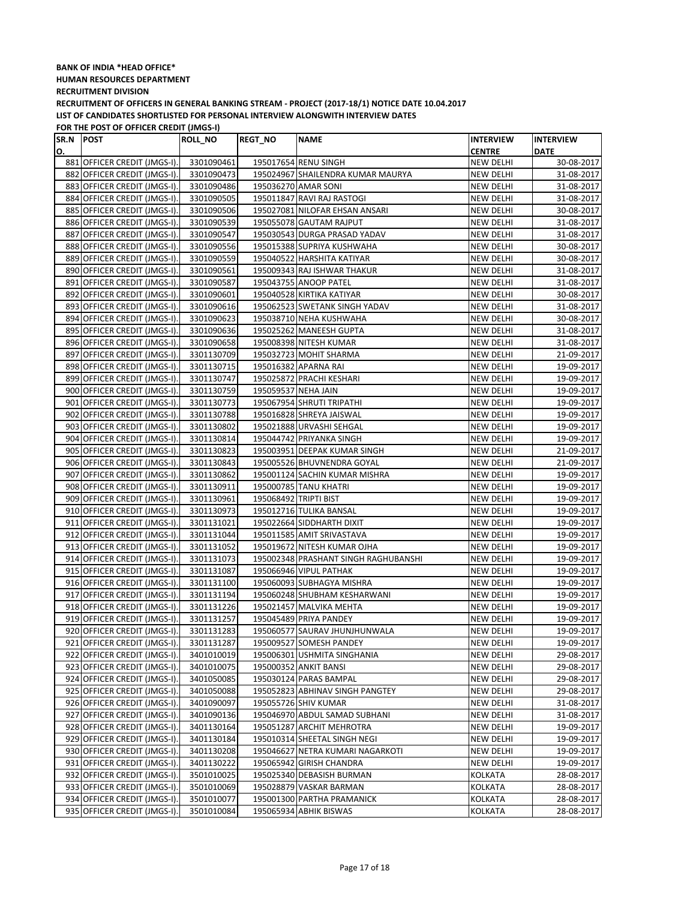| SR.N POST |                              | ROLL_NO    | <b>REGT_NO</b>        | <b>NAME</b>                          | <b>INTERVIEW</b> | <b>INTERVIEW</b> |
|-----------|------------------------------|------------|-----------------------|--------------------------------------|------------------|------------------|
| О.        |                              |            |                       |                                      | <b>CENTRE</b>    | <b>DATE</b>      |
|           | 881 OFFICER CREDIT (JMGS-I). | 3301090461 |                       | 195017654 RENU SINGH                 | NEW DELHI        | 30-08-2017       |
|           | 882 OFFICER CREDIT (JMGS-I). | 3301090473 |                       | 195024967 SHAILENDRA KUMAR MAURYA    | NEW DELHI        | 31-08-2017       |
|           | 883 OFFICER CREDIT (JMGS-I). | 3301090486 |                       | 195036270 AMAR SONI                  | <b>NEW DELHI</b> | 31-08-2017       |
|           | 884 OFFICER CREDIT (JMGS-I). | 3301090505 |                       | 195011847 RAVI RAJ RASTOGI           | NEW DELHI        | 31-08-2017       |
|           | 885 OFFICER CREDIT (JMGS-I). | 3301090506 |                       | 195027081 NILOFAR EHSAN ANSARI       | NEW DELHI        | 30-08-2017       |
|           | 886 OFFICER CREDIT (JMGS-I). | 3301090539 |                       | 195055078 GAUTAM RAJPUT              | NEW DELHI        | 31-08-2017       |
|           | 887 OFFICER CREDIT (JMGS-I). | 3301090547 |                       | 195030543 DURGA PRASAD YADAV         | <b>NEW DELHI</b> | 31-08-2017       |
|           | 888 OFFICER CREDIT (JMGS-I). | 3301090556 |                       | 195015388 SUPRIYA KUSHWAHA           | <b>NEW DELHI</b> | 30-08-2017       |
|           | 889 OFFICER CREDIT (JMGS-I). | 3301090559 |                       | 195040522 HARSHITA KATIYAR           | <b>NEW DELHI</b> | 30-08-2017       |
|           | 890 OFFICER CREDIT (JMGS-I). | 3301090561 |                       | 195009343 RAJ ISHWAR THAKUR          | NEW DELHI        | 31-08-2017       |
|           | 891 OFFICER CREDIT (JMGS-I). | 3301090587 |                       | 195043755 ANOOP PATEL                | NEW DELHI        | 31-08-2017       |
|           | 892 OFFICER CREDIT (JMGS-I). | 3301090601 |                       | 195040528 KIRTIKA KATIYAR            | <b>NEW DELHI</b> | 30-08-2017       |
|           | 893 OFFICER CREDIT (JMGS-I). | 3301090616 |                       | 195062523 SWETANK SINGH YADAV        | <b>NEW DELHI</b> | 31-08-2017       |
|           | 894 OFFICER CREDIT (JMGS-I). | 3301090623 |                       | 195038710 NEHA KUSHWAHA              | NEW DELHI        | 30-08-2017       |
|           | 895 OFFICER CREDIT (JMGS-I). | 3301090636 |                       | 195025262 MANEESH GUPTA              | <b>NEW DELHI</b> | 31-08-2017       |
|           | 896 OFFICER CREDIT (JMGS-I). | 3301090658 |                       | 195008398 NITESH KUMAR               | <b>NEW DELHI</b> | 31-08-2017       |
|           | 897 OFFICER CREDIT (JMGS-I). | 3301130709 |                       | 195032723 MOHIT SHARMA               | NEW DELHI        | 21-09-2017       |
|           | 898 OFFICER CREDIT (JMGS-I). | 3301130715 |                       | 195016382 APARNA RAI                 | NEW DELHI        | 19-09-2017       |
|           | 899 OFFICER CREDIT (JMGS-I). | 3301130747 |                       | 195025872 PRACHI KESHARI             | NEW DELHI        | 19-09-2017       |
|           | 900 OFFICER CREDIT (JMGS-I). | 3301130759 | 195059537 NEHA JAIN   |                                      | NEW DELHI        | 19-09-2017       |
|           | 901 OFFICER CREDIT (JMGS-I). | 3301130773 |                       | 195067954 SHRUTI TRIPATHI            | NEW DELHI        | 19-09-2017       |
|           | 902 OFFICER CREDIT (JMGS-I). | 3301130788 |                       | 195016828 SHREYA JAISWAL             | NEW DELHI        | 19-09-2017       |
|           | 903 OFFICER CREDIT (JMGS-I). | 3301130802 |                       | 195021888 URVASHI SEHGAL             | NEW DELHI        | 19-09-2017       |
|           | 904 OFFICER CREDIT (JMGS-I). | 3301130814 |                       | 195044742 PRIYANKA SINGH             | <b>NEW DELHI</b> | 19-09-2017       |
|           | 905 OFFICER CREDIT (JMGS-I). | 3301130823 |                       | 195003951 DEEPAK KUMAR SINGH         | <b>NEW DELHI</b> | 21-09-2017       |
|           | 906 OFFICER CREDIT (JMGS-I). | 3301130843 |                       | 195005526 BHUVNENDRA GOYAL           | <b>NEW DELHI</b> | 21-09-2017       |
|           | 907 OFFICER CREDIT (JMGS-I). | 3301130862 |                       | 195001124 SACHIN KUMAR MISHRA        | NEW DELHI        | 19-09-2017       |
|           | 908 OFFICER CREDIT (JMGS-I). | 3301130911 |                       | 195000785 TANU KHATRI                | NEW DELHI        | 19-09-2017       |
|           | 909 OFFICER CREDIT (JMGS-I). | 3301130961 | 195068492 TRIPTI BIST |                                      | NEW DELHI        | 19-09-2017       |
|           | 910 OFFICER CREDIT (JMGS-I). | 3301130973 |                       | 195012716 TULIKA BANSAL              | NEW DELHI        | 19-09-2017       |
|           | 911 OFFICER CREDIT (JMGS-I). | 3301131021 |                       | 195022664 SIDDHARTH DIXIT            | NEW DELHI        | 19-09-2017       |
|           | 912 OFFICER CREDIT (JMGS-I). | 3301131044 |                       | 195011585 AMIT SRIVASTAVA            | NEW DELHI        | 19-09-2017       |
|           | 913 OFFICER CREDIT (JMGS-I). | 3301131052 |                       | 195019672 NITESH KUMAR OJHA          | <b>NEW DELHI</b> | 19-09-2017       |
|           | 914 OFFICER CREDIT (JMGS-I). | 3301131073 |                       | 195002348 PRASHANT SINGH RAGHUBANSHI | <b>NEW DELHI</b> | 19-09-2017       |
|           | 915 OFFICER CREDIT (JMGS-I). | 3301131087 |                       | 195066946 VIPUL PATHAK               | NEW DELHI        | 19-09-2017       |
|           | 916 OFFICER CREDIT (JMGS-I). | 3301131100 |                       | 195060093 SUBHAGYA MISHRA            | <b>NEW DELHI</b> | 19-09-2017       |
|           | 917 OFFICER CREDIT (JMGS-I). | 3301131194 |                       | 195060248 SHUBHAM KESHARWANI         | <b>NEW DELHI</b> | 19-09-2017       |
|           | 918 OFFICER CREDIT (JMGS-I). | 3301131226 |                       | 195021457 MALVIKA MEHTA              | <b>NEW DELHI</b> | 19-09-2017       |
|           | 919 OFFICER CREDIT (JMGS-I). | 3301131257 |                       | 195045489 PRIYA PANDEY               | NEW DELHI        | 19-09-2017       |
|           | 920 OFFICER CREDIT (JMGS-I). | 3301131283 |                       | 195060577 SAURAV JHUNJHUNWALA        | <b>NEW DELHI</b> | 19-09-2017       |
|           | 921 OFFICER CREDIT (JMGS-I). | 3301131287 |                       | 195009527 SOMESH PANDEY              | NEW DELHI        | 19-09-2017       |
|           | 922 OFFICER CREDIT (JMGS-I). | 3401010019 |                       | 195006301 USHMITA SINGHANIA          | NEW DELHI        | 29-08-2017       |
|           | 923 OFFICER CREDIT (JMGS-I). | 3401010075 |                       | 195000352 ANKIT BANSI                | NEW DELHI        | 29-08-2017       |
|           | 924 OFFICER CREDIT (JMGS-I). | 3401050085 |                       | 195030124 PARAS BAMPAL               | NEW DELHI        | 29-08-2017       |
|           | 925 OFFICER CREDIT (JMGS-I). | 3401050088 |                       | 195052823 ABHINAV SINGH PANGTEY      | NEW DELHI        | 29-08-2017       |
|           | 926 OFFICER CREDIT (JMGS-I). | 3401090097 |                       | 195055726 SHIV KUMAR                 | NEW DELHI        | 31-08-2017       |
|           | 927 OFFICER CREDIT (JMGS-I). | 3401090136 |                       | 195046970 ABDUL SAMAD SUBHANI        | NEW DELHI        | 31-08-2017       |
|           | 928 OFFICER CREDIT (JMGS-I). | 3401130164 |                       | 195051287 ARCHIT MEHROTRA            | NEW DELHI        | 19-09-2017       |
|           | 929 OFFICER CREDIT (JMGS-I). | 3401130184 |                       | 195010314 SHEETAL SINGH NEGI         | NEW DELHI        | 19-09-2017       |
|           | 930 OFFICER CREDIT (JMGS-I). | 3401130208 |                       | 195046627 NETRA KUMARI NAGARKOTI     | NEW DELHI        | 19-09-2017       |
|           | 931 OFFICER CREDIT (JMGS-I). | 3401130222 |                       | 195065942 GIRISH CHANDRA             | NEW DELHI        | 19-09-2017       |
|           | 932 OFFICER CREDIT (JMGS-I). | 3501010025 |                       | 195025340 DEBASISH BURMAN            | <b>KOLKATA</b>   | 28-08-2017       |
|           | 933 OFFICER CREDIT (JMGS-I). | 3501010069 |                       | 195028879 VASKAR BARMAN              | KOLKATA          | 28-08-2017       |
|           | 934 OFFICER CREDIT (JMGS-I). | 3501010077 |                       | 195001300 PARTHA PRAMANICK           | KOLKATA          | 28-08-2017       |
|           | 935 OFFICER CREDIT (JMGS-I). | 3501010084 |                       | 195065934 ABHIK BISWAS               | KOLKATA          | 28-08-2017       |